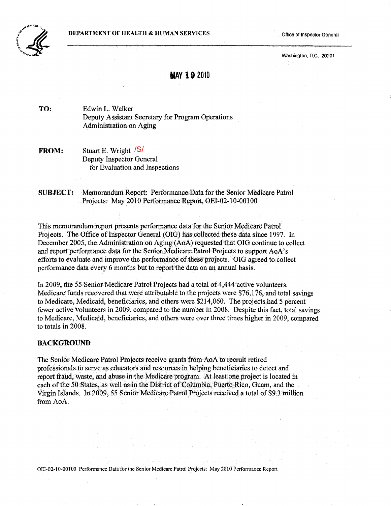

Washington, D.C. 20201

### **MAY 192010**

TO: Edwin L. Walker Deputy Assistant Secretary for Program Operations Administration on Aging

**FROM:** Stuart E. Wright /S/ Deputy Inspector General for Evaluation and Inspections

SUBJECT: Memorandum Report: Performance Data for the Senior Medicare Patrol Projects: May 2010 Performance Report, OEI-02-10-00100

This memorandum report presents performance data for the Senior Medicare Patrol Projects. The Office of Inspector General (OIG) has collected these data since 1997. In December 2005, the Administration on Aging (AoA) requested that OIG continue to collect and report performance data for the Senior Medicare Patrol Projects to support AoA's efforts to evaluate and improve the performance ofthese projects. OIG agreed to collect performance data every 6 months but to report the data on an annual basis.

In 2009, the 55 Senior Medicare Patrol Projects had a total of 4,444 active volunteers. Medicare funds recovered that were attributable to the projects were \$76,176, and total savings to Medicare, Medicaid, beneficiaries, and others were \$214,060. The projects had 5 percent fewer active volunteers in 2009, compared to the number in 2008. Despite this fact, total savings to Medicare, Medicaid, beneficiaries, and others were over three times higher in 2009, compared to totals in 2008.

#### BACKGROUND

The Senior Medicare Patrol Projects receive grants from AoA to recruit retired professionals to serve as educators and resources in helping beneficiaries to detect and report fraud, waste, and abuse in the Medicare program. At least one project is located in each of the 50 States, as well as in the District of Columbia, Puerto Rico, Guam, and the Virgin Islands. In 2009, 55 Senior Medicare Patrol Projects received a total of \$9.3 million from AoA.

OEI-02-10-00100 Performance Data for the Senior Medicare Patrol Projects: May 2010 Performance Report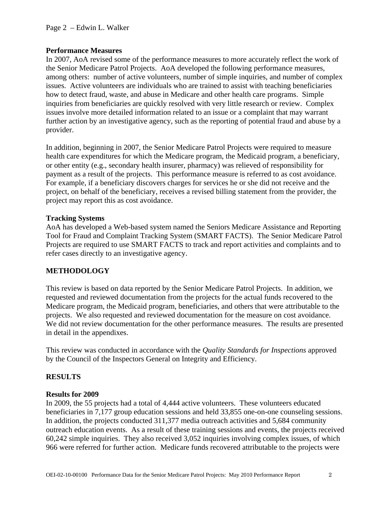#### **Performance Measures**

In 2007, AoA revised some of the performance measures to more accurately reflect the work of the Senior Medicare Patrol Projects. AoA developed the following performance measures, among others: number of active volunteers, number of simple inquiries, and number of complex issues. Active volunteers are individuals who are trained to assist with teaching beneficiaries how to detect fraud, waste, and abuse in Medicare and other health care programs. Simple inquiries from beneficiaries are quickly resolved with very little research or review. Complex issues involve more detailed information related to an issue or a complaint that may warrant further action by an investigative agency, such as the reporting of potential fraud and abuse by a provider.

 In addition, beginning in 2007, the Senior Medicare Patrol Projects were required to measure health care expenditures for which the Medicare program, the Medicaid program, a beneficiary, or other entity (e.g., secondary health insurer, pharmacy) was relieved of responsibility for payment as a result of the projects. This performance measure is referred to as cost avoidance. For example, if a beneficiary discovers charges for services he or she did not receive and the project, on behalf of the beneficiary, receives a revised billing statement from the provider, the project may report this as cost avoidance.

#### **Tracking Systems**

AoA has developed a Web-based system named the Seniors Medicare Assistance and Reporting Tool for Fraud and Complaint Tracking System (SMART FACTS). The Senior Medicare Patrol Projects are required to use SMART FACTS to track and report activities and complaints and to refer cases directly to an investigative agency.

#### **METHODOLOGY**

 This review is based on data reported by the Senior Medicare Patrol Projects. In addition, we requested and reviewed documentation from the projects for the actual funds recovered to the Medicare program, the Medicaid program, beneficiaries, and others that were attributable to the projects. We also requested and reviewed documentation for the measure on cost avoidance. We did not review documentation for the other performance measures. The results are presented in detail in the appendixes.

 This review was conducted in accordance with the *Quality Standards for Inspections* approved by the Council of the Inspectors General on Integrity and Efficiency.

#### **RESULTS**

#### **Results for 2009**

In 2009, the 55 projects had a total of 4,444 active volunteers. These volunteers educated beneficiaries in 7,177 group education sessions and held 33,855 one-on-one counseling sessions. In addition, the projects conducted 311,377 media outreach activities and 5,684 community outreach education events. As a result of these training sessions and events, the projects received 60,242 simple inquiries. They also received 3,052 inquiries involving complex issues, of which 966 were referred for further action. Medicare funds recovered attributable to the projects were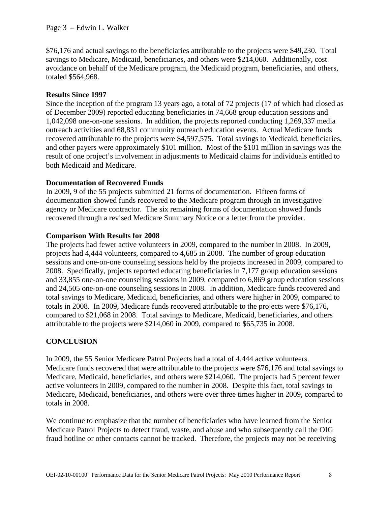\$76,176 and actual savings to the beneficiaries attributable to the projects were \$49,230. Total savings to Medicare, Medicaid, beneficiaries, and others were \$214,060. Additionally, cost avoidance on behalf of the Medicare program, the Medicaid program, beneficiaries, and others, totaled \$564,968.

#### **Results Since 1997**

 Since the inception of the program 13 years ago, a total of 72 projects (17 of which had closed as of December 2009) reported educating beneficiaries in 74,668 group education sessions and 1,042,098 one-on-one sessions. In addition, the projects reported conducting 1,269,337 media outreach activities and 68,831 community outreach education events. Actual Medicare funds recovered attributable to the projects were \$4,597,575. Total savings to Medicaid, beneficiaries, and other payers were approximately \$101 million. Most of the \$101 million in savings was the result of one project's involvement in adjustments to Medicaid claims for individuals entitled to both Medicaid and Medicare.

### **Documentation of Recovered Funds**

In 2009, 9 of the 55 projects submitted 21 forms of documentation. Fifteen forms of documentation showed funds recovered to the Medicare program through an investigative agency or Medicare contractor. The six remaining forms of documentation showed funds recovered through a revised Medicare Summary Notice or a letter from the provider.

### **Comparison With Results for 2008**

The projects had fewer active volunteers in 2009, compared to the number in 2008. In 2009, projects had 4,444 volunteers, compared to 4,685 in 2008. The number of group education sessions and one-on-one counseling sessions held by the projects increased in 2009, compared to 2008. Specifically, projects reported educating beneficiaries in 7,177 group education sessions and 33,855 one-on-one counseling sessions in 2009, compared to 6,869 group education sessions and 24,505 one-on-one counseling sessions in 2008. In addition, Medicare funds recovered and total savings to Medicare, Medicaid, beneficiaries, and others were higher in 2009, compared to totals in 2008. In 2009, Medicare funds recovered attributable to the projects were \$76,176, compared to \$21,068 in 2008. Total savings to Medicare, Medicaid, beneficiaries, and others attributable to the projects were \$214,060 in 2009, compared to \$65,735 in 2008.

### **CONCLUSION**

In 2009, the 55 Senior Medicare Patrol Projects had a total of 4,444 active volunteers. Medicare funds recovered that were attributable to the projects were \$76,176 and total savings to Medicare, Medicaid, beneficiaries, and others were \$214,060. The projects had 5 percent fewer active volunteers in 2009, compared to the number in 2008. Despite this fact, total savings to Medicare, Medicaid, beneficiaries, and others were over three times higher in 2009, compared to totals in 2008.

 We continue to emphasize that the number of beneficiaries who have learned from the Senior Medicare Patrol Projects to detect fraud, waste, and abuse and who subsequently call the OIG fraud hotline or other contacts cannot be tracked. Therefore, the projects may not be receiving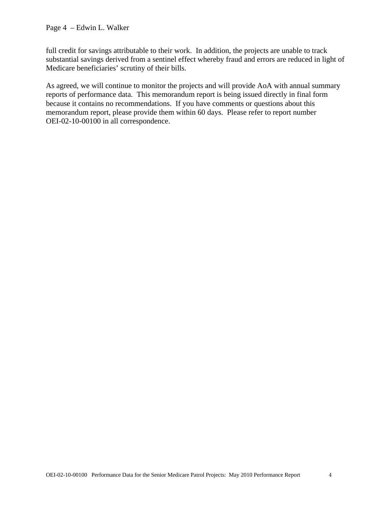full credit for savings attributable to their work. In addition, the projects are unable to track substantial savings derived from a sentinel effect whereby fraud and errors are reduced in light of Medicare beneficiaries' scrutiny of their bills.

As agreed, we will continue to monitor the projects and will provide AoA with annual summary reports of performance data. This memorandum report is being issued directly in final form because it contains no recommendations. If you have comments or questions about this memorandum report, please provide them within 60 days. Please refer to report number OEI-02-10-00100 in all correspondence.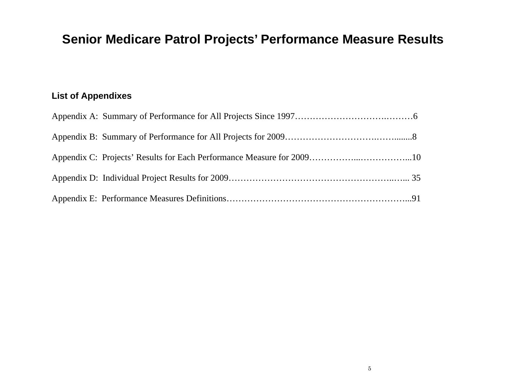# **Senior Medicare Patrol Projects' Performance Measure Results**

# **List of Appendixes**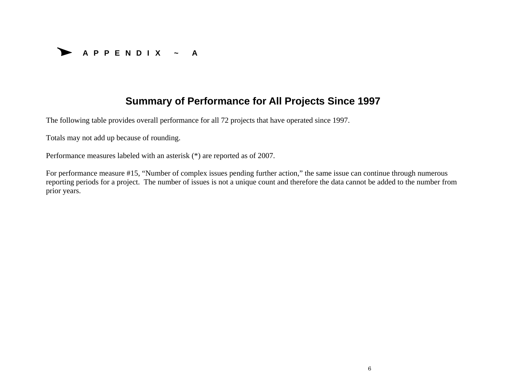

# **Summary of Performance for All Projects Since 1997**

The following table provides overall performance for all 72 projects that have operated since 1997.

Totals may not add up because of rounding.

Performance measures labeled with an asterisk (\*) are reported as of 2007.

For performance measure #15, "Number of complex issues pending further action," the same issue can continue through numerous reporting periods for a project. The number of issues is not a unique count and therefore the data cannot be added to the number from prior years.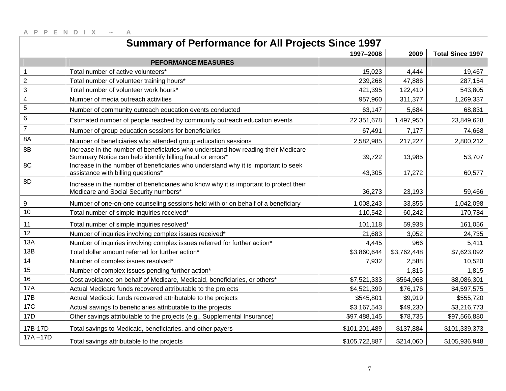|                         | <b>Summary of Performance for All Projects Since 1997</b>                                                                                      |               |             |                         |
|-------------------------|------------------------------------------------------------------------------------------------------------------------------------------------|---------------|-------------|-------------------------|
|                         |                                                                                                                                                | 1997-2008     | 2009        | <b>Total Since 1997</b> |
|                         | <b>PEFORMANCE MEASURES</b>                                                                                                                     |               |             |                         |
| 1                       | Total number of active volunteers*                                                                                                             | 15,023        | 4,444       | 19,467                  |
| $\overline{c}$          | Total number of volunteer training hours*                                                                                                      | 239,268       | 47,886      | 287,154                 |
| 3                       | Total number of volunteer work hours*                                                                                                          | 421,395       | 122,410     | 543,805                 |
| $\overline{\mathbf{4}}$ | Number of media outreach activities                                                                                                            | 957,960       | 311,377     | 1,269,337               |
| 5                       | Number of community outreach education events conducted                                                                                        | 63,147        | 5,684       | 68,831                  |
| 6                       | Estimated number of people reached by community outreach education events                                                                      | 22,351,678    | 1,497,950   | 23,849,628              |
| $\overline{7}$          | Number of group education sessions for beneficiaries                                                                                           | 67,491        | 7,177       | 74,668                  |
| 8A                      | Number of beneficiaries who attended group education sessions                                                                                  | 2,582,985     | 217,227     | 2,800,212               |
| 8B                      | Increase in the number of beneficiaries who understand how reading their Medicare<br>Summary Notice can help identify billing fraud or errors* | 39,722        | 13,985      | 53,707                  |
| 8C                      | Increase in the number of beneficiaries who understand why it is important to seek<br>assistance with billing questions*                       | 43,305        | 17,272      | 60,577                  |
| 8D                      | Increase in the number of beneficiaries who know why it is important to protect their<br>Medicare and Social Security numbers*                 | 36,273        | 23,193      | 59,466                  |
| 9                       | Number of one-on-one counseling sessions held with or on behalf of a beneficiary                                                               | 1,008,243     | 33,855      | 1,042,098               |
| 10                      | Total number of simple inquiries received*                                                                                                     | 110,542       | 60,242      | 170,784                 |
| 11                      | Total number of simple inquiries resolved*                                                                                                     | 101,118       | 59,938      | 161,056                 |
| 12                      | Number of inquiries involving complex issues received*                                                                                         | 21,683        | 3,052       | 24,735                  |
| 13A                     | Number of inquiries involving complex issues referred for further action*                                                                      | 4,445         | 966         | 5,411                   |
| 13B                     | Total dollar amount referred for further action*                                                                                               | \$3,860,644   | \$3,762,448 | \$7,623,092             |
| 14                      | Number of complex issues resolved*                                                                                                             | 7,932         | 2,588       | 10,520                  |
| 15                      | Number of complex issues pending further action*                                                                                               |               | 1,815       | 1,815                   |
| 16                      | Cost avoidance on behalf of Medicare, Medicaid, beneficiaries, or others*                                                                      | \$7,521,333   | \$564,968   | \$8,086,301             |
| <b>17A</b>              | Actual Medicare funds recovered attributable to the projects                                                                                   | \$4,521,399   | \$76,176    | \$4,597,575             |
| 17B                     | Actual Medicaid funds recovered attributable to the projects                                                                                   | \$545,801     | \$9,919     | \$555,720               |
| <b>17C</b>              | Actual savings to beneficiaries attributable to the projects                                                                                   | \$3,167,543   | \$49,230    | \$3,216,773             |
| 17D                     | Other savings attributable to the projects (e.g., Supplemental Insurance)                                                                      | \$97,488,145  | \$78,735    | \$97,566,880            |
| 17B-17D                 | Total savings to Medicaid, beneficiaries, and other payers                                                                                     | \$101,201,489 | \$137,884   | \$101,339,373           |
| $17A - 17D$             | Total savings attributable to the projects                                                                                                     | \$105,722,887 | \$214,060   | \$105,936,948           |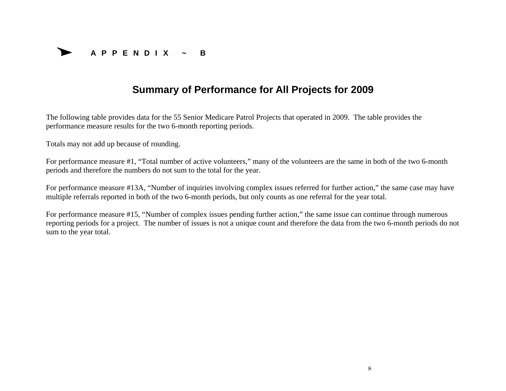

# **Summary of Performance for All Projects for 2009**

The following table provides data for the 55 Senior Medicare Patrol Projects that operated in 2009. The table provides the performance measure results for the two 6-month reporting periods.

Totals may not add up because of rounding.

For performance measure #1, "Total number of active volunteers," many of the volunteers are the same in both of the two 6-month periods and therefore the numbers do not sum to the total for the year.

For performance measure #13A, "Number of inquiries involving complex issues referred for further action," the same case may have multiple referrals reported in both of the two 6-month periods, but only counts as one referral for the year total.

For performance measure #15, "Number of complex issues pending further action," the same issue can continue through numerous reporting periods for a project. The number of issues is not a unique count and therefore the data from the two 6-month periods do not sum to the year total.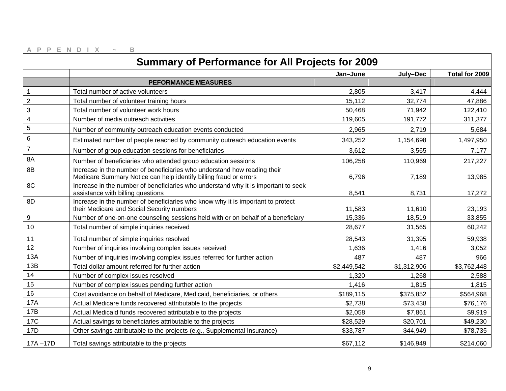|                          | <b>Summary of Performance for All Projects for 2009</b>                                                                                       |             |             |                |
|--------------------------|-----------------------------------------------------------------------------------------------------------------------------------------------|-------------|-------------|----------------|
|                          |                                                                                                                                               | Jan-June    | July-Dec    | Total for 2009 |
|                          | <b>PEFORMANCE MEASURES</b>                                                                                                                    |             |             |                |
| $\mathbf{1}$             | Total number of active volunteers                                                                                                             | 2,805       | 3,417       | 4,444          |
| $\overline{2}$           | Total number of volunteer training hours                                                                                                      | 15,112      | 32,774      | 47,886         |
| 3                        | Total number of volunteer work hours                                                                                                          | 50,468      | 71,942      | 122,410        |
| $\overline{\mathcal{A}}$ | Number of media outreach activities                                                                                                           | 119,605     | 191,772     | 311,377        |
| 5                        | Number of community outreach education events conducted                                                                                       | 2,965       | 2,719       | 5,684          |
| 6                        | Estimated number of people reached by community outreach education events                                                                     | 343,252     | 1,154,698   | 1,497,950      |
| $\overline{7}$           | Number of group education sessions for beneficiaries                                                                                          | 3,612       | 3,565       | 7,177          |
| 8A                       | Number of beneficiaries who attended group education sessions                                                                                 | 106,258     | 110,969     | 217,227        |
| 8B                       | Increase in the number of beneficiaries who understand how reading their<br>Medicare Summary Notice can help identify billing fraud or errors | 6,796       | 7,189       | 13,985         |
| 8C                       | Increase in the number of beneficiaries who understand why it is important to seek<br>assistance with billing questions                       | 8,541       | 8,731       | 17,272         |
| 8D                       | Increase in the number of beneficiaries who know why it is important to protect<br>their Medicare and Social Security numbers                 | 11,583      | 11,610      | 23,193         |
| 9                        | Number of one-on-one counseling sessions held with or on behalf of a beneficiary                                                              | 15,336      | 18,519      | 33,855         |
| 10                       | Total number of simple inquiries received                                                                                                     | 28,677      | 31,565      | 60,242         |
| 11                       | Total number of simple inquiries resolved                                                                                                     | 28,543      | 31,395      | 59,938         |
| 12                       | Number of inquiries involving complex issues received                                                                                         | 1,636       | 1,416       | 3,052          |
| 13A                      | Number of inquiries involving complex issues referred for further action                                                                      | 487         | 487         | 966            |
| 13B                      | Total dollar amount referred for further action                                                                                               | \$2,449,542 | \$1,312,906 | \$3,762,448    |
| 14                       | Number of complex issues resolved                                                                                                             | 1,320       | 1,268       | 2,588          |
| 15                       | Number of complex issues pending further action                                                                                               | 1,416       | 1,815       | 1,815          |
| 16                       | Cost avoidance on behalf of Medicare, Medicaid, beneficiaries, or others                                                                      | \$189,115   | \$375,852   | \$564,968      |
| <b>17A</b>               | Actual Medicare funds recovered attributable to the projects                                                                                  | \$2,738     | \$73,438    | \$76,176       |
| <b>17B</b>               | Actual Medicaid funds recovered attributable to the projects                                                                                  | \$2,058     | \$7,861     | \$9,919        |
| <b>17C</b>               | Actual savings to beneficiaries attributable to the projects                                                                                  | \$28,529    | \$20,701    | \$49,230       |
| 17D                      | Other savings attributable to the projects (e.g., Supplemental Insurance)                                                                     | \$33,787    | \$44,949    | \$78,735       |
| $17A - 17D$              | Total savings attributable to the projects                                                                                                    | \$67,112    | \$146,949   | \$214,060      |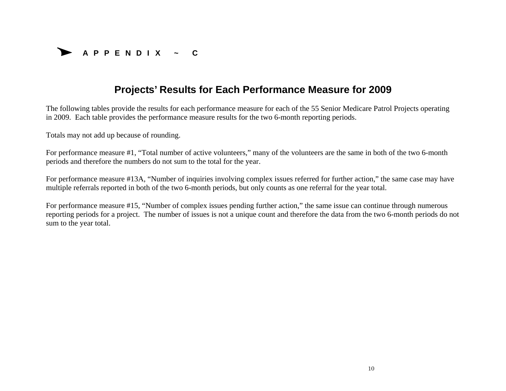

# **Projects' Results for Each Performance Measure for 2009**

The following tables provide the results for each performance measure for each of the 55 Senior Medicare Patrol Projects operating in 2009. Each table provides the performance measure results for the two 6-month reporting periods.

Totals may not add up because of rounding.

For performance measure #1, "Total number of active volunteers," many of the volunteers are the same in both of the two 6-month periods and therefore the numbers do not sum to the total for the year.

For performance measure #13A, "Number of inquiries involving complex issues referred for further action," the same case may have multiple referrals reported in both of the two 6-month periods, but only counts as one referral for the year total.

For performance measure #15, "Number of complex issues pending further action," the same issue can continue through numerous reporting periods for a project. The number of issues is not a unique count and therefore the data from the two 6-month periods do not sum to the year total.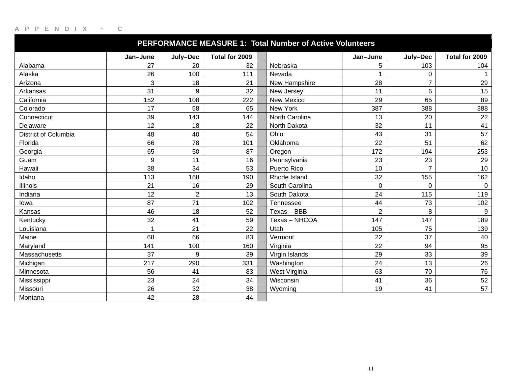|                             | PERFORMANCE MEASURE 1: Total Number of Active Volunteers |                |                |  |                   |                |                |                |  |  |  |  |
|-----------------------------|----------------------------------------------------------|----------------|----------------|--|-------------------|----------------|----------------|----------------|--|--|--|--|
|                             | Jan-June                                                 | July-Dec       | Total for 2009 |  |                   | Jan-June       | July-Dec       | Total for 2009 |  |  |  |  |
| Alabama                     | 27                                                       | 20             | 32             |  | Nebraska          | 5              | 103            | 104            |  |  |  |  |
| Alaska                      | 26                                                       | 100            | 111            |  | Nevada            |                | 0              |                |  |  |  |  |
| Arizona                     | 3                                                        | 18             | 21             |  | New Hampshire     | 28             | $\overline{7}$ | 29             |  |  |  |  |
| Arkansas                    | 31                                                       | 9              | 32             |  | New Jersey        | 11             | 6              | 15             |  |  |  |  |
| California                  | 152                                                      | 108            | 222            |  | <b>New Mexico</b> | 29             | 65             | 89             |  |  |  |  |
| Colorado                    | 17                                                       | 58             | 65             |  | New York          | 387            | 388            | 388            |  |  |  |  |
| Connecticut                 | 39                                                       | 143            | 144            |  | North Carolina    | 13             | 20             | 22             |  |  |  |  |
| Delaware                    | 12                                                       | 18             | 22             |  | North Dakota      | 32             | 11             | 41             |  |  |  |  |
| <b>District of Columbia</b> | 48                                                       | 40             | 54             |  | Ohio              | 43             | 31             | 57             |  |  |  |  |
| Florida                     | 66                                                       | 78             | 101            |  | Oklahoma          | 22             | 51             | 62             |  |  |  |  |
| Georgia                     | 65                                                       | 50             | 87             |  | Oregon            | 172            | 194            | 253            |  |  |  |  |
| Guam                        | 9                                                        | 11             | 16             |  | Pennsylvania      | 23             | 23             | 29             |  |  |  |  |
| Hawaii                      | 38                                                       | 34             | 53             |  | Puerto Rico       | 10             | $\overline{7}$ | 10             |  |  |  |  |
| Idaho                       | 113                                                      | 168            | 190            |  | Rhode Island      | 32             | 155            | 162            |  |  |  |  |
| <b>Illinois</b>             | 21                                                       | 16             | 29             |  | South Carolina    | $\mathbf 0$    | $\mathbf 0$    | $\mathbf 0$    |  |  |  |  |
| Indiana                     | 12                                                       | $\overline{2}$ | 13             |  | South Dakota      | 24             | 115            | 119            |  |  |  |  |
| lowa                        | 87                                                       | 71             | 102            |  | Tennessee         | 44             | 73             | 102            |  |  |  |  |
| Kansas                      | 46                                                       | 18             | 52             |  | Texas - BBB       | $\overline{2}$ | 8              | 9              |  |  |  |  |
| Kentucky                    | 32                                                       | 41             | 59             |  | Texas - NHCOA     | 147            | 147            | 189            |  |  |  |  |
| Louisiana                   | 1                                                        | 21             | 22             |  | Utah              | 105            | 75             | 139            |  |  |  |  |
| Maine                       | 68                                                       | 66             | 83             |  | Vermont           | 22             | 37             | 40             |  |  |  |  |
| Maryland                    | 141                                                      | 100            | 160            |  | Virginia          | 22             | 94             | 95             |  |  |  |  |
| Massachusetts               | 37                                                       | 9              | 39             |  | Virgin Islands    | 29             | 33             | 39             |  |  |  |  |
| Michigan                    | 217                                                      | 290            | 331            |  | Washington        | 24             | 13             | 26             |  |  |  |  |
| Minnesota                   | 56                                                       | 41             | 83             |  | West Virginia     | 63             | 70             | 76             |  |  |  |  |
| Mississippi                 | 23                                                       | 24             | 34             |  | Wisconsin         | 41             | 36             | 52             |  |  |  |  |
| Missouri                    | 26                                                       | 32             | 38             |  | Wyoming           | 19             | 41             | 57             |  |  |  |  |
| Montana                     | 42                                                       | 28             | 44             |  |                   |                |                |                |  |  |  |  |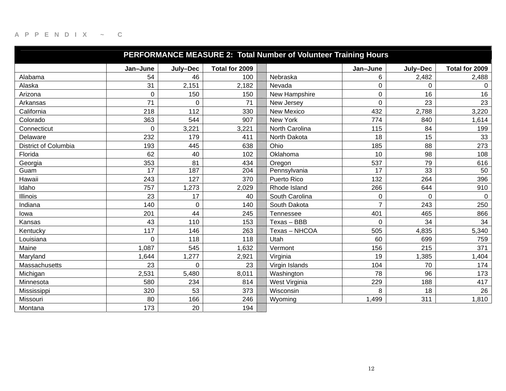|                      | PERFORMANCE MEASURE 2: Total Number of Volunteer Training Hours |             |                |                |                |                 |                |  |  |  |  |
|----------------------|-----------------------------------------------------------------|-------------|----------------|----------------|----------------|-----------------|----------------|--|--|--|--|
|                      | Jan-June                                                        | July-Dec    | Total for 2009 |                | Jan-June       | July-Dec        | Total for 2009 |  |  |  |  |
| Alabama              | 54                                                              | 46          | 100            | Nebraska       | 6              | 2,482           | 2,488          |  |  |  |  |
| Alaska               | 31                                                              | 2,151       | 2,182          | Nevada         | $\mathbf 0$    | $\mathbf 0$     | $\Omega$       |  |  |  |  |
| Arizona              | 0                                                               | 150         | 150            | New Hampshire  | 0              | 16              | 16             |  |  |  |  |
| Arkansas             | 71                                                              | $\Omega$    | 71             | New Jersey     | $\overline{0}$ | 23              | 23             |  |  |  |  |
| California           | 218                                                             | 112         | 330            | New Mexico     | 432            | 2,788           | 3,220          |  |  |  |  |
| Colorado             | 363                                                             | 544         | 907            | New York       | 774            | 840             | 1,614          |  |  |  |  |
| Connecticut          | 0                                                               | 3,221       | 3,221          | North Carolina | 115            | 84              | 199            |  |  |  |  |
| Delaware             | 232                                                             | 179         | 411            | North Dakota   | 18             | 15              | 33             |  |  |  |  |
| District of Columbia | 193                                                             | 445         | 638            | Ohio           | 185            | 88              | 273            |  |  |  |  |
| Florida              | 62                                                              | 40          | 102            | Oklahoma       | 10             | 98              | 108            |  |  |  |  |
| Georgia              | 353                                                             | 81          | 434            | Oregon         | 537            | 79              | 616            |  |  |  |  |
| Guam                 | 17                                                              | 187         | 204            | Pennsylvania   | 17             | $\overline{33}$ | 50             |  |  |  |  |
| Hawaii               | 243                                                             | 127         | 370            | Puerto Rico    | 132            | 264             | 396            |  |  |  |  |
| Idaho                | 757                                                             | 1,273       | 2,029          | Rhode Island   | 266            | 644             | 910            |  |  |  |  |
| <b>Illinois</b>      | 23                                                              | 17          | 40             | South Carolina | $\mathbf 0$    | $\mathbf 0$     | $\mathbf 0$    |  |  |  |  |
| Indiana              | 140                                                             | $\mathbf 0$ | 140            | South Dakota   | $\overline{7}$ | 243             | 250            |  |  |  |  |
| lowa                 | 201                                                             | 44          | 245            | Tennessee      | 401            | 465             | 866            |  |  |  |  |
| Kansas               | 43                                                              | 110         | 153            | Texas - BBB    | $\Omega$       | 34              | 34             |  |  |  |  |
| Kentucky             | 117                                                             | 146         | 263            | Texas - NHCOA  | 505            | 4,835           | 5,340          |  |  |  |  |
| Louisiana            | $\Omega$                                                        | 118         | 118            | Utah           | 60             | 699             | 759            |  |  |  |  |
| Maine                | 1,087                                                           | 545         | 1,632          | Vermont        | 156            | 215             | 371            |  |  |  |  |
| Maryland             | 1,644                                                           | 1,277       | 2,921          | Virginia       | 19             | 1,385           | 1,404          |  |  |  |  |
| Massachusetts        | 23                                                              | $\Omega$    | 23             | Virgin Islands | 104            | 70              | 174            |  |  |  |  |
| Michigan             | 2,531                                                           | 5,480       | 8,011          | Washington     | 78             | 96              | 173            |  |  |  |  |
| Minnesota            | 580                                                             | 234         | 814            | West Virginia  | 229            | 188             | 417            |  |  |  |  |
| Mississippi          | 320                                                             | 53          | 373            | Wisconsin      | 8              | 18              | 26             |  |  |  |  |
| Missouri             | 80                                                              | 166         | 246            | Wyoming        | 1,499          | 311             | 1,810          |  |  |  |  |
| Montana              | 173                                                             | 20          | 194            |                |                |                 |                |  |  |  |  |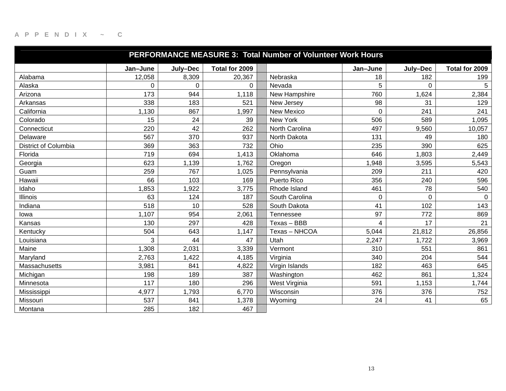|                             |          |              |                | PERFORMANCE MEASURE 3: Total Number of Volunteer Work Hours |             |             |                |
|-----------------------------|----------|--------------|----------------|-------------------------------------------------------------|-------------|-------------|----------------|
|                             | Jan-June | July-Dec     | Total for 2009 |                                                             | Jan-June    | July-Dec    | Total for 2009 |
| Alabama                     | 12,058   | 8,309        | 20,367         | Nebraska                                                    | 18          | 182         | 199            |
| Alaska                      | 0        | $\mathbf{0}$ | 0              | Nevada                                                      | 5           | 0           | 5              |
| Arizona                     | 173      | 944          | 1,118          | New Hampshire                                               | 760         | 1,624       | 2,384          |
| Arkansas                    | 338      | 183          | 521            | New Jersey                                                  | 98          | 31          | 129            |
| California                  | 1,130    | 867          | 1,997          | New Mexico                                                  | $\mathbf 0$ | 241         | 241            |
| Colorado                    | 15       | 24           | 39             | New York                                                    | 506         | 589         | 1,095          |
| Connecticut                 | 220      | 42           | 262            | North Carolina                                              | 497         | 9,560       | 10,057         |
| Delaware                    | 567      | 370          | 937            | North Dakota                                                | 131         | 49          | 180            |
| <b>District of Columbia</b> | 369      | 363          | 732            | Ohio                                                        | 235         | 390         | 625            |
| Florida                     | 719      | 694          | 1,413          | Oklahoma                                                    | 646         | 1,803       | 2,449          |
| Georgia                     | 623      | 1,139        | 1,762          | Oregon                                                      | 1,948       | 3,595       | 5,543          |
| Guam                        | 259      | 767          | 1,025          | Pennsylvania                                                | 209         | 211         | 420            |
| Hawaii                      | 66       | 103          | 169            | Puerto Rico                                                 | 356         | 240         | 596            |
| Idaho                       | 1,853    | 1,922        | 3,775          | Rhode Island                                                | 461         | 78          | 540            |
| <b>Illinois</b>             | 63       | 124          | 187            | South Carolina                                              | 0           | $\mathbf 0$ | $\mathbf 0$    |
| Indiana                     | 518      | 10           | 528            | South Dakota                                                | 41          | 102         | 143            |
| lowa                        | 1,107    | 954          | 2,061          | Tennessee                                                   | 97          | 772         | 869            |
| Kansas                      | 130      | 297          | 428            | Texas - BBB                                                 | 4           | 17          | 21             |
| Kentucky                    | 504      | 643          | 1,147          | Texas - NHCOA                                               | 5,044       | 21,812      | 26,856         |
| Louisiana                   | 3        | 44           | 47             | Utah                                                        | 2,247       | 1,722       | 3,969          |
| Maine                       | 1,308    | 2,031        | 3,339          | Vermont                                                     | 310         | 551         | 861            |
| Maryland                    | 2,763    | 1,422        | 4,185          | Virginia                                                    | 340         | 204         | 544            |
| Massachusetts               | 3,981    | 841          | 4,822          | Virgin Islands                                              | 182         | 463         | 645            |
| Michigan                    | 198      | 189          | 387            | Washington                                                  | 462         | 861         | 1,324          |
| Minnesota                   | 117      | 180          | 296            | West Virginia                                               | 591         | 1,153       | 1,744          |
| Mississippi                 | 4,977    | 1,793        | 6,770          | Wisconsin                                                   | 376         | 376         | 752            |
| Missouri                    | 537      | 841          | 1,378          | Wyoming                                                     | 24          | 41          | 65             |
| Montana                     | 285      | 182          | 467            |                                                             |             |             |                |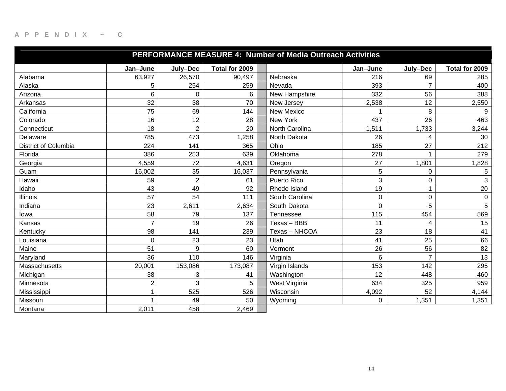|                      | <b>PERFORMANCE MEASURE 4: Number of Media Outreach Activities</b> |                |                |                |          |                |                     |  |  |  |  |
|----------------------|-------------------------------------------------------------------|----------------|----------------|----------------|----------|----------------|---------------------|--|--|--|--|
|                      | Jan-June                                                          | July-Dec       | Total for 2009 |                | Jan-June | July-Dec       | Total for 2009      |  |  |  |  |
| Alabama              | 63,927                                                            | 26,570         | 90,497         | Nebraska       | 216      | 69             | 285                 |  |  |  |  |
| Alaska               | 5                                                                 | 254            | 259            | Nevada         | 393      | $\overline{7}$ | 400                 |  |  |  |  |
| Arizona              | 6                                                                 | 0              | 6              | New Hampshire  | 332      | 56             | 388                 |  |  |  |  |
| Arkansas             | 32                                                                | 38             | 70             | New Jersey     | 2,538    | 12             | 2,550               |  |  |  |  |
| California           | 75                                                                | 69             | 144            | New Mexico     |          | 8              | 9                   |  |  |  |  |
| Colorado             | 16                                                                | 12             | 28             | New York       | 437      | 26             | 463                 |  |  |  |  |
| Connecticut          | 18                                                                | $\overline{2}$ | 20             | North Carolina | 1,511    | 1,733          | 3,244               |  |  |  |  |
| Delaware             | 785                                                               | 473            | ,258           | North Dakota   | 26       | 4              | 30                  |  |  |  |  |
| District of Columbia | 224                                                               | 141            | 365            | Ohio           | 185      | 27             | 212                 |  |  |  |  |
| Florida              | 386                                                               | 253            | 639            | Oklahoma       | 278      |                | 279                 |  |  |  |  |
| Georgia              | 4,559                                                             | 72             | 4,631          | Oregon         | 27       | 1,801          | 1,828               |  |  |  |  |
| Guam                 | 16,002                                                            | 35             | 16,037         | Pennsylvania   | 5        | $\mathbf 0$    | 5                   |  |  |  |  |
| Hawaii               | 59                                                                | $\overline{2}$ | 61             | Puerto Rico    | 3        | 0              | 3                   |  |  |  |  |
| Idaho                | 43                                                                | 49             | 92             | Rhode Island   | 19       |                | 20                  |  |  |  |  |
| <b>Illinois</b>      | 57                                                                | 54             | 111            | South Carolina | 0        | $\mathbf 0$    | $\mathsf{O}\xspace$ |  |  |  |  |
| Indiana              | 23                                                                | 2,611          | 2,634          | South Dakota   | 0        | 5              | 5                   |  |  |  |  |
| lowa                 | 58                                                                | 79             | 137            | Tennessee      | 115      | 454            | 569                 |  |  |  |  |
| Kansas               | $\overline{7}$                                                    | 19             | 26             | Texas - BBB    | 11       | 4              | 15                  |  |  |  |  |
| Kentucky             | 98                                                                | 141            | 239            | Texas - NHCOA  | 23       | 18             | 41                  |  |  |  |  |
| Louisiana            | $\Omega$                                                          | 23             | 23             | Utah           | 41       | 25             | 66                  |  |  |  |  |
| Maine                | 51                                                                | 9              | 60             | Vermont        | 26       | 56             | 82                  |  |  |  |  |
| Maryland             | 36                                                                | 110            | 146            | Virginia       | 6        | $\overline{7}$ | 13                  |  |  |  |  |
| Massachusetts        | 20,001                                                            | 153,086        | 173,087        | Virgin Islands | 153      | 142            | 295                 |  |  |  |  |
| Michigan             | 38                                                                | 3              | 41             | Washington     | 12       | 448            | 460                 |  |  |  |  |
| Minnesota            | $\overline{2}$                                                    | 3              | 5              | West Virginia  | 634      | 325            | 959                 |  |  |  |  |
| Mississippi          | 1                                                                 | 525            | 526            | Wisconsin      | 4,092    | 52             | 4,144               |  |  |  |  |
| Missouri             |                                                                   | 49             | 50             | Wyoming        | 0        | 1,351          | 1,351               |  |  |  |  |
| Montana              | 2,011                                                             | 458            | 2,469          |                |          |                |                     |  |  |  |  |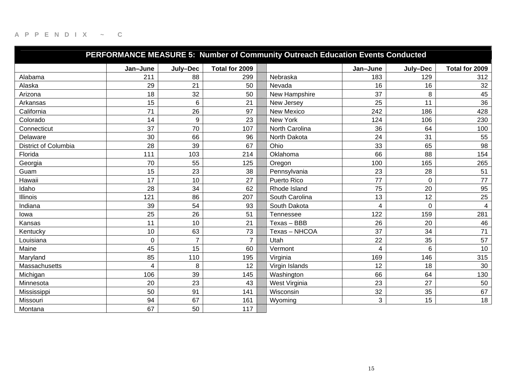|                             |          |                  |                | PERFORMANCE MEASURE 5: Number of Community Outreach Education Events Conducted |          |                |                |
|-----------------------------|----------|------------------|----------------|--------------------------------------------------------------------------------|----------|----------------|----------------|
|                             | Jan-June | July-Dec         | Total for 2009 |                                                                                | Jan-June | July-Dec       | Total for 2009 |
| Alabama                     | 211      | 88               | 299            | Nebraska                                                                       | 183      | 129            | 312            |
| Alaska                      | 29       | 21               | 50             | Nevada                                                                         | 16       | 16             | 32             |
| Arizona                     | 18       | 32               | 50             | New Hampshire                                                                  | 37       | 8              | 45             |
| Arkansas                    | 15       | $6\phantom{1}$   | 21             | New Jersey                                                                     | 25       | 11             | 36             |
| California                  | 71       | 26               | 97             | New Mexico                                                                     | 242      | 186            | 428            |
| Colorado                    | 14       | $\boldsymbol{9}$ | 23             | New York                                                                       | 124      | 106            | 230            |
| Connecticut                 | 37       | 70               | 107            | North Carolina                                                                 | 36       | 64             | 100            |
| Delaware                    | 30       | 66               | 96             | North Dakota                                                                   | 24       | 31             | 55             |
| <b>District of Columbia</b> | 28       | 39               | 67             | Ohio                                                                           | 33       | 65             | 98             |
| Florida                     | 111      | 103              | 214            | Oklahoma                                                                       | 66       | 88             | 154            |
| Georgia                     | 70       | 55               | 125            | Oregon                                                                         | 100      | 165            | 265            |
| Guam                        | 15       | 23               | 38             | Pennsylvania                                                                   | 23       | 28             | 51             |
| Hawaii                      | 17       | 10               | 27             | Puerto Rico                                                                    | 77       | 0              | 77             |
| Idaho                       | 28       | 34               | 62             | Rhode Island                                                                   | 75       | 20             | 95             |
| <b>Illinois</b>             | 121      | 86               | 207            | South Carolina                                                                 | 13       | 12             | 25             |
| Indiana                     | 39       | 54               | 93             | South Dakota                                                                   | 4        | $\overline{0}$ | $\overline{4}$ |
| lowa                        | 25       | 26               | 51             | Tennessee                                                                      | 122      | 159            | 281            |
| Kansas                      | 11       | 10               | 21             | Texas - BBB                                                                    | 26       | 20             | 46             |
| Kentucky                    | 10       | 63               | 73             | Texas - NHCOA                                                                  | 37       | 34             | 71             |
| Louisiana                   | 0        | $\overline{7}$   | $\overline{7}$ | Utah                                                                           | 22       | 35             | 57             |
| Maine                       | 45       | 15               | 60             | Vermont                                                                        | 4        | 6              | 10             |
| Maryland                    | 85       | 110              | 195            | Virginia                                                                       | 169      | 146            | 315            |
| Massachusetts               | 4        | 8                | 12             | Virgin Islands                                                                 | 12       | 18             | 30             |
| Michigan                    | 106      | 39               | 145            | Washington                                                                     | 66       | 64             | 130            |
| Minnesota                   | 20       | 23               | 43             | West Virginia                                                                  | 23       | 27             | 50             |
| Mississippi                 | 50       | 91               | 141            | Wisconsin                                                                      | 32       | 35             | 67             |
| Missouri                    | 94       | 67               | 161            | Wyoming                                                                        | 3        | 15             | 18             |
| Montana                     | 67       | 50               | 117            |                                                                                |          |                |                |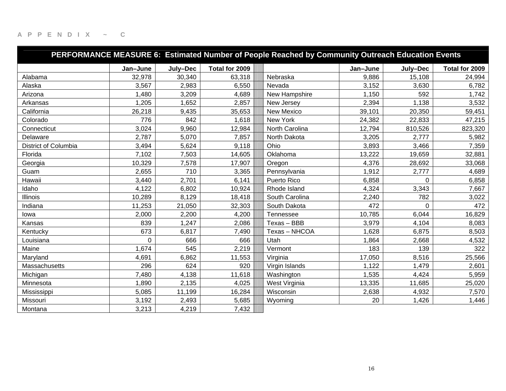|                      | PERFORMANCE MEASURE 6: Estimated Number of People Reached by Community Outreach Education Events |          |                |                |          |          |                |  |  |  |  |
|----------------------|--------------------------------------------------------------------------------------------------|----------|----------------|----------------|----------|----------|----------------|--|--|--|--|
|                      | Jan-June                                                                                         | July-Dec | Total for 2009 |                | Jan-June | July-Dec | Total for 2009 |  |  |  |  |
| Alabama              | 32,978                                                                                           | 30,340   | 63,318         | Nebraska       | 9,886    | 15,108   | 24,994         |  |  |  |  |
| Alaska               | 3,567                                                                                            | 2,983    | 6,550          | Nevada         | 3,152    | 3,630    | 6,782          |  |  |  |  |
| Arizona              | 1,480                                                                                            | 3,209    | 4,689          | New Hampshire  | 1,150    | 592      | 1,742          |  |  |  |  |
| Arkansas             | 1,205                                                                                            | 1,652    | 2,857          | New Jersey     | 2,394    | 1,138    | 3,532          |  |  |  |  |
| California           | 26,218                                                                                           | 9,435    | 35,653         | New Mexico     | 39,101   | 20,350   | 59,451         |  |  |  |  |
| Colorado             | 776                                                                                              | 842      | 1,618          | New York       | 24,382   | 22,833   | 47,215         |  |  |  |  |
| Connecticut          | 3,024                                                                                            | 9,960    | 12,984         | North Carolina | 12,794   | 810,526  | 823,320        |  |  |  |  |
| Delaware             | 2,787                                                                                            | 5,070    | 7,857          | North Dakota   | 3,205    | 2,777    | 5,982          |  |  |  |  |
| District of Columbia | 3,494                                                                                            | 5,624    | 9,118          | Ohio           | 3,893    | 3,466    | 7,359          |  |  |  |  |
| Florida              | 7,102                                                                                            | 7,503    | 14,605         | Oklahoma       | 13,222   | 19,659   | 32,881         |  |  |  |  |
| Georgia              | 10,329                                                                                           | 7,578    | 17,907         | Oregon         | 4,376    | 28,692   | 33,068         |  |  |  |  |
| Guam                 | 2,655                                                                                            | 710      | 3,365          | Pennsylvania   | 1,912    | 2,777    | 4,689          |  |  |  |  |
| Hawaii               | 3,440                                                                                            | 2,701    | 6,141          | Puerto Rico    | 6,858    | 0        | 6,858          |  |  |  |  |
| Idaho                | 4,122                                                                                            | 6,802    | 10,924         | Rhode Island   | 4,324    | 3,343    | 7,667          |  |  |  |  |
| <b>Illinois</b>      | 10,289                                                                                           | 8,129    | 18,418         | South Carolina | 2,240    | 782      | 3,022          |  |  |  |  |
| Indiana              | 11,253                                                                                           | 21,050   | 32,303         | South Dakota   | 472      | $\Omega$ | 472            |  |  |  |  |
| lowa                 | 2,000                                                                                            | 2,200    | 4,200          | Tennessee      | 10,785   | 6,044    | 16,829         |  |  |  |  |
| Kansas               | 839                                                                                              | 1,247    | 2,086          | Texas - BBB    | 3,979    | 4,104    | 8,083          |  |  |  |  |
| Kentucky             | 673                                                                                              | 6,817    | 7,490          | Texas - NHCOA  | 1,628    | 6,875    | 8,503          |  |  |  |  |
| Louisiana            | 0                                                                                                | 666      | 666            | Utah           | 1,864    | 2,668    | 4,532          |  |  |  |  |
| Maine                | 1,674                                                                                            | 545      | 2,219          | Vermont        | 183      | 139      | 322            |  |  |  |  |
| Maryland             | 4,691                                                                                            | 6,862    | 11,553         | Virginia       | 17,050   | 8,516    | 25,566         |  |  |  |  |
| Massachusetts        | 296                                                                                              | 624      | 920            | Virgin Islands | 1,122    | 1,479    | 2,601          |  |  |  |  |
| Michigan             | 7,480                                                                                            | 4,138    | 11,618         | Washington     | 1,535    | 4,424    | 5,959          |  |  |  |  |
| Minnesota            | 1,890                                                                                            | 2,135    | 4,025          | West Virginia  | 13,335   | 11,685   | 25,020         |  |  |  |  |
| Mississippi          | 5,085                                                                                            | 11,199   | 16,284         | Wisconsin      | 2,638    | 4,932    | 7,570          |  |  |  |  |
| Missouri             | 3,192                                                                                            | 2,493    | 5,685          | Wyoming        | 20       | 1,426    | 1,446          |  |  |  |  |
| Montana              | 3,213                                                                                            | 4,219    | 7,432          |                |          |          |                |  |  |  |  |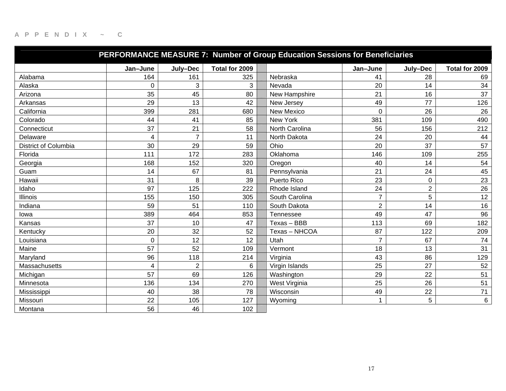|                      |                         |                |                | PERFORMANCE MEASURE 7: Number of Group Education Sessions for Beneficiaries |                |                |                |
|----------------------|-------------------------|----------------|----------------|-----------------------------------------------------------------------------|----------------|----------------|----------------|
|                      | Jan-June                | July-Dec       | Total for 2009 |                                                                             | Jan-June       | July-Dec       | Total for 2009 |
| Alabama              | 164                     | 161            | 325            | Nebraska                                                                    | 41             | 28             | 69             |
| Alaska               | $\overline{0}$          | 3              | 3              | Nevada                                                                      | 20             | 14             | 34             |
| Arizona              | 35                      | 45             | 80             | New Hampshire                                                               | 21             | 16             | 37             |
| Arkansas             | 29                      | 13             | 42             | New Jersey                                                                  | 49             | 77             | 126            |
| California           | 399                     | 281            | 680            | New Mexico                                                                  | $\mathbf 0$    | 26             | 26             |
| Colorado             | 44                      | 41             | 85             | New York                                                                    | 381            | 109            | 490            |
| Connecticut          | 37                      | 21             | 58             | North Carolina                                                              | 56             | 156            | 212            |
| Delaware             | 4                       | $\overline{7}$ | 11             | North Dakota                                                                | 24             | 20             | 44             |
| District of Columbia | 30                      | 29             | 59             | Ohio                                                                        | 20             | 37             | 57             |
| Florida              | 111                     | 172            | 283            | Oklahoma                                                                    | 146            | 109            | 255            |
| Georgia              | 168                     | 152            | 320            | Oregon                                                                      | 40             | 14             | 54             |
| Guam                 | 14                      | 67             | 81             | Pennsylvania                                                                | 21             | 24             | 45             |
| Hawaii               | 31                      | 8              | 39             | <b>Puerto Rico</b>                                                          | 23             | 0              | 23             |
| Idaho                | 97                      | 125            | 222            | Rhode Island                                                                | 24             | $\overline{2}$ | 26             |
| <b>Illinois</b>      | 155                     | 150            | 305            | South Carolina                                                              | $\overline{7}$ | 5              | 12             |
| Indiana              | 59                      | 51             | 110            | South Dakota                                                                | $\overline{2}$ | 14             | 16             |
| lowa                 | 389                     | 464            | 853            | Tennessee                                                                   | 49             | 47             | 96             |
| Kansas               | 37                      | 10             | 47             | Texas - BBB                                                                 | 113            | 69             | 182            |
| Kentucky             | 20                      | 32             | 52             | Texas - NHCOA                                                               | 87             | 122            | 209            |
| Louisiana            | $\Omega$                | 12             | 12             | Utah                                                                        | $\overline{7}$ | 67             | 74             |
| Maine                | 57                      | 52             | 109            | Vermont                                                                     | 18             | 13             | 31             |
| Maryland             | 96                      | 118            | 214            | Virginia                                                                    | 43             | 86             | 129            |
| Massachusetts        | $\overline{\mathbf{4}}$ | $\overline{2}$ | 6              | Virgin Islands                                                              | 25             | 27             | 52             |
| Michigan             | 57                      | 69             | 126            | Washington                                                                  | 29             | 22             | 51             |
| Minnesota            | 136                     | 134            | 270            | West Virginia                                                               | 25             | 26             | 51             |
| Mississippi          | 40                      | 38             | 78             | Wisconsin                                                                   | 49             | 22             | 71             |
| Missouri             | 22                      | 105            | 127            | Wyoming                                                                     | 1              | 5              | 6              |
| Montana              | 56                      | 46             | 102            |                                                                             |                |                |                |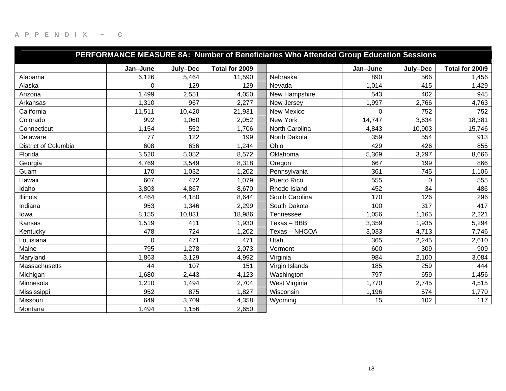|                      |          |          |                | PERFORMANCE MEASURE 8A: Number of Beneficiaries Who Attended Group Education Sessions |          |          |                 |
|----------------------|----------|----------|----------------|---------------------------------------------------------------------------------------|----------|----------|-----------------|
|                      | Jan-June | July-Dec | Total for 2009 |                                                                                       | Jan-June | July-Dec | Total for 200\9 |
| Alabama              | 6,126    | 5,464    | 11,590         | Nebraska                                                                              | 890      | 566      | 1,456           |
| Alaska               | 0        | 129      | 129            | Nevada                                                                                | 1,014    | 415      | 1,429           |
| Arizona              | 1,499    | 2,551    | 4,050          | New Hampshire                                                                         | 543      | 402      | 945             |
| Arkansas             | 1,310    | 967      | 2,277          | New Jersey                                                                            | 1,997    | 2,766    | 4,763           |
| California           | 11,511   | 10,420   | 21,931         | New Mexico                                                                            | $\Omega$ | 752      | 752             |
| Colorado             | 992      | 1,060    | 2,052          | New York                                                                              | 14,747   | 3,634    | 18,381          |
| Connecticut          | 1,154    | 552      | 1,706          | North Carolina                                                                        | 4,843    | 10,903   | 15,746          |
| Delaware             | 77       | 122      | 199            | North Dakota                                                                          | 359      | 554      | 913             |
| District of Columbia | 608      | 636      | 1,244          | Ohio                                                                                  | 429      | 426      | 855             |
| Florida              | 3,520    | 5,052    | 8,572          | Oklahoma                                                                              | 5,369    | 3,297    | 8,666           |
| Georgia              | 4,769    | 3,549    | 8,318          | Oregon                                                                                | 667      | 199      | 866             |
| Guam                 | 170      | 1,032    | 1,202          | Pennsylvania                                                                          | 361      | 745      | 1,106           |
| Hawaii               | 607      | 472      | 1,079          | Puerto Rico                                                                           | 555      | $\Omega$ | 555             |
| Idaho                | 3,803    | 4,867    | 8,670          | Rhode Island                                                                          | 452      | 34       | 486             |
| <b>Illinois</b>      | 4,464    | 4,180    | 8,644          | South Carolina                                                                        | 170      | 126      | 296             |
| Indiana              | 953      | 1,346    | 2,299          | South Dakota                                                                          | 100      | 317      | 417             |
| lowa                 | 8,155    | 10,831   | 18,986         | Tennessee                                                                             | 1,056    | 1,165    | 2,221           |
| Kansas               | 1,519    | 411      | 1,930          | Texas - BBB                                                                           | 3,359    | 1,935    | 5,294           |
| Kentucky             | 478      | 724      | 1,202          | Texas - NHCOA                                                                         | 3,033    | 4,713    | 7,746           |
| Louisiana            | 0        | 471      | 471            | Utah                                                                                  | 365      | 2,245    | 2,610           |
| Maine                | 795      | 1,278    | 2,073          | Vermont                                                                               | 600      | 309      | 909             |
| Maryland             | ,863     | 3,129    | 4,992          | Virginia                                                                              | 984      | 2,100    | 3,084           |
| Massachusetts        | 44       | 107      | 151            | Virgin Islands                                                                        | 185      | 259      | 444             |
| Michigan             | 1,680    | 2,443    | 4,123          | Washington                                                                            | 797      | 659      | 1,456           |
| Minnesota            | 1,210    | 1,494    | 2,704          | West Virginia                                                                         | 1,770    | 2,745    | 4,515           |
| Mississippi          | 952      | 875      | 1,827          | Wisconsin                                                                             | 1,196    | 574      | 1,770           |
| Missouri             | 649      | 3,709    | 4,358          | Wyoming                                                                               | 15       | 102      | 117             |
| Montana              | 1,494    | 1,156    | 2,650          |                                                                                       |          |          |                 |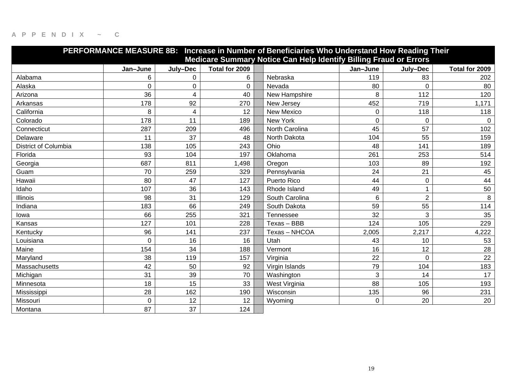|                             | PERFORMANCE MEASURE 8B: Increase in Number of Beneficiaries Who Understand How Reading Their |             |                |  |                                                                   |                |                |                |  |
|-----------------------------|----------------------------------------------------------------------------------------------|-------------|----------------|--|-------------------------------------------------------------------|----------------|----------------|----------------|--|
|                             |                                                                                              |             |                |  | Medicare Summary Notice Can Help Identify Billing Fraud or Errors |                |                |                |  |
|                             | Jan-June                                                                                     | July-Dec    | Total for 2009 |  |                                                                   | Jan-June       | July-Dec       | Total for 2009 |  |
| Alabama                     | 6                                                                                            | 0           | 6              |  | Nebraska                                                          | 119            | 83             | 202            |  |
| Alaska                      | 0                                                                                            | $\mathbf 0$ | 0              |  | Nevada                                                            | 80             | $\mathbf 0$    | 80             |  |
| Arizona                     | 36                                                                                           | 4           | 40             |  | New Hampshire                                                     | 8              | 112            | 120            |  |
| Arkansas                    | 178                                                                                          | 92          | 270            |  | New Jersey                                                        | 452            | 719            | 1,171          |  |
| California                  | 8                                                                                            | 4           | 12             |  | New Mexico                                                        | 0              | 118            | 118            |  |
| Colorado                    | 178                                                                                          | 11          | 189            |  | New York                                                          | $\mathbf 0$    | $\mathbf 0$    | $\Omega$       |  |
| Connecticut                 | 287                                                                                          | 209         | 496            |  | North Carolina                                                    | 45             | 57             | 102            |  |
| Delaware                    | 11                                                                                           | 37          | 48             |  | North Dakota                                                      | 104            | 55             | 159            |  |
| <b>District of Columbia</b> | 138                                                                                          | 105         | 243            |  | Ohio                                                              | 48             | 141            | 189            |  |
| Florida                     | 93                                                                                           | 104         | 197            |  | Oklahoma                                                          | 261            | 253            | 514            |  |
| Georgia                     | 687                                                                                          | 811         | 1,498          |  | Oregon                                                            | 103            | 89             | 192            |  |
| Guam                        | 70                                                                                           | 259         | 329            |  | Pennsylvania                                                      | 24             | 21             | 45             |  |
| Hawaii                      | 80                                                                                           | 47          | 127            |  | Puerto Rico                                                       | 44             | $\mathsf 0$    | 44             |  |
| Idaho                       | 107                                                                                          | 36          | 143            |  | Rhode Island                                                      | 49             | 1              | 50             |  |
| Illinois                    | 98                                                                                           | 31          | 129            |  | South Carolina                                                    | $6\phantom{1}$ | $\overline{2}$ | 8              |  |
| Indiana                     | 183                                                                                          | 66          | 249            |  | South Dakota                                                      | 59             | 55             | 114            |  |
| lowa                        | 66                                                                                           | 255         | 321            |  | Tennessee                                                         | 32             | 3              | 35             |  |
| Kansas                      | 127                                                                                          | 101         | 228            |  | Texas - BBB                                                       | 124            | 105            | 229            |  |
| Kentucky                    | 96                                                                                           | 141         | 237            |  | Texas - NHCOA                                                     | 2,005          | 2,217          | 4,222          |  |
| Louisiana                   | 0                                                                                            | 16          | 16             |  | Utah                                                              | 43             | 10             | 53             |  |
| Maine                       | 154                                                                                          | 34          | 188            |  | Vermont                                                           | 16             | 12             | 28             |  |
| Maryland                    | 38                                                                                           | 119         | 157            |  | Virginia                                                          | 22             | $\Omega$       | 22             |  |
| Massachusetts               | 42                                                                                           | 50          | 92             |  | Virgin Islands                                                    | 79             | 104            | 183            |  |
| Michigan                    | 31                                                                                           | 39          | 70             |  | Washington                                                        | 3              | 14             | 17             |  |
| Minnesota                   | 18                                                                                           | 15          | 33             |  | West Virginia                                                     | 88             | 105            | 193            |  |
| Mississippi                 | 28                                                                                           | 162         | 190            |  | Wisconsin                                                         | 135            | 96             | 231            |  |
| Missouri                    | 0                                                                                            | 12          | 12             |  | Wyoming                                                           | $\mathbf 0$    | 20             | 20             |  |
| Montana                     | 87                                                                                           | 37          | 124            |  |                                                                   |                |                |                |  |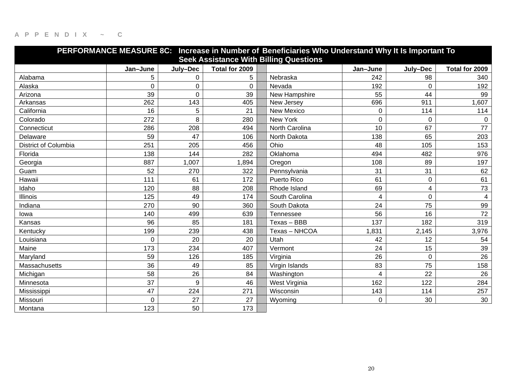| PERFORMANCE MEASURE 8C: Increase in Number of Beneficiaries Who Understand Why It Is Important To |                  |             |                |  |                  |          |                |                |  |  |  |
|---------------------------------------------------------------------------------------------------|------------------|-------------|----------------|--|------------------|----------|----------------|----------------|--|--|--|
| <b>Seek Assistance With Billing Questions</b>                                                     |                  |             |                |  |                  |          |                |                |  |  |  |
|                                                                                                   | Jan-June         | July-Dec    | Total for 2009 |  |                  | Jan-June | July-Dec       | Total for 2009 |  |  |  |
| Alabama                                                                                           | 5                | 0           | 5              |  | Nebraska         | 242      | 98             | 340            |  |  |  |
| Alaska                                                                                            | 0                | $\pmb{0}$   | 0              |  | Nevada           | 192      | $\Omega$       | 192            |  |  |  |
| Arizona                                                                                           | 39               | $\mathbf 0$ | 39             |  | New Hampshire    | 55       | 44             | 99             |  |  |  |
| Arkansas                                                                                          | $\overline{262}$ | 143         | 405            |  | New Jersey       | 696      | 911            | 1,607          |  |  |  |
| California                                                                                        | 16               | 5           | 21             |  | New Mexico       | 0        | 114            | 114            |  |  |  |
| Colorado                                                                                          | 272              | 8           | 280            |  | New York         | 0        | $\overline{0}$ | $\Omega$       |  |  |  |
| Connecticut                                                                                       | 286              | 208         | 494            |  | North Carolina   | 10       | 67             | 77             |  |  |  |
| Delaware                                                                                          | 59               | 47          | 106            |  | North Dakota     | 138      | 65             | 203            |  |  |  |
| District of Columbia                                                                              | 251              | 205         | 456            |  | Ohio             | 48       | 105            | 153            |  |  |  |
| Florida                                                                                           | 138              | 144         | 282            |  | Oklahoma         | 494      | 482            | 976            |  |  |  |
| Georgia                                                                                           | 887              | 1,007       | 1,894          |  | Oregon           | 108      | 89             | 197            |  |  |  |
| Guam                                                                                              | 52               | 270         | 322            |  | Pennsylvania     | 31       | 31             | 62             |  |  |  |
| Hawaii                                                                                            | 111              | 61          | 172            |  | Puerto Rico      | 61       | 0              | 61             |  |  |  |
| Idaho                                                                                             | 120              | 88          | 208            |  | Rhode Island     | 69       | 4              | 73             |  |  |  |
| <b>Illinois</b>                                                                                   | 125              | 49          | 174            |  | South Carolina   | 4        | 0              | 4              |  |  |  |
| Indiana                                                                                           | 270              | 90          | 360            |  | South Dakota     | 24       | 75             | 99             |  |  |  |
| lowa                                                                                              | 140              | 499         | 639            |  | <b>Tennessee</b> | 56       | 16             | 72             |  |  |  |
| Kansas                                                                                            | 96               | 85          | 181            |  | Texas - BBB      | 137      | 182            | 319            |  |  |  |
| Kentucky                                                                                          | 199              | 239         | 438            |  | Texas - NHCOA    | 1,831    | 2,145          | 3,976          |  |  |  |
| Louisiana                                                                                         | $\Omega$         | 20          | 20             |  | Utah             | 42       | 12             | 54             |  |  |  |
| Maine                                                                                             | 173              | 234         | 407            |  | Vermont          | 24       | 15             | 39             |  |  |  |
| Maryland                                                                                          | 59               | 126         | 185            |  | Virginia         | 26       | 0              | 26             |  |  |  |
| Massachusetts                                                                                     | 36               | 49          | 85             |  | Virgin Islands   | 83       | 75             | 158            |  |  |  |
| Michigan                                                                                          | 58               | 26          | 84             |  | Washington       | 4        | 22             | 26             |  |  |  |
| Minnesota                                                                                         | 37               | 9           | 46             |  | West Virginia    | 162      | 122            | 284            |  |  |  |
| Mississippi                                                                                       | 47               | 224         | 271            |  | Wisconsin        | 143      | 114            | 257            |  |  |  |
| Missouri                                                                                          | $\Omega$         | 27          | 27             |  | Wyoming          | 0        | 30             | 30             |  |  |  |
| Montana                                                                                           | 123              | 50          | 173            |  |                  |          |                |                |  |  |  |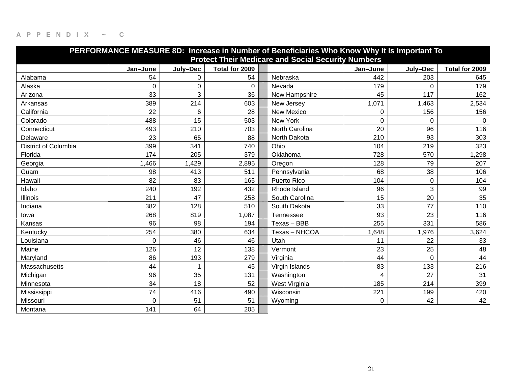| PERFORMANCE MEASURE 8D: Increase in Number of Beneficiaries Who Know Why It Is Important To<br><b>Protect Their Medicare and Social Security Numbers</b> |          |          |                |                |                |                |                |  |  |  |  |  |
|----------------------------------------------------------------------------------------------------------------------------------------------------------|----------|----------|----------------|----------------|----------------|----------------|----------------|--|--|--|--|--|
|                                                                                                                                                          | Jan-June | July-Dec | Total for 2009 |                | Jan-June       | July-Dec       | Total for 2009 |  |  |  |  |  |
| Alabama                                                                                                                                                  | 54       | 0        | 54             | Nebraska       | 442            | 203            | 645            |  |  |  |  |  |
| Alaska                                                                                                                                                   | 0        | 0        | $\Omega$       | Nevada         | 179            | 0              | 179            |  |  |  |  |  |
| Arizona                                                                                                                                                  | 33       | 3        | 36             | New Hampshire  | 45             | 117            | 162            |  |  |  |  |  |
| Arkansas                                                                                                                                                 | 389      | 214      | 603            | New Jersey     | 1,071          | 1,463          | 2,534          |  |  |  |  |  |
| California                                                                                                                                               | 22       | 6        | 28             | New Mexico     | 0              | 156            | 156            |  |  |  |  |  |
| Colorado                                                                                                                                                 | 488      | 15       | 503            | New York       | $\mathbf 0$    | $\overline{0}$ | $\Omega$       |  |  |  |  |  |
| Connecticut                                                                                                                                              | 493      | 210      | 703            | North Carolina | 20             | 96             | 116            |  |  |  |  |  |
| Delaware                                                                                                                                                 | 23       | 65       | 88             | North Dakota   | 210            | 93             | 303            |  |  |  |  |  |
| District of Columbia                                                                                                                                     | 399      | 341      | 740            | Ohio           | 104            | 219            | 323            |  |  |  |  |  |
| Florida                                                                                                                                                  | 174      | 205      | 379            | Oklahoma       | 728            | 570            | 1,298          |  |  |  |  |  |
| Georgia                                                                                                                                                  | 1,466    | 1,429    | 2,895          | Oregon         | 128            | 79             | 207            |  |  |  |  |  |
| Guam                                                                                                                                                     | 98       | 413      | 511            | Pennsylvania   | 68             | 38             | 106            |  |  |  |  |  |
| Hawaii                                                                                                                                                   | 82       | 83       | 165            | Puerto Rico    | 104            | 0              | 104            |  |  |  |  |  |
| Idaho                                                                                                                                                    | 240      | 192      | 432            | Rhode Island   | 96             | 3              | 99             |  |  |  |  |  |
| <b>Illinois</b>                                                                                                                                          | 211      | 47       | 258            | South Carolina | 15             | 20             | 35             |  |  |  |  |  |
| Indiana                                                                                                                                                  | 382      | 128      | 510            | South Dakota   | 33             | 77             | 110            |  |  |  |  |  |
| lowa                                                                                                                                                     | 268      | 819      | 1,087          | Tennessee      | 93             | 23             | 116            |  |  |  |  |  |
| Kansas                                                                                                                                                   | 96       | 98       | 194            | Texas - BBB    | 255            | 331            | 586            |  |  |  |  |  |
| Kentucky                                                                                                                                                 | 254      | 380      | 634            | Texas - NHCOA  | ,648<br>1      | 1,976          | 3,624          |  |  |  |  |  |
| Louisiana                                                                                                                                                | $\Omega$ | 46       | 46             | Utah           | 11             | 22             | 33             |  |  |  |  |  |
| Maine                                                                                                                                                    | 126      | 12       | 138            | Vermont        | 23             | 25             | 48             |  |  |  |  |  |
| Maryland                                                                                                                                                 | 86       | 193      | 279            | Virginia       | 44             | $\Omega$       | 44             |  |  |  |  |  |
| Massachusetts                                                                                                                                            | 44       |          | 45             | Virgin Islands | 83             | 133            | 216            |  |  |  |  |  |
| Michigan                                                                                                                                                 | 96       | 35       | 131            | Washington     | $\overline{4}$ | 27             | 31             |  |  |  |  |  |
| Minnesota                                                                                                                                                | 34       | 18       | 52             | West Virginia  | 185            | 214            | 399            |  |  |  |  |  |
| Mississippi                                                                                                                                              | 74       | 416      | 490            | Wisconsin      | 221            | 199            | 420            |  |  |  |  |  |
| Missouri                                                                                                                                                 | $\Omega$ | 51       | 51             | Wyoming        | 0              | 42             | 42             |  |  |  |  |  |
| Montana                                                                                                                                                  | 141      | 64       | 205            |                |                |                |                |  |  |  |  |  |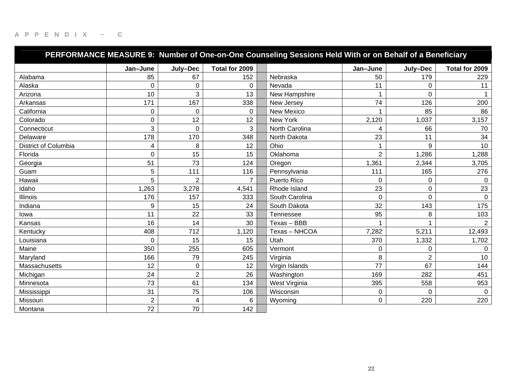|                             | PERFORMANCE MEASURE 9: Number of One-on-One Counseling Sessions Held With or on Behalf of a Beneficiary |                |                |                |                |                |                |  |  |  |  |
|-----------------------------|---------------------------------------------------------------------------------------------------------|----------------|----------------|----------------|----------------|----------------|----------------|--|--|--|--|
|                             | Jan-June                                                                                                | July-Dec       | Total for 2009 |                | Jan-June       | July-Dec       | Total for 2009 |  |  |  |  |
| Alabama                     | 85                                                                                                      | 67             | 152            | Nebraska       | 50             | 179            | 229            |  |  |  |  |
| Alaska                      | 0                                                                                                       | $\mathbf 0$    | 0              | Nevada         | 11             | $\mathbf 0$    | 11             |  |  |  |  |
| Arizona                     | 10                                                                                                      | 3              | 13             | New Hampshire  |                | $\Omega$       |                |  |  |  |  |
| Arkansas                    | 171                                                                                                     | 167            | 338            | New Jersey     | 74             | 126            | 200            |  |  |  |  |
| California                  | 0                                                                                                       | 0              | 0              | New Mexico     |                | 85             | 86             |  |  |  |  |
| Colorado                    | 0                                                                                                       | 12             | 12             | New York       | 2,120          | 1,037          | 3,157          |  |  |  |  |
| Connecticut                 | 3                                                                                                       | $\mathbf 0$    | 3              | North Carolina | 4              | 66             | 70             |  |  |  |  |
| Delaware                    | 178                                                                                                     | 170            | 348            | North Dakota   | 23             | 11             | 34             |  |  |  |  |
| <b>District of Columbia</b> | 4                                                                                                       | 8              | 12             | Ohio           |                | 9              | 10             |  |  |  |  |
| Florida                     | 0                                                                                                       | 15             | 15             | Oklahoma       | $\overline{2}$ | 1,286          | 1,288          |  |  |  |  |
| Georgia                     | 51                                                                                                      | 73             | 124            | Oregon         | 1,361          | 2,344          | 3,705          |  |  |  |  |
| Guam                        | 5                                                                                                       | 111            | 116            | Pennsylvania   | 111            | 165            | 276            |  |  |  |  |
| Hawaii                      | 5                                                                                                       | $\overline{2}$ | $\overline{7}$ | Puerto Rico    | 0              | $\mathbf 0$    | 0              |  |  |  |  |
| Idaho                       | 1,263                                                                                                   | 3,278          | 4,541          | Rhode Island   | 23             | 0              | 23             |  |  |  |  |
| <b>Illinois</b>             | 176                                                                                                     | 157            | 333            | South Carolina | 0              | $\mathbf 0$    | $\mathbf 0$    |  |  |  |  |
| Indiana                     | 9                                                                                                       | 15             | 24             | South Dakota   | 32             | 143            | 175            |  |  |  |  |
| lowa                        | 11                                                                                                      | 22             | 33             | Tennessee      | 95             | 8              | 103            |  |  |  |  |
| Kansas                      | 16                                                                                                      | 14             | 30             | Texas - BBB    |                |                | $\overline{2}$ |  |  |  |  |
| Kentucky                    | 408                                                                                                     | 712            | 1,120          | Texas - NHCOA  | 7,282          | 5,211          | 12,493         |  |  |  |  |
| Louisiana                   | $\Omega$                                                                                                | 15             | 15             | Utah           | 370            | 1,332          | 1,702          |  |  |  |  |
| Maine                       | 350                                                                                                     | 255            | 605            | Vermont        | 0              | 0              | $\Omega$       |  |  |  |  |
| Maryland                    | 166                                                                                                     | 79             | 245            | Virginia       | 8              | $\overline{2}$ | 10             |  |  |  |  |
| Massachusetts               | 12                                                                                                      | 0              | 12             | Virgin Islands | 77             | 67             | 144            |  |  |  |  |
| Michigan                    | 24                                                                                                      | $\sqrt{2}$     | 26             | Washington     | 169            | 282            | 451            |  |  |  |  |
| Minnesota                   | 73                                                                                                      | 61             | 134            | West Virginia  | 395            | 558            | 953            |  |  |  |  |
| Mississippi                 | 31                                                                                                      | 75             | 106            | Wisconsin      | 0              | $\mathbf 0$    | $\mathbf 0$    |  |  |  |  |
| Missouri                    | $\overline{2}$                                                                                          | 4              | 6              | Wyoming        | 0              | 220            | 220            |  |  |  |  |
| Montana                     | 72                                                                                                      | 70             | 142            |                |                |                |                |  |  |  |  |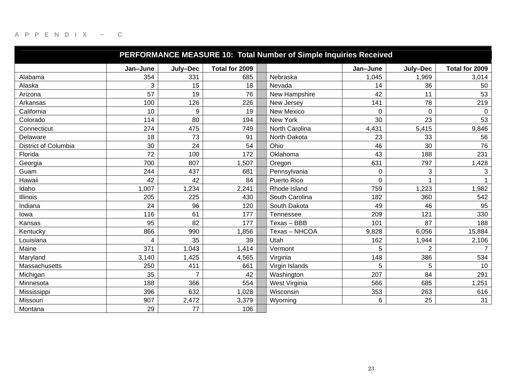| PERFORMANCE MEASURE 10: Total Number of Simple Inquiries Received |          |                |                |                  |             |                |                |  |  |  |  |
|-------------------------------------------------------------------|----------|----------------|----------------|------------------|-------------|----------------|----------------|--|--|--|--|
|                                                                   | Jan-June | July-Dec       | Total for 2009 |                  | Jan-June    | July-Dec       | Total for 2009 |  |  |  |  |
| Alabama                                                           | 354      | 331            | 685            | Nebraska         | 1,045       | 1,969          | 3,014          |  |  |  |  |
| Alaska                                                            | 3        | 15             | 18             | Nevada           | 14          | 36             | 50             |  |  |  |  |
| Arizona                                                           | 57       | 19             | 76             | New Hampshire    | 42          | 11             | 53             |  |  |  |  |
| Arkansas                                                          | 100      | 126            | 226            | New Jersey       | 141         | 78             | 219            |  |  |  |  |
| California                                                        | 10       | 9              | 19             | New Mexico       | $\mathbf 0$ | $\mathbf 0$    | 0              |  |  |  |  |
| Colorado                                                          | 114      | 80             | 194            | New York         | 30          | 23             | 53             |  |  |  |  |
| Connecticut                                                       | 274      | 475            | 749            | North Carolina   | 4,431       | 5,415          | 9,846          |  |  |  |  |
| Delaware                                                          | 18       | 73             | 91             | North Dakota     | 23          | 33             | 56             |  |  |  |  |
| <b>District of Columbia</b>                                       | 30       | 24             | 54             | Ohio             | 46          | 30             | 76             |  |  |  |  |
| Florida                                                           | 72       | 100            | 172            | Oklahoma         | 43          | 188            | 231            |  |  |  |  |
| Georgia                                                           | 700      | 807            | ,507           | Oregon           | 631         | 797            | 1,428          |  |  |  |  |
| Guam                                                              | 244      | 437            | 681            | Pennsylvania     | 0           | 3              | 3              |  |  |  |  |
| Hawaii                                                            | 42       | 42             | 84             | Puerto Rico      | 0           |                |                |  |  |  |  |
| Idaho                                                             | 1,007    | 1,234          | 2,241          | Rhode Island     | 759         | 1,223          | 1,982          |  |  |  |  |
| <b>Illinois</b>                                                   | 205      | 225            | 430            | South Carolina   | 182         | 360            | 542            |  |  |  |  |
| Indiana                                                           | 24       | 96             | 120            | South Dakota     | 49          | 46             | 95             |  |  |  |  |
| lowa                                                              | 116      | 61             | 177            | <b>Tennessee</b> | 209         | 121            | 330            |  |  |  |  |
| Kansas                                                            | 95       | 82             | 177            | Texas - BBB      | 101         | 87             | 188            |  |  |  |  |
| Kentucky                                                          | 866      | 990            | 1,856          | Texas - NHCOA    | 9,828       | 6,056          | 15,884         |  |  |  |  |
| Louisiana                                                         | 4        | 35             | 39             | Utah             | 162         | 1,944          | 2,106          |  |  |  |  |
| Maine                                                             | 371      | 1,043          | 1,414          | Vermont          | 5           | $\overline{2}$ | $\overline{7}$ |  |  |  |  |
| Maryland                                                          | 3,140    | 1,425          | 4,565          | Virginia         | 148         | 386            | 534            |  |  |  |  |
| Massachusetts                                                     | 250      | 411            | 661            | Virgin Islands   | 5           | 5              | 10             |  |  |  |  |
| Michigan                                                          | 35       | $\overline{7}$ | 42             | Washington       | 207         | 84             | 291            |  |  |  |  |
| Minnesota                                                         | 188      | 366            | 554            | West Virginia    | 566         | 685            | 1,251          |  |  |  |  |
| Mississippi                                                       | 396      | 632            | 1,028          | Wisconsin        | 353         | 263            | 616            |  |  |  |  |
| Missouri                                                          | 907      | 2,472          | 3,379          | Wyoming          | 6           | 25             | 31             |  |  |  |  |
| Montana                                                           | 29       | 77             | 106            |                  |             |                |                |  |  |  |  |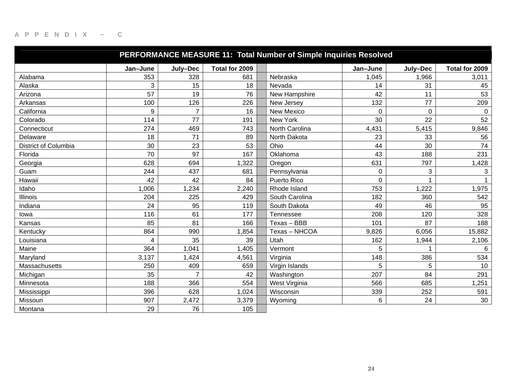| PERFORMANCE MEASURE 11: Total Number of Simple Inquiries Resolved |          |                |                |                  |                |             |                |  |  |  |  |
|-------------------------------------------------------------------|----------|----------------|----------------|------------------|----------------|-------------|----------------|--|--|--|--|
|                                                                   | Jan-June | July-Dec       | Total for 2009 |                  | Jan-June       | July-Dec    | Total for 2009 |  |  |  |  |
| Alabama                                                           | 353      | 328            | 681            | Nebraska         | 1,045          | 1,966       | 3,011          |  |  |  |  |
| Alaska                                                            | 3        | 15             | 18             | Nevada           | 14             | 31          | 45             |  |  |  |  |
| Arizona                                                           | 57       | 19             | 76             | New Hampshire    | 42             | 11          | 53             |  |  |  |  |
| Arkansas                                                          | 100      | 126            | 226            | New Jersey       | 132            | 77          | 209            |  |  |  |  |
| California                                                        | 9        | $\overline{7}$ | 16             | New Mexico       | $\overline{0}$ | $\mathbf 0$ | 0              |  |  |  |  |
| Colorado                                                          | 114      | 77             | 191            | New York         | 30             | 22          | 52             |  |  |  |  |
| Connecticut                                                       | 274      | 469            | 743            | North Carolina   | 4,431          | 5,415       | 9,846          |  |  |  |  |
| Delaware                                                          | 18       | 71             | 89             | North Dakota     | 23             | 33          | 56             |  |  |  |  |
| <b>District of Columbia</b>                                       | 30       | 23             | 53             | Ohio             | 44             | 30          | 74             |  |  |  |  |
| Florida                                                           | 70       | 97             | 167            | Oklahoma         | 43             | 188         | 231            |  |  |  |  |
| Georgia                                                           | 628      | 694            | ,322           | Oregon           | 631            | 797         | 1,428          |  |  |  |  |
| Guam                                                              | 244      | 437            | 681            | Pennsylvania     | 0              | 3           | 3              |  |  |  |  |
| Hawaii                                                            | 42       | 42             | 84             | Puerto Rico      | 0              |             |                |  |  |  |  |
| Idaho                                                             | 1,006    | 1,234          | 2,240          | Rhode Island     | 753            | 1,222       | 1,975          |  |  |  |  |
| <b>Illinois</b>                                                   | 204      | 225            | 429            | South Carolina   | 182            | 360         | 542            |  |  |  |  |
| Indiana                                                           | 24       | 95             | 119            | South Dakota     | 49             | 46          | 95             |  |  |  |  |
| lowa                                                              | 116      | 61             | 177            | <b>Tennessee</b> | 208            | 120         | 328            |  |  |  |  |
| Kansas                                                            | 85       | 81             | 166            | Texas - BBB      | 101            | 87          | 188            |  |  |  |  |
| Kentucky                                                          | 864      | 990            | 1,854          | Texas - NHCOA    | 9,826          | 6,056       | 15,882         |  |  |  |  |
| Louisiana                                                         | 4        | 35             | 39             | Utah             | 162            | 1,944       | 2,106          |  |  |  |  |
| Maine                                                             | 364      | 1,041          | 1,405          | Vermont          | 5              |             | 6              |  |  |  |  |
| Maryland                                                          | 3,137    | 1,424          | 4,561          | Virginia         | 148            | 386         | 534            |  |  |  |  |
| Massachusetts                                                     | 250      | 409            | 659            | Virgin Islands   | 5              | 5           | 10             |  |  |  |  |
| Michigan                                                          | 35       | $\overline{7}$ | 42             | Washington       | 207            | 84          | 291            |  |  |  |  |
| Minnesota                                                         | 188      | 366            | 554            | West Virginia    | 566            | 685         | 1,251          |  |  |  |  |
| Mississippi                                                       | 396      | 628            | 1,024          | Wisconsin        | 339            | 252         | 591            |  |  |  |  |
| Missouri                                                          | 907      | 2,472          | 3,379          | Wyoming          | 6              | 24          | 30             |  |  |  |  |
| Montana                                                           | 29       | 76             | 105            |                  |                |             |                |  |  |  |  |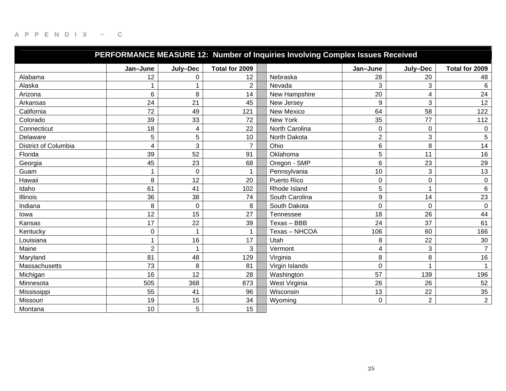| PERFORMANCE MEASURE 12: Number of Inquiries Involving Complex Issues Received |                |             |                |                    |                  |                |                |  |  |  |  |
|-------------------------------------------------------------------------------|----------------|-------------|----------------|--------------------|------------------|----------------|----------------|--|--|--|--|
|                                                                               | Jan-June       | July-Dec    | Total for 2009 |                    | Jan-June         | July-Dec       | Total for 2009 |  |  |  |  |
| Alabama                                                                       | 12             | 0           | 12             | Nebraska           | 28               | 20             | 48             |  |  |  |  |
| Alaska                                                                        |                |             | $\overline{2}$ | Nevada             | 3                | 3              | $6\phantom{1}$ |  |  |  |  |
| Arizona                                                                       | 6              | 8           | 14             | New Hampshire      | 20               | 4              | 24             |  |  |  |  |
| Arkansas                                                                      | 24             | 21          | 45             | New Jersey         | 9                | 3              | 12             |  |  |  |  |
| California                                                                    | 72             | 49          | 121            | <b>New Mexico</b>  | 64               | 58             | 122            |  |  |  |  |
| Colorado                                                                      | 39             | 33          | 72             | New York           | 35               | 77             | 112            |  |  |  |  |
| Connecticut                                                                   | 18             | 4           | 22             | North Carolina     | $\boldsymbol{0}$ | 0              | 0              |  |  |  |  |
| Delaware                                                                      | 5              | $\sqrt{5}$  | 10             | North Dakota       | $\boldsymbol{2}$ | 3              | 5              |  |  |  |  |
| District of Columbia                                                          | 4              | 3           | $\overline{7}$ | Ohio               | 6                | 8              | 14             |  |  |  |  |
| Florida                                                                       | 39             | 52          | 91             | Oklahoma           | 5                | 11             | 16             |  |  |  |  |
| Georgia                                                                       | 45             | 23          | 68             | Oregon - SMP       | 6                | 23             | 29             |  |  |  |  |
| Guam                                                                          | 1              | $\mathbf 0$ | $\mathbf 1$    | Pennsylvania       | 10               | 3              | 13             |  |  |  |  |
| Hawaii                                                                        | 8              | 12          | 20             | <b>Puerto Rico</b> | $\pmb{0}$        | 0              | $\pmb{0}$      |  |  |  |  |
| Idaho                                                                         | 61             | 41          | 102            | Rhode Island       | 5                | 1              | $\,6\,$        |  |  |  |  |
| <b>Illinois</b>                                                               | 36             | 38          | 74             | South Carolina     | 9                | 14             | 23             |  |  |  |  |
| Indiana                                                                       | 8              | $\mathbf 0$ | 8              | South Dakota       | $\mathbf 0$      | $\mathbf 0$    | $\pmb{0}$      |  |  |  |  |
| lowa                                                                          | 12             | 15          | 27             | <b>Tennessee</b>   | 18               | 26             | 44             |  |  |  |  |
| Kansas                                                                        | 17             | 22          | 39             | Texas - BBB        | 24               | 37             | 61             |  |  |  |  |
| Kentucky                                                                      | 0              | 1           | $\mathbf 1$    | Texas - NHCOA      | 106              | 60             | 166            |  |  |  |  |
| Louisiana                                                                     | $\mathbf{1}$   | 16          | 17             | Utah               | 8                | 22             | $30\,$         |  |  |  |  |
| Maine                                                                         | $\overline{2}$ |             | 3              | Vermont            | 4                | 3              | $\overline{7}$ |  |  |  |  |
| Maryland                                                                      | 81             | 48          | 129            | Virginia           | 8                | 8              | 16             |  |  |  |  |
| Massachusetts                                                                 | 73             | 8           | 81             | Virgin Islands     | $\mathbf 0$      |                | $\mathbf{1}$   |  |  |  |  |
| Michigan                                                                      | 16             | 12          | 28             | Washington         | 57               | 139            | 196            |  |  |  |  |
| Minnesota                                                                     | 505            | 368         | 873            | West Virginia      | 26               | 26             | 52             |  |  |  |  |
| Mississippi                                                                   | 55             | 41          | 96             | Wisconsin          | 13               | 22             | 35             |  |  |  |  |
| Missouri                                                                      | 19             | 15          | 34             | Wyoming            | 0                | $\overline{2}$ | $\overline{2}$ |  |  |  |  |
| Montana                                                                       | 10             | 5           | 15             |                    |                  |                |                |  |  |  |  |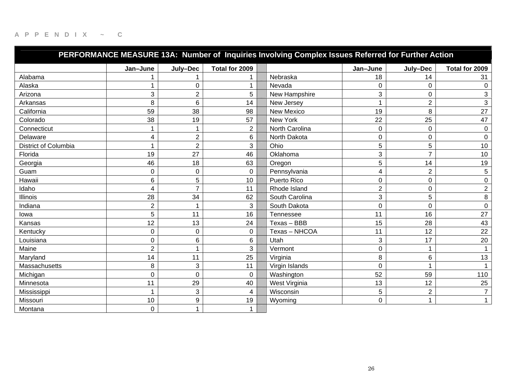| PERFORMANCE MEASURE 13A: Number of Inquiries Involving Complex Issues Referred for Further Action |                |                           |                |                  |                |                |                |  |  |  |  |
|---------------------------------------------------------------------------------------------------|----------------|---------------------------|----------------|------------------|----------------|----------------|----------------|--|--|--|--|
|                                                                                                   | Jan-June       | July-Dec                  | Total for 2009 |                  | Jan-June       | July-Dec       | Total for 2009 |  |  |  |  |
| Alabama                                                                                           |                |                           | 1              | Nebraska         | 18             | 14             | 31             |  |  |  |  |
| Alaska                                                                                            |                | $\mathbf 0$               | 1              | Nevada           | $\mathbf 0$    | $\mathbf 0$    | 0              |  |  |  |  |
| Arizona                                                                                           | 3              | $\overline{2}$            | 5              | New Hampshire    | 3              | $\pmb{0}$      | 3              |  |  |  |  |
| Arkansas                                                                                          | 8              | 6                         | 14             | New Jersey       |                | $\overline{2}$ | 3              |  |  |  |  |
| California                                                                                        | 59             | 38                        | 98             | New Mexico       | 19             | 8              | 27             |  |  |  |  |
| Colorado                                                                                          | 38             | 19                        | 57             | New York         | 22             | 25             | 47             |  |  |  |  |
| Connecticut                                                                                       | 1              | 1                         | $\overline{2}$ | North Carolina   | 0              | $\mathbf 0$    | 0              |  |  |  |  |
| Delaware                                                                                          | 4              | $\overline{2}$            | 6              | North Dakota     | 0              | $\mathbf 0$    | $\pmb{0}$      |  |  |  |  |
| <b>District of Columbia</b>                                                                       | 1              | $\overline{2}$            | 3              | Ohio             | 5              | 5              | 10             |  |  |  |  |
| Florida                                                                                           | 19             | 27                        | 46             | Oklahoma         | 3              | $\overline{7}$ | 10             |  |  |  |  |
| Georgia                                                                                           | 46             | 18                        | 63             | Oregon           | 5              | 14             | 19             |  |  |  |  |
| Guam                                                                                              | $\mathbf 0$    | $\mathbf 0$               | 0              | Pennsylvania     | 4              | $\overline{2}$ | 5              |  |  |  |  |
| Hawaii                                                                                            | 6              | 5                         | 10             | Puerto Rico      | 0              | $\pmb{0}$      | 0              |  |  |  |  |
| Idaho                                                                                             | 4              | $\overline{7}$            | 11             | Rhode Island     | $\overline{c}$ | 0              | $\overline{2}$ |  |  |  |  |
| <b>Illinois</b>                                                                                   | 28             | 34                        | 62             | South Carolina   | 3              | 5              | 8              |  |  |  |  |
| Indiana                                                                                           | $\overline{2}$ | 1                         | 3              | South Dakota     | 0              | 0              | $\pmb{0}$      |  |  |  |  |
| lowa                                                                                              | 5              | 11                        | 16             | <b>Tennessee</b> | 11             | 16             | 27             |  |  |  |  |
| Kansas                                                                                            | 12             | 13                        | 24             | Texas - BBB      | 15             | 28             | 43             |  |  |  |  |
| Kentucky                                                                                          | 0              | $\pmb{0}$                 | 0              | Texas - NHCOA    | 11             | 12             | 22             |  |  |  |  |
| Louisiana                                                                                         | 0              | $\,6$                     | 6              | Utah             | 3              | 17             | 20             |  |  |  |  |
| Maine                                                                                             | $\overline{2}$ |                           | 3              | Vermont          | $\overline{0}$ |                | $\mathbf{1}$   |  |  |  |  |
| Maryland                                                                                          | 14             | 11                        | 25             | Virginia         | 8              | 6              | 13             |  |  |  |  |
| Massachusetts                                                                                     | 8              | $\mathbf{3}$              | 11             | Virgin Islands   | $\mathbf 0$    |                |                |  |  |  |  |
| Michigan                                                                                          | $\mathbf 0$    | $\pmb{0}$                 | 0              | Washington       | 52             | 59             | 110            |  |  |  |  |
| Minnesota                                                                                         | 11             | 29                        | 40             | West Virginia    | 13             | 12             | 25             |  |  |  |  |
| Mississippi                                                                                       | $\mathbf 1$    | $\ensuremath{\mathsf{3}}$ | 4              | Wisconsin        | 5              | $\overline{2}$ | $\overline{7}$ |  |  |  |  |
| Missouri                                                                                          | 10             | 9                         | 19             | Wyoming          | 0              |                | $\mathbf{1}$   |  |  |  |  |
| Montana                                                                                           | $\mathbf 0$    | 1                         | 1              |                  |                |                |                |  |  |  |  |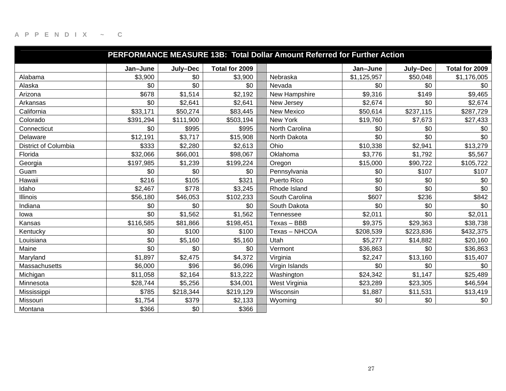| PERFORMANCE MEASURE 13B: Total Dollar Amount Referred for Further Action |           |           |                |                |             |           |                |  |  |  |  |
|--------------------------------------------------------------------------|-----------|-----------|----------------|----------------|-------------|-----------|----------------|--|--|--|--|
|                                                                          | Jan-June  | July-Dec  | Total for 2009 |                | Jan-June    | July-Dec  | Total for 2009 |  |  |  |  |
| Alabama                                                                  | \$3,900   | \$0       | \$3,900        | Nebraska       | \$1,125,957 | \$50,048  | \$1,176,005    |  |  |  |  |
| Alaska                                                                   | \$0       | \$0       | \$0            | Nevada         | \$0         | \$0       | \$0            |  |  |  |  |
| Arizona                                                                  | \$678     | \$1,514   | \$2,192        | New Hampshire  | \$9,316     | \$149     | \$9,465        |  |  |  |  |
| Arkansas                                                                 | \$0       | \$2,641   | \$2,641        | New Jersey     | \$2,674     | \$0       | \$2,674        |  |  |  |  |
| California                                                               | \$33,171  | \$50,274  | \$83,445       | New Mexico     | \$50,614    | \$237,115 | \$287,729      |  |  |  |  |
| Colorado                                                                 | \$391,294 | \$111,900 | \$503,194      | New York       | \$19,760    | \$7,673   | \$27,433       |  |  |  |  |
| Connecticut                                                              | \$0       | \$995     | \$995          | North Carolina | \$0         | \$0       | \$0            |  |  |  |  |
| Delaware                                                                 | \$12,191  | \$3,717   | \$15,908       | North Dakota   | \$0         | \$0       | \$0            |  |  |  |  |
| <b>District of Columbia</b>                                              | \$333     | \$2,280   | \$2,613        | Ohio           | \$10,338    | \$2,941   | \$13,279       |  |  |  |  |
| Florida                                                                  | \$32,066  | \$66,001  | \$98,067       | Oklahoma       | \$3,776     | \$1,792   | \$5,567        |  |  |  |  |
| Georgia                                                                  | \$197,985 | \$1,239   | \$199,224      | Oregon         | \$15,000    | \$90,722  | \$105,722      |  |  |  |  |
| Guam                                                                     | \$0       | \$0       | \$0            | Pennsylvania   | \$0         | \$107     | \$107          |  |  |  |  |
| Hawaii                                                                   | \$216     | \$105     | \$321          | Puerto Rico    | \$0         | \$0       | \$0            |  |  |  |  |
| Idaho                                                                    | \$2,467   | \$778     | \$3,245        | Rhode Island   | \$0         | \$0       | \$0            |  |  |  |  |
| <b>Illinois</b>                                                          | \$56,180  | \$46,053  | \$102,233      | South Carolina | \$607       | \$236     | \$842          |  |  |  |  |
| Indiana                                                                  | \$0       | \$0       | \$0            | South Dakota   | \$0         | \$0       | \$0            |  |  |  |  |
| lowa                                                                     | \$0       | \$1,562   | \$1,562        | Tennessee      | \$2,011     | \$0       | \$2,011        |  |  |  |  |
| Kansas                                                                   | \$116,585 | \$81,866  | \$198,451      | Texas - BBB    | \$9,375     | \$29,363  | \$38,738       |  |  |  |  |
| Kentucky                                                                 | \$0       | \$100     | \$100          | Texas - NHCOA  | \$208,539   | \$223,836 | \$432,375      |  |  |  |  |
| Louisiana                                                                | \$0       | \$5,160   | \$5,160        | Utah           | \$5,277     | \$14,882  | \$20,160       |  |  |  |  |
| Maine                                                                    | \$0       | \$0       | \$0            | Vermont        | \$36,863    | \$0       | \$36,863       |  |  |  |  |
| Maryland                                                                 | \$1,897   | \$2,475   | \$4,372        | Virginia       | \$2,247     | \$13,160  | \$15,407       |  |  |  |  |
| Massachusetts                                                            | \$6,000   | \$96      | \$6,096        | Virgin Islands | \$0         | \$0       | \$0            |  |  |  |  |
| Michigan                                                                 | \$11,058  | \$2,164   | \$13,222       | Washington     | \$24,342    | \$1,147   | \$25,489       |  |  |  |  |
| Minnesota                                                                | \$28,744  | \$5,256   | \$34,001       | West Virginia  | \$23,289    | \$23,305  | \$46,594       |  |  |  |  |
| Mississippi                                                              | \$785     | \$218,344 | \$219,129      | Wisconsin      | \$1,887     | \$11,531  | \$13,419       |  |  |  |  |
| Missouri                                                                 | \$1,754   | \$379     | \$2,133        | Wyoming        | \$0         | \$0       | \$0            |  |  |  |  |
| Montana                                                                  | \$366     | \$0       | \$366          |                |             |           |                |  |  |  |  |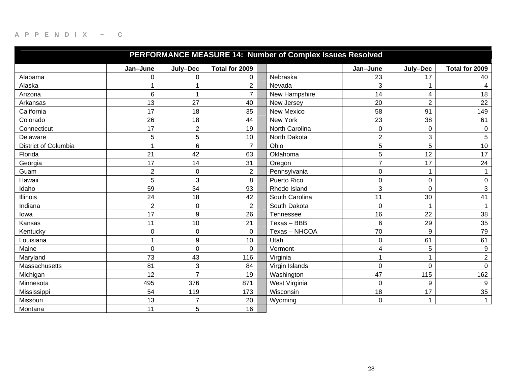| PERFORMANCE MEASURE 14: Number of Complex Issues Resolved |                |                  |                |  |                |                |                         |                  |  |  |  |
|-----------------------------------------------------------|----------------|------------------|----------------|--|----------------|----------------|-------------------------|------------------|--|--|--|
|                                                           | Jan-June       | July-Dec         | Total for 2009 |  |                | Jan-June       | July-Dec                | Total for 2009   |  |  |  |
| Alabama                                                   | 0              | 0                | 0              |  | Nebraska       | 23             | 17                      | 40               |  |  |  |
| Alaska                                                    | 1              | $\mathbf 1$      | $\overline{2}$ |  | Nevada         | 3              |                         | 4                |  |  |  |
| Arizona                                                   | 6              | $\mathbf 1$      | $\overline{7}$ |  | New Hampshire  | 14             | $\overline{\mathbf{4}}$ | 18               |  |  |  |
| Arkansas                                                  | 13             | 27               | 40             |  | New Jersey     | 20             | $\overline{2}$          | 22               |  |  |  |
| California                                                | 17             | 18               | 35             |  | New Mexico     | 58             | 91                      | 149              |  |  |  |
| Colorado                                                  | 26             | 18               | 44             |  | New York       | 23             | 38                      | 61               |  |  |  |
| Connecticut                                               | 17             | $\overline{2}$   | 19             |  | North Carolina | 0              | $\mathbf 0$             | $\mathbf 0$      |  |  |  |
| Delaware                                                  | 5              | 5                | 10             |  | North Dakota   | $\overline{2}$ | 3                       | 5                |  |  |  |
| District of Columbia                                      | 1              | $\,6$            | $\overline{7}$ |  | Ohio           | 5              | 5                       | 10               |  |  |  |
| Florida                                                   | 21             | 42               | 63             |  | Oklahoma       | 5              | 12                      | 17               |  |  |  |
| Georgia                                                   | 17             | 14               | 31             |  | Oregon         | $\overline{7}$ | 17                      | 24               |  |  |  |
| Guam                                                      | $\overline{c}$ | $\pmb{0}$        | $\overline{c}$ |  | Pennsylvania   | 0              | $\mathbf 1$             |                  |  |  |  |
| Hawaii                                                    | 5              | 3                | 8              |  | Puerto Rico    | 0              | $\mathbf 0$             | 0                |  |  |  |
| Idaho                                                     | 59             | 34               | 93             |  | Rhode Island   | 3              | 0                       | 3                |  |  |  |
| <b>Illinois</b>                                           | 24             | 18               | 42             |  | South Carolina | 11             | 30                      | 41               |  |  |  |
| Indiana                                                   | $\overline{2}$ | $\mathbf 0$      | $\overline{2}$ |  | South Dakota   | $\mathbf 0$    | 1                       | $\overline{1}$   |  |  |  |
| lowa                                                      | 17             | 9                | 26             |  | Tennessee      | 16             | 22                      | 38               |  |  |  |
| Kansas                                                    | 11             | 10               | 21             |  | Texas - BBB    | 6              | 29                      | 35               |  |  |  |
| Kentucky                                                  | 0              | $\boldsymbol{0}$ | 0              |  | Texas - NHCOA  | 70             | 9                       | 79               |  |  |  |
| Louisiana                                                 | 1              | 9                | 10             |  | Utah           | 0              | 61                      | 61               |  |  |  |
| Maine                                                     | $\Omega$       | $\mathbf 0$      | 0              |  | Vermont        | 4              | 5                       | 9                |  |  |  |
| Maryland                                                  | 73             | 43               | 116            |  | Virginia       |                |                         | $\overline{2}$   |  |  |  |
| Massachusetts                                             | 81             | 3                | 84             |  | Virgin Islands | $\Omega$       | $\mathbf 0$             | $\mathbf 0$      |  |  |  |
| Michigan                                                  | 12             | $\overline{7}$   | 19             |  | Washington     | 47             | 115                     | 162              |  |  |  |
| Minnesota                                                 | 495            | 376              | 871            |  | West Virginia  | 0              | 9                       | $\boldsymbol{9}$ |  |  |  |
| Mississippi                                               | 54             | 119              | 173            |  | Wisconsin      | 18             | 17                      | 35               |  |  |  |
| Missouri                                                  | 13             | $\overline{7}$   | 20             |  | Wyoming        | 0              | 1                       | $\mathbf{1}$     |  |  |  |
| Montana                                                   | 11             | 5                | 16             |  |                |                |                         |                  |  |  |  |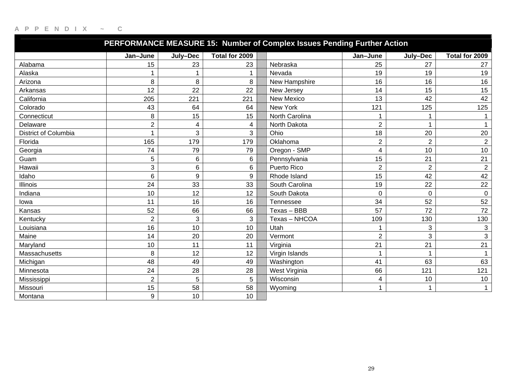| PERFORMANCE MEASURE 15: Number of Complex Issues Pending Further Action |                |          |                 |                |                |                |                           |  |  |  |  |
|-------------------------------------------------------------------------|----------------|----------|-----------------|----------------|----------------|----------------|---------------------------|--|--|--|--|
|                                                                         | Jan-June       | July-Dec | Total for 2009  |                | Jan-June       | July-Dec       | Total for 2009            |  |  |  |  |
| Alabama                                                                 | 15             | 23       | 23              | Nebraska       | 25             | 27             | 27                        |  |  |  |  |
| Alaska                                                                  |                |          |                 | Nevada         | 19             | 19             | 19                        |  |  |  |  |
| Arizona                                                                 | 8              | 8        | 8               | New Hampshire  | 16             | 16             | 16                        |  |  |  |  |
| Arkansas                                                                | 12             | 22       | 22              | New Jersey     | 14             | 15             | 15                        |  |  |  |  |
| California                                                              | 205            | 221      | 221             | New Mexico     | 13             | 42             | 42                        |  |  |  |  |
| Colorado                                                                | 43             | 64       | 64              | New York       | 121            | 125            | 125                       |  |  |  |  |
| Connecticut                                                             | 8              | 15       | 15              | North Carolina |                |                | 1                         |  |  |  |  |
| Delaware                                                                | $\overline{2}$ | 4        | 4               | North Dakota   | $\overline{2}$ | 1              | 1                         |  |  |  |  |
| District of Columbia                                                    |                | 3        | 3               | Ohio           | 18             | 20             | 20                        |  |  |  |  |
| Florida                                                                 | 165            | 179      | 179             | Oklahoma       | $\overline{2}$ | $\overline{2}$ | $\overline{2}$            |  |  |  |  |
| Georgia                                                                 | 74             | 79       | 79              | Oregon - SMP   | 4              | 10             | 10                        |  |  |  |  |
| Guam                                                                    | 5              | 6        | 6               | Pennsylvania   | 15             | 21             | 21                        |  |  |  |  |
| Hawaii                                                                  | 3              | 6        | 6               | Puerto Rico    | $\overline{2}$ | $\overline{2}$ | $\overline{2}$            |  |  |  |  |
| Idaho                                                                   | 6              | 9        | 9               | Rhode Island   | 15             | 42             | 42                        |  |  |  |  |
| <b>Illinois</b>                                                         | 24             | 33       | 33              | South Carolina | 19             | 22             | 22                        |  |  |  |  |
| Indiana                                                                 | 10             | 12       | 12              | South Dakota   | $\overline{0}$ | $\mathbf 0$    | $\pmb{0}$                 |  |  |  |  |
| lowa                                                                    | 11             | 16       | 16              | Tennessee      | 34             | 52             | 52                        |  |  |  |  |
| Kansas                                                                  | 52             | 66       | 66              | Texas - BBB    | 57             | 72             | 72                        |  |  |  |  |
| Kentucky                                                                | $\overline{2}$ | 3        | 3               | Texas - NHCOA  | 109            | 130            | 130                       |  |  |  |  |
| Louisiana                                                               | 16             | 10       | 10              | Utah           |                | 3              | $\ensuremath{\mathsf{3}}$ |  |  |  |  |
| Maine                                                                   | 14             | 20       | 20              | Vermont        | $\overline{2}$ | $\mathbf{3}$   | 3                         |  |  |  |  |
| Maryland                                                                | 10             | 11       | 11              | Virginia       | 21             | 21             | 21                        |  |  |  |  |
| Massachusetts                                                           | 8              | 12       | 12              | Virgin Islands | $\mathbf 1$    | 1              | 1                         |  |  |  |  |
| Michigan                                                                | 48             | 49       | 49              | Washington     | 41             | 63             | 63                        |  |  |  |  |
| Minnesota                                                               | 24             | 28       | 28              | West Virginia  | 66             | 121            | 121                       |  |  |  |  |
| Mississippi                                                             | 2              | 5        | 5               | Wisconsin      | 4              | 10             | 10                        |  |  |  |  |
| Missouri                                                                | 15             | 58       | 58              | Wyoming        | $\overline{1}$ | 1              | $\mathbf{1}$              |  |  |  |  |
| Montana                                                                 | 9              | 10       | 10 <sup>°</sup> |                |                |                |                           |  |  |  |  |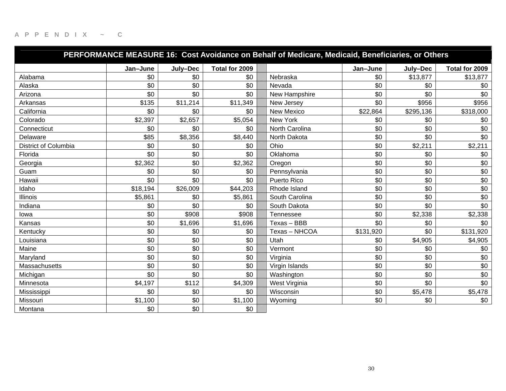| PERFORMANCE MEASURE 16: Cost Avoidance on Behalf of Medicare, Medicaid, Beneficiaries, or Others |          |          |                |                   |           |           |                |  |  |  |
|--------------------------------------------------------------------------------------------------|----------|----------|----------------|-------------------|-----------|-----------|----------------|--|--|--|
|                                                                                                  | Jan-June | July-Dec | Total for 2009 |                   | Jan-June  | July-Dec  | Total for 2009 |  |  |  |
| Alabama                                                                                          | \$0      | \$0      | \$0            | Nebraska          | \$0       | \$13,877  | \$13,877       |  |  |  |
| Alaska                                                                                           | \$0      | \$0      | \$0            | Nevada            | \$0       | \$0       | \$0            |  |  |  |
| Arizona                                                                                          | \$0      | \$0      | \$0            | New Hampshire     | \$0       | \$0       | \$0            |  |  |  |
| Arkansas                                                                                         | \$135    | \$11,214 | \$11,349       | New Jersey        | \$0       | \$956     | \$956          |  |  |  |
| California                                                                                       | \$0      | \$0      | \$0            | <b>New Mexico</b> | \$22,864  | \$295,136 | \$318,000      |  |  |  |
| Colorado                                                                                         | \$2,397  | \$2,657  | \$5,054        | New York          | \$0       | \$0       | \$0            |  |  |  |
| Connecticut                                                                                      | \$0      | \$0      | \$0            | North Carolina    | \$0       | \$0       | \$0            |  |  |  |
| Delaware                                                                                         | \$85     | \$8,356  | \$8,440        | North Dakota      | \$0       | \$0       | \$0            |  |  |  |
| <b>District of Columbia</b>                                                                      | \$0      | \$0      | \$0            | Ohio              | \$0       | \$2,211   | \$2,211        |  |  |  |
| Florida                                                                                          | \$0      | \$0      | \$0            | Oklahoma          | \$0       | \$0       | \$0            |  |  |  |
| Georgia                                                                                          | \$2,362  | \$0      | \$2,362        | Oregon            | \$0       | \$0       | \$0            |  |  |  |
| Guam                                                                                             | \$0      | \$0      | \$0            | Pennsylvania      | \$0       | \$0       | \$0            |  |  |  |
| Hawaii                                                                                           | \$0      | \$0      | \$0            | Puerto Rico       | \$0       | \$0       | \$0            |  |  |  |
| Idaho                                                                                            | \$18,194 | \$26,009 | \$44,203       | Rhode Island      | \$0       | \$0       | \$0            |  |  |  |
| <b>Illinois</b>                                                                                  | \$5,861  | \$0      | \$5,861        | South Carolina    | \$0       | \$0       | \$0            |  |  |  |
| Indiana                                                                                          | \$0      | \$0      | \$0            | South Dakota      | \$0       | \$0       | \$0            |  |  |  |
| lowa                                                                                             | \$0      | \$908    | \$908          | Tennessee         | \$0       | \$2,338   | \$2,338        |  |  |  |
| Kansas                                                                                           | \$0      | \$1,696  | \$1,696        | Texas - BBB       | \$0       | \$0       | \$0            |  |  |  |
| Kentucky                                                                                         | \$0      | \$0      | \$0            | Texas - NHCOA     | \$131,920 | \$0       | \$131,920      |  |  |  |
| Louisiana                                                                                        | \$0      | \$0      | \$0            | Utah              | \$0       | \$4,905   | \$4,905        |  |  |  |
| Maine                                                                                            | \$0      | \$0      | \$0            | Vermont           | \$0       | \$0       | \$0            |  |  |  |
| Maryland                                                                                         | \$0      | \$0      | \$0            | Virginia          | \$0       | \$0       | \$0            |  |  |  |
| Massachusetts                                                                                    | \$0      | \$0      | \$0            | Virgin Islands    | \$0       | \$0       | \$0            |  |  |  |
| Michigan                                                                                         | \$0      | \$0      | \$0            | Washington        | \$0       | \$0       | \$0            |  |  |  |
| Minnesota                                                                                        | \$4,197  | \$112    | \$4,309        | West Virginia     | \$0       | \$0       | \$0            |  |  |  |
| Mississippi                                                                                      | \$0      | \$0      | \$0            | Wisconsin         | \$0       | \$5,478   | \$5,478        |  |  |  |
| Missouri                                                                                         | \$1,100  | \$0      | \$1,100        | Wyoming           | \$0       | \$0       | \$0            |  |  |  |
| Montana                                                                                          | \$0      | \$0      | \$0            |                   |           |           |                |  |  |  |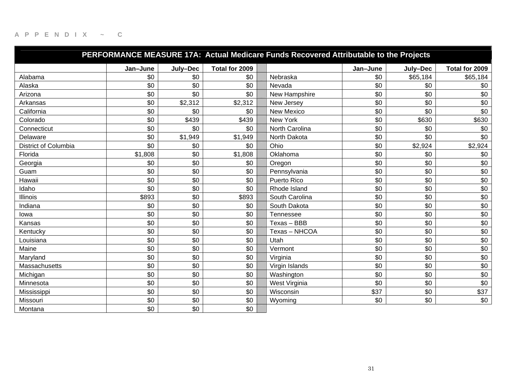| PERFORMANCE MEASURE 17A: Actual Medicare Funds Recovered Attributable to the Projects |          |          |                |  |                |          |          |                |  |  |
|---------------------------------------------------------------------------------------|----------|----------|----------------|--|----------------|----------|----------|----------------|--|--|
|                                                                                       | Jan-June | July-Dec | Total for 2009 |  |                | Jan-June | July-Dec | Total for 2009 |  |  |
| Alabama                                                                               | \$0      | \$0      | \$0            |  | Nebraska       | \$0      | \$65,184 | \$65,184       |  |  |
| Alaska                                                                                | \$0      | \$0      | \$0            |  | Nevada         | \$0      | \$0      | \$0            |  |  |
| Arizona                                                                               | \$0      | \$0      | \$0            |  | New Hampshire  | \$0      | \$0      | \$0            |  |  |
| Arkansas                                                                              | \$0      | \$2,312  | \$2,312        |  | New Jersey     | \$0      | \$0      | \$0            |  |  |
| California                                                                            | \$0      | \$0      | \$0            |  | New Mexico     | \$0      | \$0      | \$0            |  |  |
| Colorado                                                                              | \$0      | \$439    | \$439          |  | New York       | \$0      | \$630    | \$630          |  |  |
| Connecticut                                                                           | \$0      | \$0      | \$0            |  | North Carolina | \$0      | \$0      | \$0            |  |  |
| Delaware                                                                              | \$0      | \$1,949  | \$1,949        |  | North Dakota   | \$0      | \$0      | \$0            |  |  |
| District of Columbia                                                                  | \$0      | \$0      | \$0            |  | Ohio           | \$0      | \$2,924  | \$2,924        |  |  |
| Florida                                                                               | \$1,808  | \$0      | \$1,808        |  | Oklahoma       | \$0      | \$0      | \$0            |  |  |
| Georgia                                                                               | \$0      | \$0      | \$0            |  | Oregon         | \$0      | \$0      | \$0            |  |  |
| Guam                                                                                  | \$0      | \$0      | \$0            |  | Pennsylvania   | \$0      | \$0      | \$0            |  |  |
| Hawaii                                                                                | \$0      | \$0      | \$0            |  | Puerto Rico    | \$0      | \$0      | \$0            |  |  |
| Idaho                                                                                 | \$0      | \$0      | \$0            |  | Rhode Island   | \$0      | \$0      | \$0            |  |  |
| <b>Illinois</b>                                                                       | \$893    | \$0      | \$893          |  | South Carolina | \$0      | \$0      | \$0            |  |  |
| Indiana                                                                               | \$0      | \$0      | \$0            |  | South Dakota   | \$0      | \$0      | \$0            |  |  |
| lowa                                                                                  | \$0      | \$0      | \$0            |  | Tennessee      | \$0      | \$0      | \$0            |  |  |
| Kansas                                                                                | \$0      | \$0      | \$0            |  | Texas - BBB    | \$0      | \$0      | \$0            |  |  |
| Kentucky                                                                              | \$0      | \$0      | \$0            |  | Texas - NHCOA  | \$0      | \$0      | \$0            |  |  |
| Louisiana                                                                             | \$0      | \$0      | \$0            |  | Utah           | \$0      | \$0      | \$0            |  |  |
| Maine                                                                                 | \$0      | \$0      | \$0            |  | Vermont        | \$0      | \$0      | \$0            |  |  |
| Maryland                                                                              | \$0      | \$0      | \$0            |  | Virginia       | \$0      | \$0      | \$0            |  |  |
| Massachusetts                                                                         | \$0      | \$0      | \$0            |  | Virgin Islands | \$0      | \$0      | \$0            |  |  |
| Michigan                                                                              | \$0      | \$0      | \$0            |  | Washington     | \$0      | \$0      | \$0            |  |  |
| Minnesota                                                                             | \$0      | \$0      | \$0            |  | West Virginia  | \$0      | \$0      | \$0            |  |  |
| Mississippi                                                                           | \$0      | \$0      | \$0            |  | Wisconsin      | \$37     | \$0      | \$37           |  |  |
| Missouri                                                                              | \$0      | \$0      | \$0            |  | Wyoming        | \$0      | \$0      | \$0            |  |  |
| Montana                                                                               | \$0      | \$0      | \$0            |  |                |          |          |                |  |  |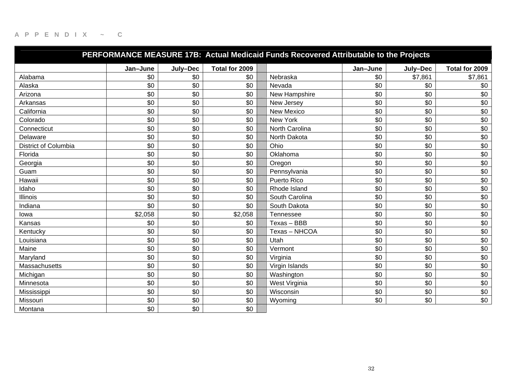|                             |          |          |                | PERFORMANCE MEASURE 17B: Actual Medicaid Funds Recovered Attributable to the Projects |          |          |                |
|-----------------------------|----------|----------|----------------|---------------------------------------------------------------------------------------|----------|----------|----------------|
|                             | Jan-June | July-Dec | Total for 2009 |                                                                                       | Jan-June | July-Dec | Total for 2009 |
| Alabama                     | \$0      | \$0      | \$0            | Nebraska                                                                              | \$0      | \$7,861  | \$7,861        |
| Alaska                      | \$0      | \$0      | \$0            | Nevada                                                                                | \$0      | \$0      | \$0            |
| Arizona                     | \$0      | \$0      | \$0            | New Hampshire                                                                         | \$0      | \$0      | \$0            |
| Arkansas                    | \$0      | \$0      | \$0            | New Jersey                                                                            | \$0      | \$0      | \$0            |
| California                  | \$0      | \$0      | \$0            | New Mexico                                                                            | \$0      | \$0      | \$0            |
| Colorado                    | \$0      | \$0      | \$0            | New York                                                                              | \$0      | \$0      | \$0            |
| Connecticut                 | \$0      | \$0      | \$0            | North Carolina                                                                        | \$0      | \$0      | \$0            |
| Delaware                    | \$0      | \$0      | \$0            | North Dakota                                                                          | \$0      | \$0      | \$0            |
| <b>District of Columbia</b> | \$0      | \$0      | \$0            | Ohio                                                                                  | \$0      | \$0      | \$0            |
| Florida                     | \$0      | \$0      | \$0            | Oklahoma                                                                              | \$0      | \$0      | \$0            |
| Georgia                     | \$0      | \$0      | \$0            | Oregon                                                                                | \$0      | \$0      | \$0            |
| Guam                        | \$0      | \$0      | \$0            | Pennsylvania                                                                          | \$0      | \$0      | \$0            |
| Hawaii                      | \$0      | \$0      | \$0            | Puerto Rico                                                                           | \$0      | \$0      | \$0            |
| Idaho                       | \$0      | \$0      | \$0            | Rhode Island                                                                          | \$0      | \$0      | \$0            |
| <b>Illinois</b>             | \$0      | \$0      | \$0            | South Carolina                                                                        | \$0      | \$0      | \$0            |
| Indiana                     | \$0      | \$0      | \$0            | South Dakota                                                                          | \$0      | \$0      | \$0            |
| lowa                        | \$2,058  | \$0      | \$2,058        | Tennessee                                                                             | \$0      | \$0      | \$0            |
| Kansas                      | \$0      | \$0      | \$0            | Texas - BBB                                                                           | \$0      | \$0      | \$0            |
| Kentuckv                    | \$0      | \$0      | \$0            | Texas - NHCOA                                                                         | \$0      | \$0      | \$0            |
| Louisiana                   | \$0      | \$0      | \$0            | Utah                                                                                  | \$0      | \$0      | \$0            |
| Maine                       | \$0      | \$0      | \$0            | Vermont                                                                               | \$0      | \$0      | \$0            |
| Maryland                    | \$0      | \$0      | \$0            | Virginia                                                                              | \$0      | \$0      | \$0            |
| Massachusetts               | \$0      | \$0      | \$0            | Virgin Islands                                                                        | \$0      | \$0      | \$0            |
| Michigan                    | \$0      | \$0      | \$0            | Washington                                                                            | \$0      | \$0      | \$0            |
| Minnesota                   | \$0      | \$0      | \$0            | West Virginia                                                                         | \$0      | \$0      | \$0            |
| Mississippi                 | \$0      | \$0      | \$0            | Wisconsin                                                                             | \$0      | \$0      | \$0            |
| Missouri                    | \$0      | \$0      | \$0            | Wyoming                                                                               | \$0      | \$0      | \$0            |
| Montana                     | \$0      | \$0      | \$0            |                                                                                       |          |          |                |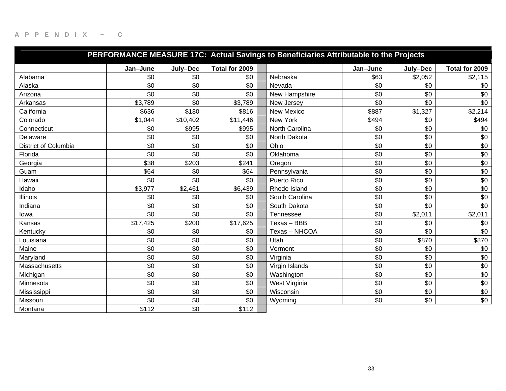| PERFORMANCE MEASURE 17C: Actual Savings to Beneficiaries Attributable to the Projects |          |          |                |  |                  |          |          |                |
|---------------------------------------------------------------------------------------|----------|----------|----------------|--|------------------|----------|----------|----------------|
|                                                                                       | Jan-June | July-Dec | Total for 2009 |  |                  | Jan-June | July-Dec | Total for 2009 |
| Alabama                                                                               | \$0      | \$0      | \$0            |  | Nebraska         | \$63     | \$2,052  | \$2,115        |
| Alaska                                                                                | \$0      | \$0      | \$0            |  | Nevada           | \$0      | \$0      | \$0            |
| Arizona                                                                               | \$0\$    | \$0      | \$0            |  | New Hampshire    | \$0      | \$0      | \$0            |
| Arkansas                                                                              | \$3,789  | \$0      | \$3,789        |  | New Jersey       | \$0      | \$0      | \$0            |
| California                                                                            | \$636    | \$180    | \$816          |  | New Mexico       | \$887    | \$1,327  | \$2,214        |
| Colorado                                                                              | \$1,044  | \$10,402 | \$11,446       |  | New York         | \$494    | \$0      | \$494          |
| Connecticut                                                                           | \$0      | \$995    | \$995          |  | North Carolina   | \$0      | \$0      | \$0            |
| Delaware                                                                              | \$0      | \$0      | \$0            |  | North Dakota     | \$0      | \$0      | \$0            |
| District of Columbia                                                                  | \$0      | \$0      | \$0            |  | Ohio             | \$0      | \$0      | \$0            |
| Florida                                                                               | \$0      | \$0      | \$0            |  | Oklahoma         | \$0      | \$0      | \$0            |
| Georgia                                                                               | \$38     | \$203    | \$241          |  | Oregon           | \$0      | \$0      | \$0            |
| Guam                                                                                  | \$64     | \$0      | \$64           |  | Pennsylvania     | \$0      | \$0      | \$0            |
| Hawaii                                                                                | \$0      | \$0      | \$0            |  | Puerto Rico      | \$0      | \$0      | \$0            |
| Idaho                                                                                 | \$3,977  | \$2,461  | \$6,439        |  | Rhode Island     | \$0      | \$0      | \$0            |
| <b>Illinois</b>                                                                       | \$0      | \$0      | \$0            |  | South Carolina   | \$0      | \$0      | \$0            |
| Indiana                                                                               | \$0      | \$0      | \$0            |  | South Dakota     | \$0      | \$0      | \$0            |
| lowa                                                                                  | \$0      | \$0      | \$0            |  | <b>Tennessee</b> | \$0      | \$2,011  | \$2,011        |
| Kansas                                                                                | \$17,425 | \$200    | \$17,625       |  | Texas - BBB      | \$0      | \$0      | \$0            |
| Kentucky                                                                              | \$0      | \$0      | \$0            |  | Texas - NHCOA    | \$0      | \$0      | \$0            |
| Louisiana                                                                             | \$0      | \$0      | \$0            |  | Utah             | \$0      | \$870    | \$870          |
| Maine                                                                                 | \$0      | \$0      | \$0            |  | Vermont          | \$0      | \$0      | \$0            |
| Maryland                                                                              | \$0      | \$0      | \$0            |  | Virginia         | \$0      | \$0      | \$0            |
| Massachusetts                                                                         | \$0      | \$0      | \$0            |  | Virgin Islands   | \$0      | \$0      | \$0            |
| Michigan                                                                              | \$0      | \$0      | \$0            |  | Washington       | \$0      | \$0      | \$0            |
| Minnesota                                                                             | \$0      | \$0      | \$0            |  | West Virginia    | \$0      | \$0      | \$0            |
| Mississippi                                                                           | \$0      | \$0      | \$0            |  | Wisconsin        | \$0      | \$0      | \$0            |
| Missouri                                                                              | \$0      | \$0      | \$0            |  | Wyoming          | \$0      | \$0      | \$0            |
| Montana                                                                               | \$112    | \$0      | \$112          |  |                  |          |          |                |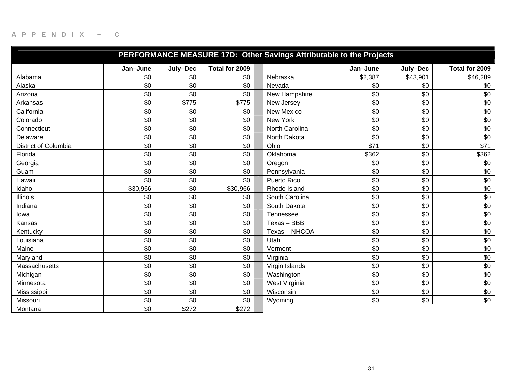| PERFORMANCE MEASURE 17D: Other Savings Attributable to the Projects |          |          |                |                   |          |          |                |  |  |
|---------------------------------------------------------------------|----------|----------|----------------|-------------------|----------|----------|----------------|--|--|
|                                                                     | Jan-June | July-Dec | Total for 2009 |                   | Jan-June | July-Dec | Total for 2009 |  |  |
| Alabama                                                             | \$0      | \$0      | \$0            | Nebraska          | \$2,387  | \$43,901 | \$46,289       |  |  |
| Alaska                                                              | \$0      | \$0      | \$0            | Nevada            | \$0      | \$0      | \$0            |  |  |
| Arizona                                                             | \$0      | \$0      | \$0            | New Hampshire     | \$0      | \$0      | \$0            |  |  |
| Arkansas                                                            | \$0      | \$775    | \$775          | New Jersey        | \$0      | \$0      | \$0            |  |  |
| California                                                          | \$0      | \$0      | \$0            | <b>New Mexico</b> | \$0      | \$0      | \$0            |  |  |
| Colorado                                                            | \$0      | \$0      | \$0            | New York          | \$0      | \$0      | \$0            |  |  |
| Connecticut                                                         | \$0      | \$0      | \$0            | North Carolina    | \$0      | \$0      | \$0            |  |  |
| Delaware                                                            | \$0      | \$0      | \$0            | North Dakota      | \$0      | \$0      | \$0            |  |  |
| <b>District of Columbia</b>                                         | \$0      | \$0      | \$0            | Ohio              | \$71     | \$0      | \$71           |  |  |
| Florida                                                             | \$0      | \$0      | \$0            | Oklahoma          | \$362    | \$0      | \$362          |  |  |
| Georgia                                                             | \$0      | \$0      | \$0            | Oregon            | \$0      | \$0      | \$0            |  |  |
| Guam                                                                | \$0      | \$0      | \$0            | Pennsylvania      | \$0      | \$0      | \$0            |  |  |
| Hawaii                                                              | \$0      | \$0      | \$0            | Puerto Rico       | \$0      | \$0      | \$0            |  |  |
| Idaho                                                               | \$30,966 | \$0      | \$30,966       | Rhode Island      | \$0      | \$0      | \$0            |  |  |
| Illinois                                                            | \$0      | \$0      | \$0            | South Carolina    | \$0      | \$0      | \$0            |  |  |
| Indiana                                                             | \$0      | \$0      | \$0            | South Dakota      | \$0      | \$0      | \$0            |  |  |
| lowa                                                                | \$0      | \$0      | \$0            | Tennessee         | \$0      | \$0      | \$0            |  |  |
| Kansas                                                              | \$0      | \$0      | \$0            | Texas - BBB       | \$0      | \$0      | \$0            |  |  |
| Kentucky                                                            | \$0      | \$0      | \$0            | Texas - NHCOA     | \$0      | \$0      | \$0            |  |  |
| Louisiana                                                           | \$0      | \$0      | \$0            | Utah              | \$0      | \$0      | \$0            |  |  |
| Maine                                                               | \$0      | \$0      | \$0            | Vermont           | \$0      | \$0      | \$0            |  |  |
| Maryland                                                            | \$0      | \$0      | \$0            | Virginia          | \$0      | \$0      | \$0            |  |  |
| Massachusetts                                                       | \$0      | \$0      | \$0            | Virgin Islands    | \$0      | \$0      | \$0            |  |  |
| Michigan                                                            | \$0      | \$0      | \$0            | Washington        | \$0      | \$0      | \$0            |  |  |
| Minnesota                                                           | \$0      | \$0      | \$0            | West Virginia     | \$0      | \$0      | \$0            |  |  |
| Mississippi                                                         | \$0      | \$0      | \$0            | Wisconsin         | \$0      | \$0      | \$0            |  |  |
| Missouri                                                            | \$0      | \$0      | \$0            | Wyoming           | \$0      | \$0      | \$0            |  |  |
| Montana                                                             | \$0      | \$272    | \$272          |                   |          |          |                |  |  |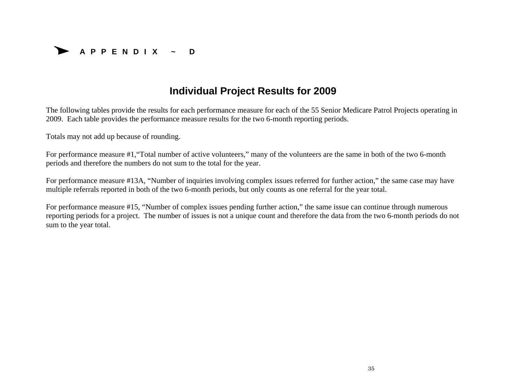

# **Individual Project Results for 2009**

The following tables provide the results for each performance measure for each of the 55 Senior Medicare Patrol Projects operating in 2009. Each table provides the performance measure results for the two 6-month reporting periods.

Totals may not add up because of rounding.

For performance measure #1,"Total number of active volunteers," many of the volunteers are the same in both of the two 6-month periods and therefore the numbers do not sum to the total for the year.

For performance measure #13A, "Number of inquiries involving complex issues referred for further action," the same case may have multiple referrals reported in both of the two 6-month periods, but only counts as one referral for the year total.

For performance measure #15, "Number of complex issues pending further action," the same issue can continue through numerous reporting periods for a project. The number of issues is not a unique count and therefore the data from the two 6-month periods do not sum to the year total.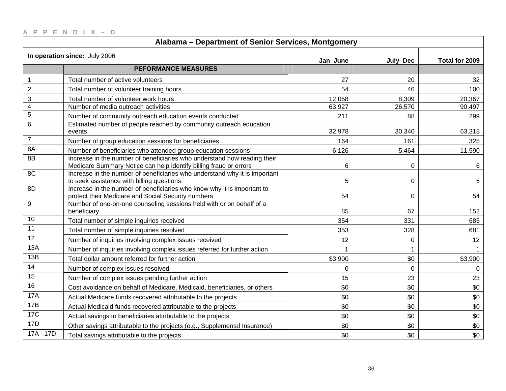|  |  |  |  | $AP$ P E N D   X ~ D |  |
|--|--|--|--|----------------------|--|
|  |  |  |  |                      |  |
|  |  |  |  |                      |  |

| Alabama - Department of Senior Services, Montgomery |                                                                                                                                               |             |          |                |  |  |  |  |
|-----------------------------------------------------|-----------------------------------------------------------------------------------------------------------------------------------------------|-------------|----------|----------------|--|--|--|--|
|                                                     | In operation since: July 2006                                                                                                                 | Jan-June    | July-Dec | Total for 2009 |  |  |  |  |
|                                                     | <b>PEFORMANCE MEASURES</b>                                                                                                                    |             |          |                |  |  |  |  |
| $\mathbf 1$                                         | Total number of active volunteers                                                                                                             | 27          | 20       | 32             |  |  |  |  |
| $\overline{2}$                                      | Total number of volunteer training hours                                                                                                      | 54          | 46       | 100            |  |  |  |  |
| 3                                                   | Total number of volunteer work hours                                                                                                          | 12,058      | 8,309    | 20,367         |  |  |  |  |
| $\overline{\mathcal{A}}$                            | Number of media outreach activities                                                                                                           | 63,927      | 26,570   | 90,497         |  |  |  |  |
| 5                                                   | Number of community outreach education events conducted                                                                                       | 211         | 88       | 299            |  |  |  |  |
| 6                                                   | Estimated number of people reached by community outreach education<br>events                                                                  | 32,978      | 30,340   | 63,318         |  |  |  |  |
| $\overline{7}$                                      | Number of group education sessions for beneficiaries                                                                                          | 164         | 161      | 325            |  |  |  |  |
| <b>8A</b>                                           | Number of beneficiaries who attended group education sessions                                                                                 | 6,126       | 5,464    | 11,590         |  |  |  |  |
| 8B                                                  | Increase in the number of beneficiaries who understand how reading their<br>Medicare Summary Notice can help identify billing fraud or errors | $\,6$       | 0        | 6              |  |  |  |  |
| 8C                                                  | Increase in the number of beneficiaries who understand why it is important<br>to seek assistance with billing questions                       | 5           | 0        | 5              |  |  |  |  |
| 8D                                                  | Increase in the number of beneficiaries who know why it is important to<br>protect their Medicare and Social Security numbers                 | 54          | 0        | 54             |  |  |  |  |
| 9                                                   | Number of one-on-one counseling sessions held with or on behalf of a<br>beneficiary                                                           | 85          | 67       | 152            |  |  |  |  |
| 10                                                  | Total number of simple inquiries received                                                                                                     | 354         | 331      | 685            |  |  |  |  |
| 11                                                  | Total number of simple inquiries resolved                                                                                                     | 353         | 328      | 681            |  |  |  |  |
| 12                                                  | Number of inquiries involving complex issues received                                                                                         | 12          | 0        | 12             |  |  |  |  |
| 13A                                                 | Number of inquiries involving complex issues referred for further action                                                                      | $\mathbf 1$ | 1        |                |  |  |  |  |
| 13B                                                 | Total dollar amount referred for further action                                                                                               | \$3,900     | \$0      | \$3,900        |  |  |  |  |
| 14                                                  | Number of complex issues resolved                                                                                                             | 0           | 0        | 0              |  |  |  |  |
| 15                                                  | Number of complex issues pending further action                                                                                               | 15          | 23       | 23             |  |  |  |  |
| $\overline{16}$                                     | Cost avoidance on behalf of Medicare, Medicaid, beneficiaries, or others                                                                      | \$0         | \$0      | \$0            |  |  |  |  |
| <b>17A</b>                                          | Actual Medicare funds recovered attributable to the projects                                                                                  | \$0         | \$0      | \$0            |  |  |  |  |
| <b>17B</b>                                          | Actual Medicaid funds recovered attributable to the projects                                                                                  | \$0         | \$0      | \$0            |  |  |  |  |
| 17C                                                 | Actual savings to beneficiaries attributable to the projects                                                                                  | \$0         | \$0      | \$0            |  |  |  |  |
| 17D                                                 | Other savings attributable to the projects (e.g., Supplemental Insurance)                                                                     | \$0         | \$0      | \$0            |  |  |  |  |
| $17A - 17D$                                         | Total savings attributable to the projects                                                                                                    | \$0         | \$0      | \$0            |  |  |  |  |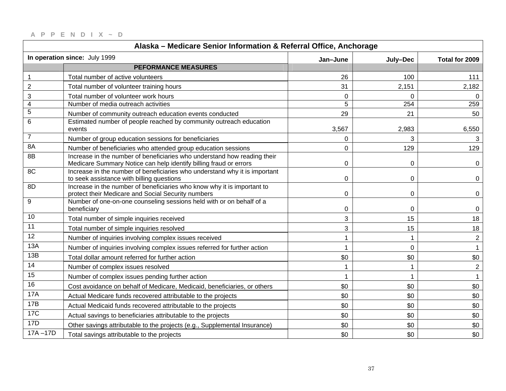| Alaska - Medicare Senior Information & Referral Office, Anchorage |                                                                                                                                               |             |             |                |
|-------------------------------------------------------------------|-----------------------------------------------------------------------------------------------------------------------------------------------|-------------|-------------|----------------|
|                                                                   | In operation since: July 1999                                                                                                                 | Jan-June    | July-Dec    | Total for 2009 |
|                                                                   | <b>PEFORMANCE MEASURES</b>                                                                                                                    |             |             |                |
| $\overline{1}$                                                    | Total number of active volunteers                                                                                                             | 26          | 100         | 111            |
| $\sqrt{2}$                                                        | Total number of volunteer training hours                                                                                                      | 31          | 2,151       | 2,182          |
| $\sqrt{3}$                                                        | Total number of volunteer work hours                                                                                                          | $\mathbf 0$ | $\Omega$    | $\Omega$       |
| $\overline{4}$                                                    | Number of media outreach activities                                                                                                           | 5           | 254         | 259            |
| $\sqrt{5}$                                                        | Number of community outreach education events conducted                                                                                       | 29          | 21          | 50             |
| 6                                                                 | Estimated number of people reached by community outreach education<br>events                                                                  | 3,567       | 2,983       | 6,550          |
| $\overline{7}$                                                    | Number of group education sessions for beneficiaries                                                                                          | 0           | 3           | 3              |
| 8A                                                                | Number of beneficiaries who attended group education sessions                                                                                 | 0           | 129         | 129            |
| 8B                                                                | Increase in the number of beneficiaries who understand how reading their<br>Medicare Summary Notice can help identify billing fraud or errors | $\mathbf 0$ | 0           | $\Omega$       |
| 8C                                                                | Increase in the number of beneficiaries who understand why it is important<br>to seek assistance with billing questions                       | $\pmb{0}$   | 0           | 0              |
| 8D                                                                | Increase in the number of beneficiaries who know why it is important to<br>protect their Medicare and Social Security numbers                 | $\pmb{0}$   | 0           | 0              |
| $\boldsymbol{9}$                                                  | Number of one-on-one counseling sessions held with or on behalf of a<br>beneficiary                                                           | 0           | 0           | 0              |
| 10                                                                | Total number of simple inquiries received                                                                                                     | 3           | 15          | 18             |
| 11                                                                | Total number of simple inquiries resolved                                                                                                     | 3           | 15          | 18             |
| 12                                                                | Number of inquiries involving complex issues received                                                                                         | 1           | $\mathbf 1$ | $\overline{2}$ |
| 13A                                                               | Number of inquiries involving complex issues referred for further action                                                                      | $\mathbf 1$ | 0           | $\mathbf{1}$   |
| 13B                                                               | Total dollar amount referred for further action                                                                                               | \$0         | \$0         | \$0            |
| 14                                                                | Number of complex issues resolved                                                                                                             | 1           |             | $\overline{2}$ |
| 15                                                                | Number of complex issues pending further action                                                                                               | 1           |             |                |
| 16                                                                | Cost avoidance on behalf of Medicare, Medicaid, beneficiaries, or others                                                                      | \$0         | \$0         | \$0            |
| 17A                                                               | Actual Medicare funds recovered attributable to the projects                                                                                  | \$0         | \$0         | \$0            |
| 17B                                                               | Actual Medicaid funds recovered attributable to the projects                                                                                  | \$0         | \$0         | \$0            |
| <b>17C</b>                                                        | Actual savings to beneficiaries attributable to the projects                                                                                  | \$0         | \$0         | \$0            |
| 17D                                                               | Other savings attributable to the projects (e.g., Supplemental Insurance)                                                                     | \$0         | \$0         | \$0            |
| $17A - 17D$                                                       | Total savings attributable to the projects                                                                                                    | \$0         | \$0         | \$0            |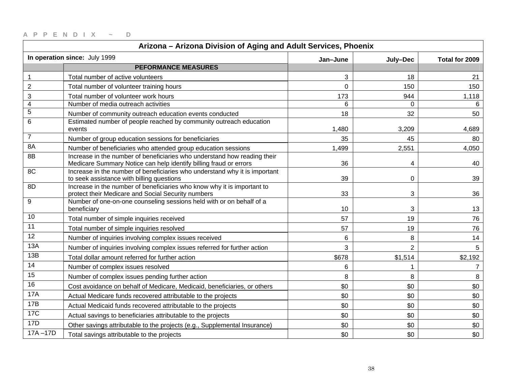| Arizona - Arizona Division of Aging and Adult Services, Phoenix |                                                                                                                                               |          |                |                |
|-----------------------------------------------------------------|-----------------------------------------------------------------------------------------------------------------------------------------------|----------|----------------|----------------|
|                                                                 | In operation since: July 1999                                                                                                                 | Jan-June | July-Dec       | Total for 2009 |
|                                                                 | <b>PEFORMANCE MEASURES</b>                                                                                                                    |          |                |                |
| $\mathbf{1}$                                                    | Total number of active volunteers                                                                                                             | 3        | 18             | 21             |
| $\overline{c}$                                                  | Total number of volunteer training hours                                                                                                      | 0        | 150            | 150            |
| 3                                                               | Total number of volunteer work hours                                                                                                          | 173      | 944            | 1,118          |
| $\overline{\mathbf{4}}$                                         | Number of media outreach activities                                                                                                           | 6        | $\Omega$       |                |
| 5                                                               | Number of community outreach education events conducted                                                                                       | 18       | 32             | 50             |
| 6                                                               | Estimated number of people reached by community outreach education<br>events                                                                  | 1,480    | 3,209          | 4,689          |
| $\overline{7}$                                                  | Number of group education sessions for beneficiaries                                                                                          | 35       | 45             | 80             |
| 8A                                                              | Number of beneficiaries who attended group education sessions                                                                                 | 1,499    | 2,551          | 4,050          |
| 8B                                                              | Increase in the number of beneficiaries who understand how reading their<br>Medicare Summary Notice can help identify billing fraud or errors | 36       | 4              | 40             |
| 8C                                                              | Increase in the number of beneficiaries who understand why it is important<br>to seek assistance with billing questions                       | 39       | $\mathbf 0$    | 39             |
| 8D                                                              | Increase in the number of beneficiaries who know why it is important to<br>protect their Medicare and Social Security numbers                 | 33       | 3              | 36             |
| 9                                                               | Number of one-on-one counseling sessions held with or on behalf of a<br>beneficiary                                                           | 10       | 3              | 13             |
| 10                                                              | Total number of simple inquiries received                                                                                                     | 57       | 19             | 76             |
| 11                                                              | Total number of simple inquiries resolved                                                                                                     | 57       | 19             | 76             |
| 12                                                              | Number of inquiries involving complex issues received                                                                                         | 6        | 8              | 14             |
| 13A                                                             | Number of inquiries involving complex issues referred for further action                                                                      | 3        | $\overline{2}$ | 5              |
| 13B                                                             | Total dollar amount referred for further action                                                                                               | \$678    | \$1,514        | \$2,192        |
| 14                                                              | Number of complex issues resolved                                                                                                             | 6        |                | $\overline{7}$ |
| 15                                                              | Number of complex issues pending further action                                                                                               | 8        | 8              | 8              |
| 16                                                              | Cost avoidance on behalf of Medicare, Medicaid, beneficiaries, or others                                                                      | \$0      | \$0            | \$0            |
| 17A                                                             | Actual Medicare funds recovered attributable to the projects                                                                                  | \$0      | \$0            | \$0            |
| 17B                                                             | Actual Medicaid funds recovered attributable to the projects                                                                                  | \$0      | \$0            | \$0            |
| 17C                                                             | Actual savings to beneficiaries attributable to the projects                                                                                  | \$0      | \$0            | \$0            |
| 17D                                                             | Other savings attributable to the projects (e.g., Supplemental Insurance)                                                                     | \$0      | \$0            | \$0            |
| $17A - 17D$                                                     | Total savings attributable to the projects                                                                                                    | \$0      | \$0            | \$0            |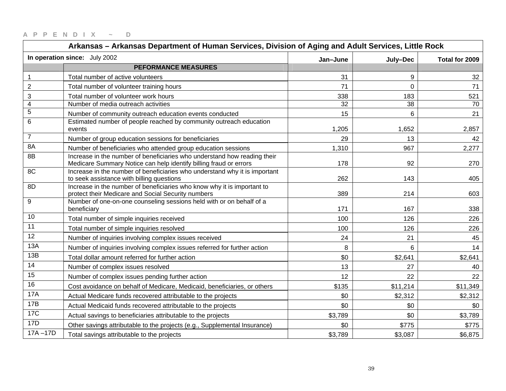|                         | Arkansas - Arkansas Department of Human Services, Division of Aging and Adult Services, Little Rock                                           |          |                |                |
|-------------------------|-----------------------------------------------------------------------------------------------------------------------------------------------|----------|----------------|----------------|
|                         | In operation since: July 2002                                                                                                                 | Jan-June | July-Dec       | Total for 2009 |
|                         | <b>PEFORMANCE MEASURES</b>                                                                                                                    |          |                |                |
| $\mathbf 1$             | Total number of active volunteers                                                                                                             | 31       | 9              | 32             |
| $\overline{2}$          | Total number of volunteer training hours                                                                                                      | 71       | $\overline{0}$ | 71             |
| 3                       | Total number of volunteer work hours                                                                                                          | 338      | 183            | 521            |
| $\overline{\mathbf{4}}$ | Number of media outreach activities                                                                                                           | 32       | 38             | 70             |
| $\mathbf 5$             | Number of community outreach education events conducted                                                                                       | 15       | 6              | 21             |
| 6                       | Estimated number of people reached by community outreach education<br>events                                                                  | 1,205    | 1,652          | 2,857          |
| $\overline{7}$          | Number of group education sessions for beneficiaries                                                                                          | 29       | 13             | 42             |
| 8A                      | Number of beneficiaries who attended group education sessions                                                                                 | 1,310    | 967            | 2,277          |
| 8B                      | Increase in the number of beneficiaries who understand how reading their<br>Medicare Summary Notice can help identify billing fraud or errors | 178      | 92             | 270            |
| 8C                      | Increase in the number of beneficiaries who understand why it is important<br>to seek assistance with billing questions                       | 262      | 143            | 405            |
| 8D                      | Increase in the number of beneficiaries who know why it is important to<br>protect their Medicare and Social Security numbers                 | 389      | 214            | 603            |
| 9                       | Number of one-on-one counseling sessions held with or on behalf of a<br>beneficiary                                                           | 171      | 167            | 338            |
| 10                      | Total number of simple inquiries received                                                                                                     | 100      | 126            | 226            |
| 11                      | Total number of simple inquiries resolved                                                                                                     | 100      | 126            | 226            |
| 12                      | Number of inquiries involving complex issues received                                                                                         | 24       | 21             | 45             |
| 13A                     | Number of inquiries involving complex issues referred for further action                                                                      | 8        | 6              | 14             |
| 13B                     | Total dollar amount referred for further action                                                                                               | \$0      | \$2,641        | \$2,641        |
| 14                      | Number of complex issues resolved                                                                                                             | 13       | 27             | 40             |
| 15                      | Number of complex issues pending further action                                                                                               | 12       | 22             | 22             |
| 16                      | Cost avoidance on behalf of Medicare, Medicaid, beneficiaries, or others                                                                      | \$135    | \$11,214       | \$11,349       |
| <b>17A</b>              | Actual Medicare funds recovered attributable to the projects                                                                                  | \$0      | \$2,312        | \$2,312        |
| 17B                     | Actual Medicaid funds recovered attributable to the projects                                                                                  | \$0      | \$0            | \$0            |
| <b>17C</b>              | Actual savings to beneficiaries attributable to the projects                                                                                  | \$3,789  | \$0            | \$3,789        |
| 17D                     | Other savings attributable to the projects (e.g., Supplemental Insurance)                                                                     | \$0      | \$775          | \$775          |
| $17A - 17D$             | Total savings attributable to the projects                                                                                                    | \$3,789  | \$3,087        | \$6,875        |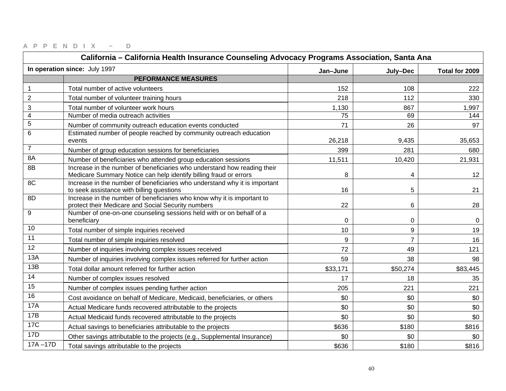| California - California Health Insurance Counseling Advocacy Programs Association, Santa Ana |                                                                                                                                               |          |                |                |
|----------------------------------------------------------------------------------------------|-----------------------------------------------------------------------------------------------------------------------------------------------|----------|----------------|----------------|
|                                                                                              | In operation since: July 1997                                                                                                                 | Jan-June | July-Dec       | Total for 2009 |
|                                                                                              | <b>PEFORMANCE MEASURES</b>                                                                                                                    |          |                |                |
| $\mathbf{1}$                                                                                 | Total number of active volunteers                                                                                                             | 152      | 108            | 222            |
| $\overline{2}$                                                                               | Total number of volunteer training hours                                                                                                      | 218      | 112            | 330            |
| 3                                                                                            | Total number of volunteer work hours                                                                                                          | 1,130    | 867            | 1,997          |
| $\overline{4}$                                                                               | Number of media outreach activities                                                                                                           | 75       | 69             | 144            |
| 5                                                                                            | Number of community outreach education events conducted                                                                                       | 71       | 26             | 97             |
| 6                                                                                            | Estimated number of people reached by community outreach education<br>events                                                                  | 26,218   | 9,435          | 35,653         |
| $\overline{7}$                                                                               | Number of group education sessions for beneficiaries                                                                                          | 399      | 281            | 680            |
| 8A                                                                                           | Number of beneficiaries who attended group education sessions                                                                                 | 11,511   | 10,420         | 21,931         |
| 8B                                                                                           | Increase in the number of beneficiaries who understand how reading their<br>Medicare Summary Notice can help identify billing fraud or errors | 8        | 4              | 12             |
| 8 <sup>C</sup>                                                                               | Increase in the number of beneficiaries who understand why it is important<br>to seek assistance with billing questions                       | 16       | 5              | 21             |
| 8D                                                                                           | Increase in the number of beneficiaries who know why it is important to<br>protect their Medicare and Social Security numbers                 | 22       | 6              | 28             |
| 9                                                                                            | Number of one-on-one counseling sessions held with or on behalf of a<br>beneficiary                                                           | 0        | 0              | $\overline{0}$ |
| 10                                                                                           | Total number of simple inquiries received                                                                                                     | 10       | 9              | 19             |
| 11                                                                                           | Total number of simple inquiries resolved                                                                                                     | 9        | $\overline{7}$ | 16             |
| 12                                                                                           | Number of inquiries involving complex issues received                                                                                         | 72       | 49             | 121            |
| 13A                                                                                          | Number of inquiries involving complex issues referred for further action                                                                      | 59       | 38             | 98             |
| 13B                                                                                          | Total dollar amount referred for further action                                                                                               | \$33,171 | \$50,274       | \$83,445       |
| 14                                                                                           | Number of complex issues resolved                                                                                                             | 17       | 18             | 35             |
| 15                                                                                           | Number of complex issues pending further action                                                                                               | 205      | 221            | 221            |
| 16                                                                                           | Cost avoidance on behalf of Medicare, Medicaid, beneficiaries, or others                                                                      | \$0      | \$0            | \$0            |
| 17A                                                                                          | Actual Medicare funds recovered attributable to the projects                                                                                  | \$0      | \$0            | \$0            |
| 17B                                                                                          | Actual Medicaid funds recovered attributable to the projects                                                                                  | \$0      | \$0            | \$0            |
| <b>17C</b>                                                                                   | Actual savings to beneficiaries attributable to the projects                                                                                  | \$636    | \$180          | \$816          |
| 17D                                                                                          | Other savings attributable to the projects (e.g., Supplemental Insurance)                                                                     | \$0      | \$0            | \$0            |
| $17A - 17D$                                                                                  | Total savings attributable to the projects                                                                                                    | \$636    | \$180          | \$816          |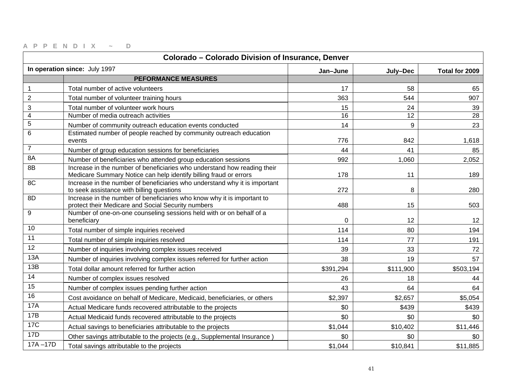| Colorado - Colorado Division of Insurance, Denver |                                                                                                                                               |           |           |                |
|---------------------------------------------------|-----------------------------------------------------------------------------------------------------------------------------------------------|-----------|-----------|----------------|
|                                                   | In operation since: July 1997                                                                                                                 | Jan-June  | July-Dec  | Total for 2009 |
|                                                   | <b>PEFORMANCE MEASURES</b>                                                                                                                    |           |           |                |
| $\mathbf{1}$                                      | Total number of active volunteers                                                                                                             | 17        | 58        | 65             |
| $\overline{c}$                                    | Total number of volunteer training hours                                                                                                      | 363       | 544       | 907            |
| 3                                                 | Total number of volunteer work hours                                                                                                          | 15        | 24        | 39             |
| $\overline{\mathbf{4}}$                           | Number of media outreach activities                                                                                                           | 16        | 12        | 28             |
| 5                                                 | Number of community outreach education events conducted                                                                                       | 14        | 9         | 23             |
| 6                                                 | Estimated number of people reached by community outreach education<br>events                                                                  | 776       | 842       | 1,618          |
| $\overline{7}$                                    | Number of group education sessions for beneficiaries                                                                                          | 44        | 41        | 85             |
| 8A                                                | Number of beneficiaries who attended group education sessions                                                                                 | 992       | 1,060     | 2,052          |
| 8B                                                | Increase in the number of beneficiaries who understand how reading their<br>Medicare Summary Notice can help identify billing fraud or errors | 178       | 11        | 189            |
| 8C                                                | Increase in the number of beneficiaries who understand why it is important<br>to seek assistance with billing questions                       | 272       | 8         | 280            |
| 8D                                                | Increase in the number of beneficiaries who know why it is important to<br>protect their Medicare and Social Security numbers                 | 488       | 15        | 503            |
| 9                                                 | Number of one-on-one counseling sessions held with or on behalf of a<br>beneficiary                                                           | 0         | 12        | 12             |
| 10                                                | Total number of simple inquiries received                                                                                                     | 114       | 80        | 194            |
| 11                                                | Total number of simple inquiries resolved                                                                                                     | 114       | 77        | 191            |
| $\overline{12}$                                   | Number of inquiries involving complex issues received                                                                                         | 39        | 33        | 72             |
| 13A                                               | Number of inquiries involving complex issues referred for further action                                                                      | 38        | 19        | 57             |
| 13B                                               | Total dollar amount referred for further action                                                                                               | \$391,294 | \$111,900 | \$503,194      |
| 14                                                | Number of complex issues resolved                                                                                                             | 26        | 18        | 44             |
| $\overline{15}$                                   | Number of complex issues pending further action                                                                                               | 43        | 64        | 64             |
| 16                                                | Cost avoidance on behalf of Medicare, Medicaid, beneficiaries, or others                                                                      | \$2,397   | \$2,657   | \$5,054        |
| <b>17A</b>                                        | Actual Medicare funds recovered attributable to the projects                                                                                  | \$0       | \$439     | \$439          |
| 17B                                               | Actual Medicaid funds recovered attributable to the projects                                                                                  | \$0       | \$0       | \$0            |
| 17C                                               | Actual savings to beneficiaries attributable to the projects                                                                                  | \$1,044   | \$10,402  | \$11,446       |
| 17D                                               | Other savings attributable to the projects (e.g., Supplemental Insurance)                                                                     | \$0       | \$0       | \$0            |
| $17A - 17D$                                       | Total savings attributable to the projects                                                                                                    | \$1,044   | \$10,841  | \$11,885       |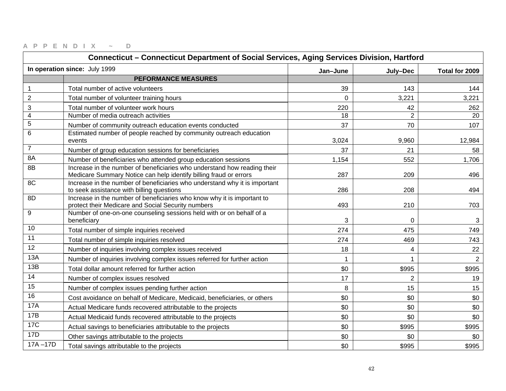|                         | Connecticut - Connecticut Department of Social Services, Aging Services Division, Hartford                                                    |             |                |                |
|-------------------------|-----------------------------------------------------------------------------------------------------------------------------------------------|-------------|----------------|----------------|
|                         | In operation since: July 1999                                                                                                                 | Jan-June    | July-Dec       | Total for 2009 |
|                         | <b>PEFORMANCE MEASURES</b>                                                                                                                    |             |                |                |
| 1                       | Total number of active volunteers                                                                                                             | 39          | 143            | 144            |
| $\overline{2}$          | Total number of volunteer training hours                                                                                                      | $\mathbf 0$ | 3,221          | 3,221          |
| 3                       | Total number of volunteer work hours                                                                                                          | 220         | 42             | 262            |
| $\overline{\mathbf{4}}$ | Number of media outreach activities                                                                                                           | 18          | $\overline{2}$ | 20             |
| $\overline{5}$          | Number of community outreach education events conducted                                                                                       | 37          | 70             | 107            |
| $6\phantom{1}6$         | Estimated number of people reached by community outreach education<br>events                                                                  | 3,024       | 9,960          | 12,984         |
| $\overline{7}$          | Number of group education sessions for beneficiaries                                                                                          | 37          | 21             | 58             |
| 8A                      | Number of beneficiaries who attended group education sessions                                                                                 | 1,154       | 552            | 1,706          |
| 8B                      | Increase in the number of beneficiaries who understand how reading their<br>Medicare Summary Notice can help identify billing fraud or errors | 287         | 209            | 496            |
| 8C                      | Increase in the number of beneficiaries who understand why it is important<br>to seek assistance with billing questions                       | 286         | 208            | 494            |
| 8D                      | Increase in the number of beneficiaries who know why it is important to<br>protect their Medicare and Social Security numbers                 | 493         | 210            | 703            |
| 9                       | Number of one-on-one counseling sessions held with or on behalf of a<br>beneficiary                                                           | 3           | $\Omega$       | 3              |
| 10                      | Total number of simple inquiries received                                                                                                     | 274         | 475            | 749            |
| 11                      | Total number of simple inquiries resolved                                                                                                     | 274         | 469            | 743            |
| 12                      | Number of inquiries involving complex issues received                                                                                         | 18          | 4              | 22             |
| 13A                     | Number of inquiries involving complex issues referred for further action                                                                      | 1           | 1              | $\overline{2}$ |
| 13B                     | Total dollar amount referred for further action                                                                                               | \$0         | \$995          | \$995          |
| 14                      | Number of complex issues resolved                                                                                                             | 17          | $\overline{2}$ | 19             |
| 15                      | Number of complex issues pending further action                                                                                               | 8           | 15             | 15             |
| 16                      | Cost avoidance on behalf of Medicare, Medicaid, beneficiaries, or others                                                                      | \$0         | \$0            | \$0            |
| <b>17A</b>              | Actual Medicare funds recovered attributable to the projects                                                                                  | \$0         | \$0            | \$0            |
| 17B                     | Actual Medicaid funds recovered attributable to the projects                                                                                  | \$0         | \$0            | \$0            |
| <b>17C</b>              | Actual savings to beneficiaries attributable to the projects                                                                                  | \$0         | \$995          | \$995          |
| 17D                     | Other savings attributable to the projects                                                                                                    | \$0         | \$0            | \$0            |
| $17A - 17D$             | Total savings attributable to the projects                                                                                                    | \$0         | \$995          | \$995          |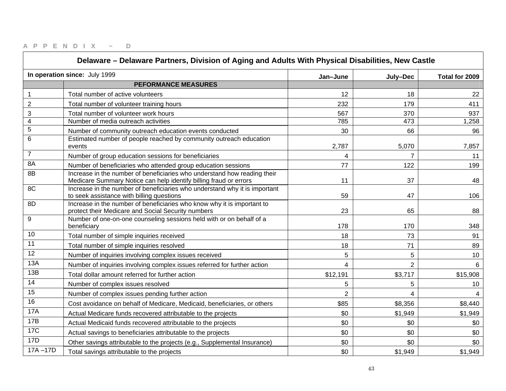| Delaware - Delaware Partners, Division of Aging and Adults With Physical Disabilities, New Castle |                                                                                                                                               |                |                |                |
|---------------------------------------------------------------------------------------------------|-----------------------------------------------------------------------------------------------------------------------------------------------|----------------|----------------|----------------|
|                                                                                                   | In operation since: July 1999                                                                                                                 | Jan-June       | July-Dec       | Total for 2009 |
|                                                                                                   | <b>PEFORMANCE MEASURES</b>                                                                                                                    |                |                |                |
| 1                                                                                                 | Total number of active volunteers                                                                                                             | 12             | 18             | 22             |
| $\overline{2}$                                                                                    | Total number of volunteer training hours                                                                                                      | 232            | 179            | 411            |
| 3                                                                                                 | Total number of volunteer work hours                                                                                                          | 567            | 370            | 937            |
| 4                                                                                                 | Number of media outreach activities                                                                                                           | 785            | 473            | 1,258          |
| 5                                                                                                 | Number of community outreach education events conducted                                                                                       | 30             | 66             | 96             |
| 6                                                                                                 | Estimated number of people reached by community outreach education<br>events                                                                  | 2,787          | 5,070          | 7,857          |
| $\overline{7}$                                                                                    | Number of group education sessions for beneficiaries                                                                                          | 4              |                | 11             |
| 8A                                                                                                | Number of beneficiaries who attended group education sessions                                                                                 | 77             | 122            | 199            |
| 8B                                                                                                | Increase in the number of beneficiaries who understand how reading their<br>Medicare Summary Notice can help identify billing fraud or errors | 11             | 37             | 48             |
| 8C                                                                                                | Increase in the number of beneficiaries who understand why it is important<br>to seek assistance with billing questions                       | 59             | 47             | 106            |
| 8D                                                                                                | Increase in the number of beneficiaries who know why it is important to<br>protect their Medicare and Social Security numbers                 | 23             | 65             | 88             |
| 9                                                                                                 | Number of one-on-one counseling sessions held with or on behalf of a<br>beneficiary                                                           | 178            | 170            | 348            |
| 10                                                                                                | Total number of simple inquiries received                                                                                                     | 18             | 73             | 91             |
| 11                                                                                                | Total number of simple inquiries resolved                                                                                                     | 18             | 71             | 89             |
| 12                                                                                                | Number of inquiries involving complex issues received                                                                                         | 5              | 5              | 10             |
| 13A                                                                                               | Number of inquiries involving complex issues referred for further action                                                                      | 4              | $\overline{2}$ | 6              |
| 13B                                                                                               | Total dollar amount referred for further action                                                                                               | \$12,191       | \$3,717        | \$15,908       |
| 14                                                                                                | Number of complex issues resolved                                                                                                             | 5              | 5              | 10             |
| 15                                                                                                | Number of complex issues pending further action                                                                                               | $\overline{2}$ | 4              |                |
| 16                                                                                                | Cost avoidance on behalf of Medicare, Medicaid, beneficiaries, or others                                                                      | \$85           | \$8,356        | \$8,440        |
| 17A                                                                                               | Actual Medicare funds recovered attributable to the projects                                                                                  | \$0            | \$1,949        | \$1,949        |
| 17B                                                                                               | Actual Medicaid funds recovered attributable to the projects                                                                                  | \$0            | \$0            | \$0            |
| <b>17C</b>                                                                                        | Actual savings to beneficiaries attributable to the projects                                                                                  | \$0            | \$0            | \$0            |
| <b>17D</b>                                                                                        | Other savings attributable to the projects (e.g., Supplemental Insurance)                                                                     | \$0            | \$0            | \$0            |
| $17A - 17D$                                                                                       | Total savings attributable to the projects                                                                                                    | \$0            | \$1,949        | \$1,949        |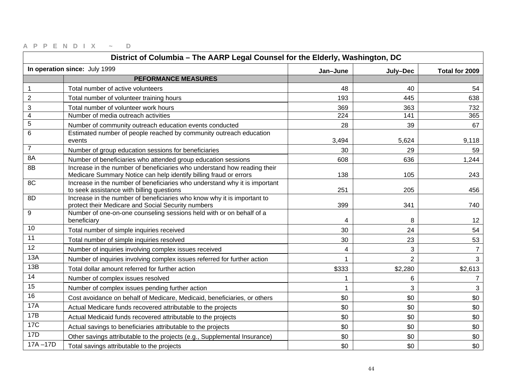| District of Columbia - The AARP Legal Counsel for the Elderly, Washington, DC |                                                                                                                                               |              |                |                |
|-------------------------------------------------------------------------------|-----------------------------------------------------------------------------------------------------------------------------------------------|--------------|----------------|----------------|
|                                                                               | In operation since: July 1999                                                                                                                 | Jan-June     | July-Dec       | Total for 2009 |
|                                                                               | <b>PEFORMANCE MEASURES</b>                                                                                                                    |              |                |                |
| $\mathbf{1}$                                                                  | Total number of active volunteers                                                                                                             | 48           | 40             | 54             |
| $\overline{2}$                                                                | Total number of volunteer training hours                                                                                                      | 193          | 445            | 638            |
| 3                                                                             | Total number of volunteer work hours                                                                                                          | 369          | 363            | 732            |
| $\overline{\mathbf{4}}$                                                       | Number of media outreach activities                                                                                                           | 224          | 141            | 365            |
| $\overline{5}$                                                                | Number of community outreach education events conducted                                                                                       | 28           | 39             | 67             |
| 6                                                                             | Estimated number of people reached by community outreach education<br>events                                                                  | 3,494        | 5,624          | 9,118          |
| $\overline{7}$                                                                | Number of group education sessions for beneficiaries                                                                                          | 30           | 29             | 59             |
| 8A                                                                            | Number of beneficiaries who attended group education sessions                                                                                 | 608          | 636            | 1,244          |
| 8B                                                                            | Increase in the number of beneficiaries who understand how reading their<br>Medicare Summary Notice can help identify billing fraud or errors | 138          | 105            | 243            |
| 8C                                                                            | Increase in the number of beneficiaries who understand why it is important<br>to seek assistance with billing questions                       | 251          | 205            | 456            |
| 8D                                                                            | Increase in the number of beneficiaries who know why it is important to<br>protect their Medicare and Social Security numbers                 | 399          | 341            | 740            |
| 9                                                                             | Number of one-on-one counseling sessions held with or on behalf of a<br>beneficiary                                                           | 4            | 8              | 12             |
| 10                                                                            | Total number of simple inquiries received                                                                                                     | 30           | 24             | 54             |
| 11                                                                            | Total number of simple inquiries resolved                                                                                                     | 30           | 23             | 53             |
| 12                                                                            | Number of inquiries involving complex issues received                                                                                         | 4            | 3              | $\overline{7}$ |
| 13A                                                                           | Number of inquiries involving complex issues referred for further action                                                                      | 1            | $\overline{2}$ | 3 <sup>1</sup> |
| 13B                                                                           | Total dollar amount referred for further action                                                                                               | \$333        | \$2,280        | \$2,613        |
| 14                                                                            | Number of complex issues resolved                                                                                                             | 1            | 6              | $\overline{7}$ |
| 15                                                                            | Number of complex issues pending further action                                                                                               | $\mathbf{1}$ | 3              | 3              |
| 16                                                                            | Cost avoidance on behalf of Medicare, Medicaid, beneficiaries, or others                                                                      | \$0          | \$0            | \$0            |
| <b>17A</b>                                                                    | Actual Medicare funds recovered attributable to the projects                                                                                  | \$0          | \$0            | \$0            |
| 17B                                                                           | Actual Medicaid funds recovered attributable to the projects                                                                                  | \$0          | \$0            | \$0            |
| <b>17C</b>                                                                    | Actual savings to beneficiaries attributable to the projects                                                                                  | \$0          | \$0            | \$0            |
| 17D                                                                           | Other savings attributable to the projects (e.g., Supplemental Insurance)                                                                     | \$0          | \$0            | \$0            |
| $17A - 17D$                                                                   | Total savings attributable to the projects                                                                                                    | \$0          | \$0            | \$0            |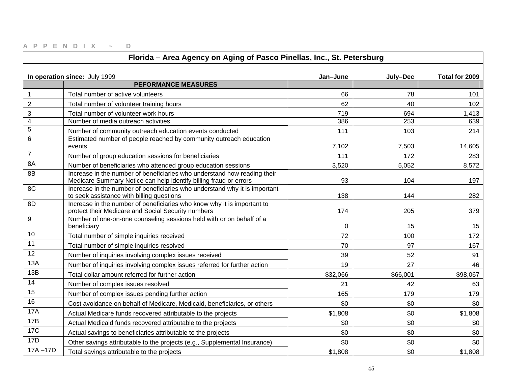| Florida - Area Agency on Aging of Pasco Pinellas, Inc., St. Petersburg |                                                                                                                                               |             |          |                |
|------------------------------------------------------------------------|-----------------------------------------------------------------------------------------------------------------------------------------------|-------------|----------|----------------|
|                                                                        | In operation since: July 1999                                                                                                                 | Jan-June    | July-Dec | Total for 2009 |
|                                                                        | <b>PEFORMANCE MEASURES</b>                                                                                                                    |             |          |                |
| 1                                                                      | Total number of active volunteers                                                                                                             | 66          | 78       | 101            |
| $\overline{2}$                                                         | Total number of volunteer training hours                                                                                                      | 62          | 40       | 102            |
| 3                                                                      | Total number of volunteer work hours                                                                                                          | 719         | 694      | 1,413          |
| $\overline{\mathbf{4}}$                                                | Number of media outreach activities                                                                                                           | 386         | 253      | 639            |
| 5                                                                      | Number of community outreach education events conducted                                                                                       | 111         | 103      | 214            |
| 6                                                                      | Estimated number of people reached by community outreach education<br>events                                                                  | 7,102       | 7,503    | 14,605         |
| $\overline{7}$                                                         | Number of group education sessions for beneficiaries                                                                                          | 111         | 172      | 283            |
| 8A                                                                     | Number of beneficiaries who attended group education sessions                                                                                 | 3,520       | 5,052    | 8,572          |
| 8B                                                                     | Increase in the number of beneficiaries who understand how reading their<br>Medicare Summary Notice can help identify billing fraud or errors | 93          | 104      | 197            |
| 8C                                                                     | Increase in the number of beneficiaries who understand why it is important<br>to seek assistance with billing questions                       | 138         | 144      | 282            |
| 8D                                                                     | Increase in the number of beneficiaries who know why it is important to<br>protect their Medicare and Social Security numbers                 | 174         | 205      | 379            |
| 9                                                                      | Number of one-on-one counseling sessions held with or on behalf of a<br>beneficiary                                                           | $\mathbf 0$ | 15       | 15             |
| 10                                                                     | Total number of simple inquiries received                                                                                                     | 72          | 100      | 172            |
| 11                                                                     | Total number of simple inquiries resolved                                                                                                     | 70          | 97       | 167            |
| $\overline{12}$                                                        | Number of inquiries involving complex issues received                                                                                         | 39          | 52       | 91             |
| 13A                                                                    | Number of inquiries involving complex issues referred for further action                                                                      | 19          | 27       | 46             |
| 13B                                                                    | Total dollar amount referred for further action                                                                                               | \$32,066    | \$66,001 | \$98,067       |
| 14                                                                     | Number of complex issues resolved                                                                                                             | 21          | 42       | 63             |
| 15                                                                     | Number of complex issues pending further action                                                                                               | 165         | 179      | 179            |
| 16                                                                     | Cost avoidance on behalf of Medicare, Medicaid, beneficiaries, or others                                                                      | \$0         | \$0      | \$0            |
| <b>17A</b>                                                             | Actual Medicare funds recovered attributable to the projects                                                                                  | \$1,808     | \$0      | \$1,808        |
| 17B                                                                    | Actual Medicaid funds recovered attributable to the projects                                                                                  | \$0         | \$0      | \$0            |
| <b>17C</b>                                                             | Actual savings to beneficiaries attributable to the projects                                                                                  | \$0         | \$0      | \$0            |
| 17D                                                                    | Other savings attributable to the projects (e.g., Supplemental Insurance)                                                                     | \$0         | \$0      | \$0            |
| $17A - 17D$                                                            | Total savings attributable to the projects                                                                                                    | \$1,808     | \$0      | \$1,808        |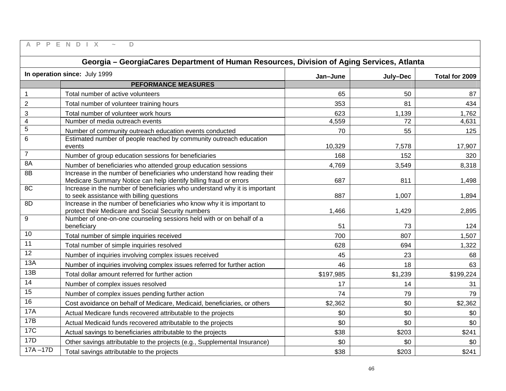| A<br>$\mathsf{P}$<br>P  | D<br>F<br>$\mathbb N$<br>D<br>$\times$                                                                                                        |           |          |                |
|-------------------------|-----------------------------------------------------------------------------------------------------------------------------------------------|-----------|----------|----------------|
|                         | Georgia - GeorgiaCares Department of Human Resources, Division of Aging Services, Atlanta                                                     |           |          |                |
|                         | In operation since: July 1999                                                                                                                 | Jan-June  | July-Dec | Total for 2009 |
|                         | <b>PEFORMANCE MEASURES</b>                                                                                                                    |           |          |                |
| $\mathbf{1}$            | Total number of active volunteers                                                                                                             | 65        | 50       | 87             |
| $\mathbf 2$             | Total number of volunteer training hours                                                                                                      | 353       | 81       | 434            |
| 3                       | Total number of volunteer work hours                                                                                                          | 623       | 1,139    | 1,762          |
| $\overline{\mathbf{4}}$ | Number of media outreach events                                                                                                               | 4,559     | 72       | 4,631          |
| 5                       | Number of community outreach education events conducted                                                                                       | 70        | 55       | 125            |
| 6                       | Estimated number of people reached by community outreach education<br>events                                                                  | 10,329    | 7,578    | 17,907         |
| $\overline{7}$          | Number of group education sessions for beneficiaries                                                                                          | 168       | 152      | 320            |
| 8A                      | Number of beneficiaries who attended group education sessions                                                                                 | 4,769     | 3,549    | 8,318          |
| 8B                      | Increase in the number of beneficiaries who understand how reading their<br>Medicare Summary Notice can help identify billing fraud or errors | 687       | 811      | 1,498          |
| 8C                      | Increase in the number of beneficiaries who understand why it is important<br>to seek assistance with billing questions                       | 887       | 1,007    | 1,894          |
| 8D                      | Increase in the number of beneficiaries who know why it is important to<br>protect their Medicare and Social Security numbers                 | 1,466     | 1,429    | 2,895          |
| $\mathsf g$             | Number of one-on-one counseling sessions held with or on behalf of a<br>beneficiary                                                           | 51        | 73       | 124            |
| 10                      | Total number of simple inquiries received                                                                                                     | 700       | 807      | 1,507          |
| 11                      | Total number of simple inquiries resolved                                                                                                     | 628       | 694      | 1,322          |
| $\overline{12}$         | Number of inquiries involving complex issues received                                                                                         | 45        | 23       | 68             |
| 13A                     | Number of inquiries involving complex issues referred for further action                                                                      | 46        | 18       | 63             |
| 13B                     | Total dollar amount referred for further action                                                                                               | \$197,985 | \$1,239  | \$199,224      |
| 14                      | Number of complex issues resolved                                                                                                             | 17        | 14       | 31             |
| $\overline{15}$         | Number of complex issues pending further action                                                                                               | 74        | 79       | 79             |
| 16                      | Cost avoidance on behalf of Medicare, Medicaid, beneficiaries, or others                                                                      | \$2,362   | \$0      | \$2,362        |
| <b>17A</b>              | Actual Medicare funds recovered attributable to the projects                                                                                  | \$0       | \$0      | \$0            |
| <b>17B</b>              | Actual Medicaid funds recovered attributable to the projects                                                                                  | \$0       | \$0      | \$0            |
| 17C                     | Actual savings to beneficiaries attributable to the projects                                                                                  | \$38      | \$203    | \$241          |
| 17D                     | Other savings attributable to the projects (e.g., Supplemental Insurance)                                                                     | \$0       | \$0      | \$0            |
| $17A - 17D$             | Total savings attributable to the projects                                                                                                    | \$38      | \$203    | \$241          |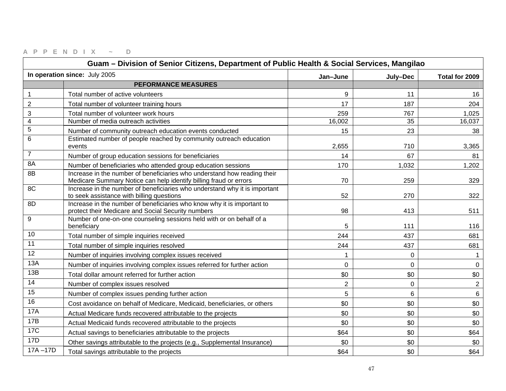| Guam - Division of Senior Citizens, Department of Public Health & Social Services, Mangilao |                                                                                                                                               |                |                |                |
|---------------------------------------------------------------------------------------------|-----------------------------------------------------------------------------------------------------------------------------------------------|----------------|----------------|----------------|
|                                                                                             | In operation since: July 2005                                                                                                                 | Jan-June       | July-Dec       | Total for 2009 |
|                                                                                             | <b>PEFORMANCE MEASURES</b>                                                                                                                    |                |                |                |
| 1                                                                                           | Total number of active volunteers                                                                                                             | 9              | 11             | 16             |
| $\overline{2}$                                                                              | Total number of volunteer training hours                                                                                                      | 17             | 187            | 204            |
| 3                                                                                           | Total number of volunteer work hours                                                                                                          | 259            | 767            | 1,025          |
| $\overline{\mathbf{4}}$                                                                     | Number of media outreach activities                                                                                                           | 16,002         | 35             | 16,037         |
| $\overline{5}$                                                                              | Number of community outreach education events conducted                                                                                       | 15             | 23             | 38             |
| 6                                                                                           | Estimated number of people reached by community outreach education<br>events                                                                  | 2,655          | 710            | 3,365          |
| $\overline{7}$                                                                              | Number of group education sessions for beneficiaries                                                                                          | 14             | 67             | 81             |
| 8A                                                                                          | Number of beneficiaries who attended group education sessions                                                                                 | 170            | 1,032          | 1,202          |
| 8B                                                                                          | Increase in the number of beneficiaries who understand how reading their<br>Medicare Summary Notice can help identify billing fraud or errors | 70             | 259            | 329            |
| 8C                                                                                          | Increase in the number of beneficiaries who understand why it is important<br>to seek assistance with billing questions                       | 52             | 270            | 322            |
| 8D                                                                                          | Increase in the number of beneficiaries who know why it is important to<br>protect their Medicare and Social Security numbers                 | 98             | 413            | 511            |
| 9                                                                                           | Number of one-on-one counseling sessions held with or on behalf of a<br>beneficiary                                                           | 5              | 111            | 116            |
| 10                                                                                          | Total number of simple inquiries received                                                                                                     | 244            | 437            | 681            |
| 11                                                                                          | Total number of simple inquiries resolved                                                                                                     | 244            | 437            | 681            |
| 12                                                                                          | Number of inquiries involving complex issues received                                                                                         | $\mathbf 1$    | 0              |                |
| 13A                                                                                         | Number of inquiries involving complex issues referred for further action                                                                      | $\overline{0}$ | $\overline{0}$ | $\mathbf 0$    |
| 13B                                                                                         | Total dollar amount referred for further action                                                                                               | \$0            | \$0            | \$0            |
| 14                                                                                          | Number of complex issues resolved                                                                                                             | $\overline{2}$ | $\mathbf 0$    | $\overline{2}$ |
| 15                                                                                          | Number of complex issues pending further action                                                                                               | 5              | 6              | $6\phantom{1}$ |
| 16                                                                                          | Cost avoidance on behalf of Medicare, Medicaid, beneficiaries, or others                                                                      | \$0            | \$0            | \$0            |
| 17A                                                                                         | Actual Medicare funds recovered attributable to the projects                                                                                  | \$0            | \$0            | \$0            |
| 17B                                                                                         | Actual Medicaid funds recovered attributable to the projects                                                                                  | \$0            | \$0            | \$0            |
| <b>17C</b>                                                                                  | Actual savings to beneficiaries attributable to the projects                                                                                  | \$64           | \$0            | \$64           |
| 17D                                                                                         | Other savings attributable to the projects (e.g., Supplemental Insurance)                                                                     | \$0            | \$0            | \$0            |
| $17A - 17D$                                                                                 | Total savings attributable to the projects                                                                                                    | \$64           | \$0            | \$64           |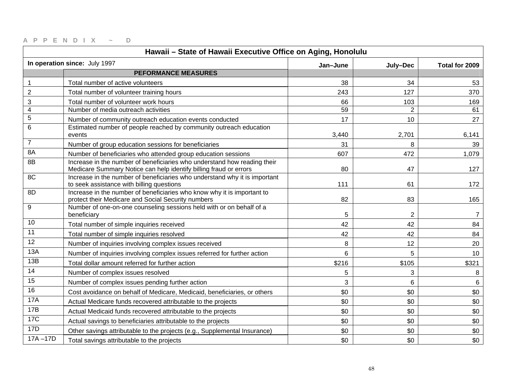| Hawaii - State of Hawaii Executive Office on Aging, Honolulu |                                                                                                                                               |          |                |                |
|--------------------------------------------------------------|-----------------------------------------------------------------------------------------------------------------------------------------------|----------|----------------|----------------|
|                                                              | In operation since: July 1997                                                                                                                 | Jan-June | July-Dec       | Total for 2009 |
|                                                              | <b>PEFORMANCE MEASURES</b>                                                                                                                    |          |                |                |
| $\mathbf{1}$                                                 | Total number of active volunteers                                                                                                             | 38       | 34             | 53             |
| $\boldsymbol{2}$                                             | Total number of volunteer training hours                                                                                                      | 243      | 127            | 370            |
| $\ensuremath{\mathsf{3}}$                                    | Total number of volunteer work hours                                                                                                          | 66       | 103            | 169            |
| $\overline{4}$                                               | Number of media outreach activities                                                                                                           | 59       | $\overline{2}$ | 61             |
| $\sqrt{5}$                                                   | Number of community outreach education events conducted                                                                                       | 17       | 10             | 27             |
| $6\phantom{1}6$                                              | Estimated number of people reached by community outreach education<br>events                                                                  | 3,440    | 2,701          | 6,141          |
| $\overline{7}$                                               | Number of group education sessions for beneficiaries                                                                                          | 31       | 8              | 39             |
| 8A                                                           | Number of beneficiaries who attended group education sessions                                                                                 | 607      | 472            | 1,079          |
| 8B                                                           | Increase in the number of beneficiaries who understand how reading their<br>Medicare Summary Notice can help identify billing fraud or errors | 80       | 47             | 127            |
| 8C                                                           | Increase in the number of beneficiaries who understand why it is important<br>to seek assistance with billing questions                       | 111      | 61             | 172            |
| 8D                                                           | Increase in the number of beneficiaries who know why it is important to<br>protect their Medicare and Social Security numbers                 | 82       | 83             | 165            |
| 9                                                            | Number of one-on-one counseling sessions held with or on behalf of a<br>beneficiary                                                           | 5        | $\overline{2}$ | $\overline{7}$ |
| 10                                                           | Total number of simple inquiries received                                                                                                     | 42       | 42             | 84             |
| 11                                                           | Total number of simple inquiries resolved                                                                                                     | 42       | 42             | 84             |
| 12                                                           | Number of inquiries involving complex issues received                                                                                         | 8        | 12             | 20             |
| 13A                                                          | Number of inquiries involving complex issues referred for further action                                                                      | 6        | 5              | 10             |
| 13B                                                          | Total dollar amount referred for further action                                                                                               | \$216    | \$105          | \$321          |
| 14                                                           | Number of complex issues resolved                                                                                                             | 5        | 3              | 8              |
| 15                                                           | Number of complex issues pending further action                                                                                               | 3        | $6\phantom{1}$ | 6              |
| 16                                                           | Cost avoidance on behalf of Medicare, Medicaid, beneficiaries, or others                                                                      | \$0      | \$0            | \$0            |
| <b>17A</b>                                                   | Actual Medicare funds recovered attributable to the projects                                                                                  | \$0      | \$0            | \$0            |
| 17B                                                          | Actual Medicaid funds recovered attributable to the projects                                                                                  | \$0      | \$0            | \$0            |
| <b>17C</b>                                                   | Actual savings to beneficiaries attributable to the projects                                                                                  | \$0      | \$0            | \$0            |
| 17D                                                          | Other savings attributable to the projects (e.g., Supplemental Insurance)                                                                     | \$0      | \$0            | \$0            |
| $17A - 17D$                                                  | Total savings attributable to the projects                                                                                                    | \$0      | \$0            | \$0            |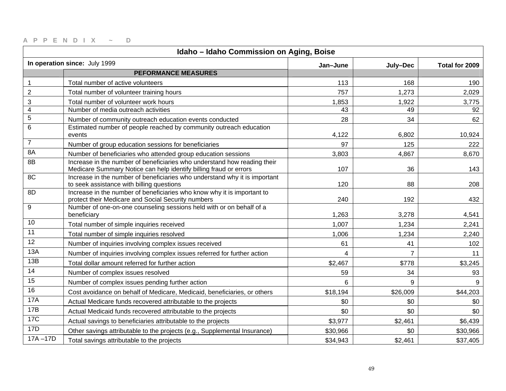| Idaho - Idaho Commission on Aging, Boise |                                                                                                                                               |          |                |                |
|------------------------------------------|-----------------------------------------------------------------------------------------------------------------------------------------------|----------|----------------|----------------|
|                                          | In operation since: July 1999                                                                                                                 | Jan-June | July-Dec       | Total for 2009 |
|                                          | <b>PEFORMANCE MEASURES</b>                                                                                                                    |          |                |                |
| $\mathbf{1}$                             | Total number of active volunteers                                                                                                             | 113      | 168            | 190            |
| $\overline{2}$                           | Total number of volunteer training hours                                                                                                      | 757      | 1,273          | 2,029          |
| 3                                        | Total number of volunteer work hours                                                                                                          | 1,853    | 1,922          | 3,775          |
| $\overline{4}$                           | Number of media outreach activities                                                                                                           | 43       | 49             | 92             |
| $\mathbf 5$                              | Number of community outreach education events conducted                                                                                       | 28       | 34             | 62             |
| $\,6\,$                                  | Estimated number of people reached by community outreach education<br>events                                                                  | 4,122    | 6,802          | 10,924         |
| $\overline{7}$                           | Number of group education sessions for beneficiaries                                                                                          | 97       | 125            | 222            |
| 8A                                       | Number of beneficiaries who attended group education sessions                                                                                 | 3,803    | 4,867          | 8,670          |
| 8B                                       | Increase in the number of beneficiaries who understand how reading their<br>Medicare Summary Notice can help identify billing fraud or errors | 107      | 36             | 143            |
| 8C                                       | Increase in the number of beneficiaries who understand why it is important<br>to seek assistance with billing questions                       | 120      | 88             | 208            |
| 8D                                       | Increase in the number of beneficiaries who know why it is important to<br>protect their Medicare and Social Security numbers                 | 240      | 192            | 432            |
| 9                                        | Number of one-on-one counseling sessions held with or on behalf of a<br>beneficiary                                                           | 1,263    | 3,278          | 4,541          |
| 10                                       | Total number of simple inquiries received                                                                                                     | 1,007    | 1,234          | 2,241          |
| 11                                       | Total number of simple inquiries resolved                                                                                                     | 1,006    | 1,234          | 2,240          |
| 12                                       | Number of inquiries involving complex issues received                                                                                         | 61       | 41             | 102            |
| 13A                                      | Number of inquiries involving complex issues referred for further action                                                                      | 4        | $\overline{7}$ | 11             |
| 13B                                      | Total dollar amount referred for further action                                                                                               | \$2,467  | \$778          | \$3,245        |
| 14                                       | Number of complex issues resolved                                                                                                             | 59       | 34             | 93             |
| 15                                       | Number of complex issues pending further action                                                                                               | 6        | 9              | 9              |
| 16                                       | Cost avoidance on behalf of Medicare, Medicaid, beneficiaries, or others                                                                      | \$18,194 | \$26,009       | \$44,203       |
| <b>17A</b>                               | Actual Medicare funds recovered attributable to the projects                                                                                  | \$0      | \$0            | \$0            |
| 17B                                      | Actual Medicaid funds recovered attributable to the projects                                                                                  | \$0      | \$0            | \$0            |
| <b>17C</b>                               | Actual savings to beneficiaries attributable to the projects                                                                                  | \$3,977  | \$2,461        | \$6,439        |
| 17D                                      | Other savings attributable to the projects (e.g., Supplemental Insurance)                                                                     | \$30,966 | \$0            | \$30,966       |
| $17A - 17D$                              | Total savings attributable to the projects                                                                                                    | \$34,943 | \$2,461        | \$37,405       |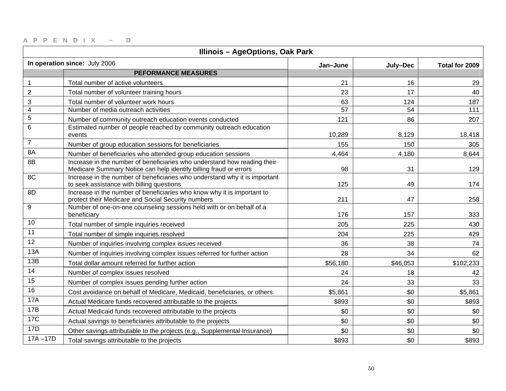| <b>Illinois - AgeOptions, Oak Park</b> |                                                                                                                                               |          |          |                |
|----------------------------------------|-----------------------------------------------------------------------------------------------------------------------------------------------|----------|----------|----------------|
|                                        | In operation since: July 2006                                                                                                                 | Jan-June | July-Dec | Total for 2009 |
|                                        | <b>PEFORMANCE MEASURES</b>                                                                                                                    |          |          |                |
| 1                                      | Total number of active volunteers                                                                                                             | 21       | 16       | 29             |
| $\overline{2}$                         | Total number of volunteer training hours                                                                                                      | 23       | 17       | 40             |
| 3                                      | Total number of volunteer work hours                                                                                                          | 63       | 124      | 187            |
| $\overline{4}$                         | Number of media outreach activities                                                                                                           | 57       | 54       | 111            |
| $\overline{5}$                         | Number of community outreach education events conducted                                                                                       | 121      | 86       | 207            |
| $\,6\,$                                | Estimated number of people reached by community outreach education<br>events                                                                  | 10,289   | 8,129    | 18,418         |
| $\overline{7}$                         | Number of group education sessions for beneficiaries                                                                                          | 155      | 150      | 305            |
| 8A                                     | Number of beneficiaries who attended group education sessions                                                                                 | 4,464    | 4,180    | 8,644          |
| 8B                                     | Increase in the number of beneficiaries who understand how reading their<br>Medicare Summary Notice can help identify billing fraud or errors | 98       | 31       | 129            |
| 8C                                     | Increase in the number of beneficiaries who understand why it is important<br>to seek assistance with billing questions                       | 125      | 49       | 174            |
| 8D                                     | Increase in the number of beneficiaries who know why it is important to<br>protect their Medicare and Social Security numbers                 | 211      | 47       | 258            |
| 9                                      | Number of one-on-one counseling sessions held with or on behalf of a<br>beneficiary                                                           | 176      | 157      | 333            |
| 10                                     | Total number of simple inquiries received                                                                                                     | 205      | 225      | 430            |
| 11                                     | Total number of simple inquiries resolved                                                                                                     | 204      | 225      | 429            |
| 12                                     | Number of inquiries involving complex issues received                                                                                         | 36       | 38       | 74             |
| 13A                                    | Number of inquiries involving complex issues referred for further action                                                                      | 28       | 34       | 62             |
| 13B                                    | Total dollar amount referred for further action                                                                                               | \$56,180 | \$46,053 | \$102,233      |
| 14                                     | Number of complex issues resolved                                                                                                             | 24       | 18       | 42             |
| 15                                     | Number of complex issues pending further action                                                                                               | 24       | 33       | 33             |
| 16                                     | Cost avoidance on behalf of Medicare, Medicaid, beneficiaries, or others                                                                      | \$5,861  | \$0      | \$5,861        |
| <b>17A</b>                             | Actual Medicare funds recovered attributable to the projects                                                                                  | \$893    | \$0      | \$893          |
| 17B                                    | Actual Medicaid funds recovered attributable to the projects                                                                                  | \$0      | \$0      | \$0            |
| <b>17C</b>                             | Actual savings to beneficiaries attributable to the projects                                                                                  | \$0      | \$0      | \$0            |
| 17D                                    | Other savings attributable to the projects (e.g., Supplemental Insurance)                                                                     | \$0      | \$0      | \$0            |
| $17A - 17D$                            | Total savings attributable to the projects                                                                                                    | \$893    | \$0      | \$893          |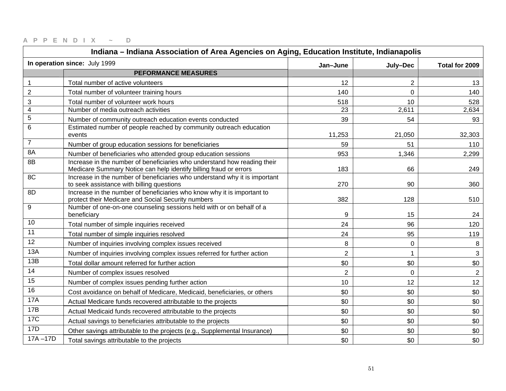| Indiana - Indiana Association of Area Agencies on Aging, Education Institute, Indianapolis |                                                                                                                                               |                |                |                |
|--------------------------------------------------------------------------------------------|-----------------------------------------------------------------------------------------------------------------------------------------------|----------------|----------------|----------------|
|                                                                                            | In operation since: July 1999                                                                                                                 | Jan-June       | July-Dec       | Total for 2009 |
|                                                                                            | <b>PEFORMANCE MEASURES</b>                                                                                                                    |                |                |                |
| $\mathbf{1}$                                                                               | Total number of active volunteers                                                                                                             | 12             | $\overline{2}$ | 13             |
| $\mathbf 2$                                                                                | Total number of volunteer training hours                                                                                                      | 140            | $\mathbf 0$    | 140            |
| 3                                                                                          | Total number of volunteer work hours                                                                                                          | 518            | 10             | 528            |
| $\overline{4}$                                                                             | Number of media outreach activities                                                                                                           | 23             | 2,611          | 2,634          |
| 5                                                                                          | Number of community outreach education events conducted                                                                                       | 39             | 54             | 93             |
| 6                                                                                          | Estimated number of people reached by community outreach education<br>events                                                                  | 11,253         | 21,050         | 32,303         |
| $\overline{7}$                                                                             | Number of group education sessions for beneficiaries                                                                                          | 59             | 51             | 110            |
| 8A                                                                                         | Number of beneficiaries who attended group education sessions                                                                                 | 953            | 1,346          | 2,299          |
| 8B                                                                                         | Increase in the number of beneficiaries who understand how reading their<br>Medicare Summary Notice can help identify billing fraud or errors | 183            | 66             | 249            |
| 8C                                                                                         | Increase in the number of beneficiaries who understand why it is important<br>to seek assistance with billing questions                       | 270            | 90             | 360            |
| 8D                                                                                         | Increase in the number of beneficiaries who know why it is important to<br>protect their Medicare and Social Security numbers                 | 382            | 128            | 510            |
| 9                                                                                          | Number of one-on-one counseling sessions held with or on behalf of a<br>beneficiary                                                           | 9              | 15             | 24             |
| 10                                                                                         | Total number of simple inquiries received                                                                                                     | 24             | 96             | 120            |
| 11                                                                                         | Total number of simple inquiries resolved                                                                                                     | 24             | 95             | 119            |
| 12                                                                                         | Number of inquiries involving complex issues received                                                                                         | 8              | $\mathbf 0$    | 8              |
| 13A                                                                                        | Number of inquiries involving complex issues referred for further action                                                                      | $\overline{2}$ |                | 3              |
| 13B                                                                                        | Total dollar amount referred for further action                                                                                               | \$0            | \$0            | \$0            |
| 14                                                                                         | Number of complex issues resolved                                                                                                             | $\overline{2}$ | $\mathbf 0$    | 2              |
| 15                                                                                         | Number of complex issues pending further action                                                                                               | 10             | 12             | 12             |
| 16                                                                                         | Cost avoidance on behalf of Medicare, Medicaid, beneficiaries, or others                                                                      | \$0            | \$0            | \$0            |
| <b>17A</b>                                                                                 | Actual Medicare funds recovered attributable to the projects                                                                                  | \$0            | \$0            | \$0            |
| 17B                                                                                        | Actual Medicaid funds recovered attributable to the projects                                                                                  | \$0            | \$0            | \$0            |
| <b>17C</b>                                                                                 | Actual savings to beneficiaries attributable to the projects                                                                                  | \$0            | \$0            | \$0            |
| 17D                                                                                        | Other savings attributable to the projects (e.g., Supplemental Insurance)                                                                     | \$0            | \$0            | \$0            |
| $17A - 17D$                                                                                | Total savings attributable to the projects                                                                                                    | \$0            | \$0            | \$0            |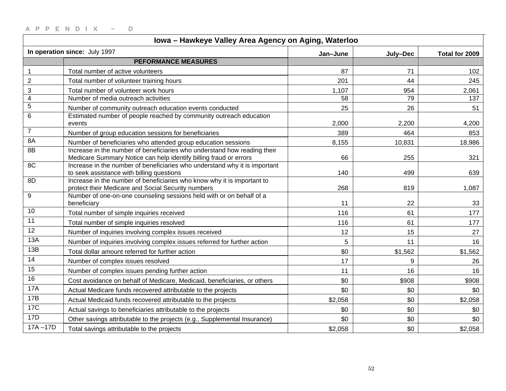| Iowa - Hawkeye Valley Area Agency on Aging, Waterloo |                                                                                                                                               |          |          |                |
|------------------------------------------------------|-----------------------------------------------------------------------------------------------------------------------------------------------|----------|----------|----------------|
|                                                      | In operation since: July 1997                                                                                                                 | Jan-June | July-Dec | Total for 2009 |
|                                                      | <b>PEFORMANCE MEASURES</b>                                                                                                                    |          |          |                |
| $\mathbf{1}$                                         | Total number of active volunteers                                                                                                             | 87       | 71       | 102            |
| $\sqrt{2}$                                           | Total number of volunteer training hours                                                                                                      | 201      | 44       | 245            |
| 3                                                    | Total number of volunteer work hours                                                                                                          | 1,107    | 954      | 2,061          |
| $\overline{\mathbf{4}}$                              | Number of media outreach activities                                                                                                           | 58       | 79       | 137            |
| 5                                                    | Number of community outreach education events conducted                                                                                       | 25       | 26       | 51             |
| $\,6$                                                | Estimated number of people reached by community outreach education<br>events                                                                  | 2,000    | 2,200    | 4,200          |
| $\overline{7}$                                       | Number of group education sessions for beneficiaries                                                                                          | 389      | 464      | 853            |
| 8A                                                   | Number of beneficiaries who attended group education sessions                                                                                 | 8,155    | 10,831   | 18,986         |
| 8B                                                   | Increase in the number of beneficiaries who understand how reading their<br>Medicare Summary Notice can help identify billing fraud or errors | 66       | 255      | 321            |
| 8C                                                   | Increase in the number of beneficiaries who understand why it is important<br>to seek assistance with billing questions                       | 140      | 499      | 639            |
| 8D                                                   | Increase in the number of beneficiaries who know why it is important to<br>protect their Medicare and Social Security numbers                 | 268      | 819      | 1,087          |
| 9                                                    | Number of one-on-one counseling sessions held with or on behalf of a<br>beneficiary                                                           | 11       | 22       | 33             |
| 10                                                   | Total number of simple inquiries received                                                                                                     | 116      | 61       | 177            |
| 11                                                   | Total number of simple inquiries resolved                                                                                                     | 116      | 61       | 177            |
| 12                                                   | Number of inquiries involving complex issues received                                                                                         | 12       | 15       | 27             |
| 13A                                                  | Number of inquiries involving complex issues referred for further action                                                                      | 5        | 11       | 16             |
| 13B                                                  | Total dollar amount referred for further action                                                                                               | \$0      | \$1,562  | \$1,562        |
| 14                                                   | Number of complex issues resolved                                                                                                             | 17       | 9        | 26             |
| 15                                                   | Number of complex issues pending further action                                                                                               | 11       | 16       | 16             |
| 16                                                   | Cost avoidance on behalf of Medicare, Medicaid, beneficiaries, or others                                                                      | \$0      | \$908    | \$908          |
| <b>17A</b>                                           | Actual Medicare funds recovered attributable to the projects                                                                                  | \$0      | \$0      | \$0            |
| 17B                                                  | Actual Medicaid funds recovered attributable to the projects                                                                                  | \$2,058  | \$0      | \$2,058        |
| 17C                                                  | Actual savings to beneficiaries attributable to the projects                                                                                  | \$0      | \$0      | \$0            |
| 17D                                                  | Other savings attributable to the projects (e.g., Supplemental Insurance)                                                                     | \$0      | \$0      | \$0            |
| $17A - 17D$                                          | Total savings attributable to the projects                                                                                                    | \$2,058  | \$0      | \$2,058        |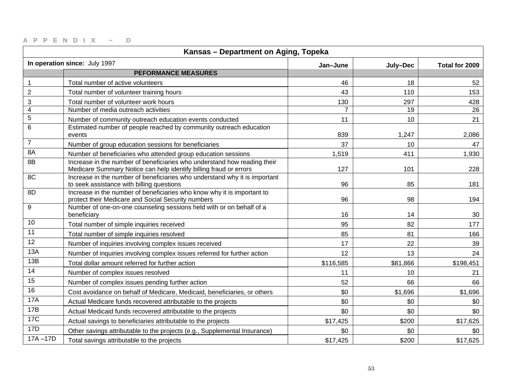| Kansas - Department on Aging, Topeka |                                                                                                                                               |                |          |                |
|--------------------------------------|-----------------------------------------------------------------------------------------------------------------------------------------------|----------------|----------|----------------|
|                                      | In operation since: July 1997                                                                                                                 | Jan-June       | July-Dec | Total for 2009 |
|                                      | <b>PEFORMANCE MEASURES</b>                                                                                                                    |                |          |                |
| 1                                    | Total number of active volunteers                                                                                                             | 46             | 18       | 52             |
| $\overline{2}$                       | Total number of volunteer training hours                                                                                                      | 43             | 110      | 153            |
| 3                                    | Total number of volunteer work hours                                                                                                          | 130            | 297      | 428            |
| $\overline{4}$                       | Number of media outreach activities                                                                                                           | $\overline{7}$ | 19       | 26             |
| $\overline{5}$                       | Number of community outreach education events conducted                                                                                       | 11             | 10       | 21             |
| 6                                    | Estimated number of people reached by community outreach education<br>events                                                                  | 839            | 1,247    | 2,086          |
| $\overline{7}$                       | Number of group education sessions for beneficiaries                                                                                          | 37             | 10       | 47             |
| 8A                                   | Number of beneficiaries who attended group education sessions                                                                                 | 1,519          | 411      | 1,930          |
| 8B                                   | Increase in the number of beneficiaries who understand how reading their<br>Medicare Summary Notice can help identify billing fraud or errors | 127            | 101      | 228            |
| 8C                                   | Increase in the number of beneficiaries who understand why it is important<br>to seek assistance with billing questions                       | 96             | 85       | 181            |
| 8D                                   | Increase in the number of beneficiaries who know why it is important to<br>protect their Medicare and Social Security numbers                 | 96             | 98       | 194            |
| 9                                    | Number of one-on-one counseling sessions held with or on behalf of a<br>beneficiary                                                           | 16             | 14       | 30             |
| 10                                   | Total number of simple inquiries received                                                                                                     | 95             | 82       | 177            |
| 11                                   | Total number of simple inquiries resolved                                                                                                     | 85             | 81       | 166            |
| 12                                   | Number of inquiries involving complex issues received                                                                                         | 17             | 22       | 39             |
| 13A                                  | Number of inquiries involving complex issues referred for further action                                                                      | 12             | 13       | 24             |
| 13B                                  | Total dollar amount referred for further action                                                                                               | \$116,585      | \$81,866 | \$198,451      |
| 14                                   | Number of complex issues resolved                                                                                                             | 11             | 10       | 21             |
| 15                                   | Number of complex issues pending further action                                                                                               | 52             | 66       | 66             |
| 16                                   | Cost avoidance on behalf of Medicare, Medicaid, beneficiaries, or others                                                                      | \$0            | \$1,696  | \$1,696        |
| <b>17A</b>                           | Actual Medicare funds recovered attributable to the projects                                                                                  | \$0            | \$0      | \$0            |
| 17B                                  | Actual Medicaid funds recovered attributable to the projects                                                                                  | \$0            | \$0      | \$0            |
| <b>17C</b>                           | Actual savings to beneficiaries attributable to the projects                                                                                  | \$17,425       | \$200    | \$17,625       |
| 17D                                  | Other savings attributable to the projects (e.g., Supplemental Insurance)                                                                     | \$0            | \$0      | \$0            |
| $17A - 17D$                          | Total savings attributable to the projects                                                                                                    | \$17,425       | \$200    | \$17,625       |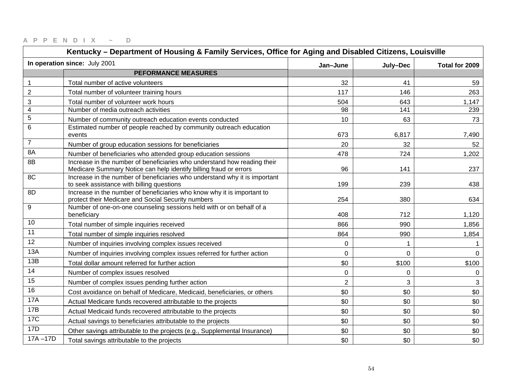| Kentucky – Department of Housing & Family Services, Office for Aging and Disabled Citizens, Louisville |                                                                                                                                               |                |                |                |
|--------------------------------------------------------------------------------------------------------|-----------------------------------------------------------------------------------------------------------------------------------------------|----------------|----------------|----------------|
|                                                                                                        | In operation since: July 2001                                                                                                                 | Jan-June       | July-Dec       | Total for 2009 |
|                                                                                                        | <b>PEFORMANCE MEASURES</b>                                                                                                                    |                |                |                |
| $\mathbf 1$                                                                                            | Total number of active volunteers                                                                                                             | 32             | 41             | 59             |
| $\overline{2}$                                                                                         | Total number of volunteer training hours                                                                                                      | 117            | 146            | 263            |
| 3                                                                                                      | Total number of volunteer work hours                                                                                                          | 504            | 643            | 1,147          |
| 4                                                                                                      | Number of media outreach activities                                                                                                           | 98             | 141            | 239            |
| 5                                                                                                      | Number of community outreach education events conducted                                                                                       | 10             | 63             | 73             |
| 6                                                                                                      | Estimated number of people reached by community outreach education<br>events                                                                  | 673            | 6,817          | 7,490          |
| $\overline{7}$                                                                                         | Number of group education sessions for beneficiaries                                                                                          | 20             | 32             | 52             |
| 8A                                                                                                     | Number of beneficiaries who attended group education sessions                                                                                 | 478            | 724            | 1,202          |
| 8B                                                                                                     | Increase in the number of beneficiaries who understand how reading their<br>Medicare Summary Notice can help identify billing fraud or errors | 96             | 141            | 237            |
| 8C                                                                                                     | Increase in the number of beneficiaries who understand why it is important<br>to seek assistance with billing questions                       | 199            | 239            | 438            |
| 8D                                                                                                     | Increase in the number of beneficiaries who know why it is important to<br>protect their Medicare and Social Security numbers                 | 254            | 380            | 634            |
| 9                                                                                                      | Number of one-on-one counseling sessions held with or on behalf of a<br>beneficiary                                                           | 408            | 712            | 1,120          |
| 10                                                                                                     | Total number of simple inquiries received                                                                                                     | 866            | 990            | 1,856          |
| 11                                                                                                     | Total number of simple inquiries resolved                                                                                                     | 864            | 990            | 1,854          |
| 12                                                                                                     | Number of inquiries involving complex issues received                                                                                         | $\mathbf 0$    | 1              |                |
| 13A                                                                                                    | Number of inquiries involving complex issues referred for further action                                                                      | $\mathbf 0$    | $\overline{0}$ | $\mathbf 0$    |
| 13B                                                                                                    | Total dollar amount referred for further action                                                                                               | \$0            | \$100          | \$100          |
| 14                                                                                                     | Number of complex issues resolved                                                                                                             | $\pmb{0}$      | 0              | 0              |
| 15                                                                                                     | Number of complex issues pending further action                                                                                               | $\overline{2}$ | 3              | $\mathbf{3}$   |
| 16                                                                                                     | Cost avoidance on behalf of Medicare, Medicaid, beneficiaries, or others                                                                      | \$0            | \$0            | \$0            |
| <b>17A</b>                                                                                             | Actual Medicare funds recovered attributable to the projects                                                                                  | \$0            | \$0            | \$0            |
| 17B                                                                                                    | Actual Medicaid funds recovered attributable to the projects                                                                                  | \$0            | \$0            | \$0            |
| 17C                                                                                                    | Actual savings to beneficiaries attributable to the projects                                                                                  | \$0            | \$0            | \$0            |
| 17D                                                                                                    | Other savings attributable to the projects (e.g., Supplemental Insurance)                                                                     | \$0            | \$0            | \$0            |
| $17A - 17D$                                                                                            | Total savings attributable to the projects                                                                                                    | \$0            | \$0            | \$0            |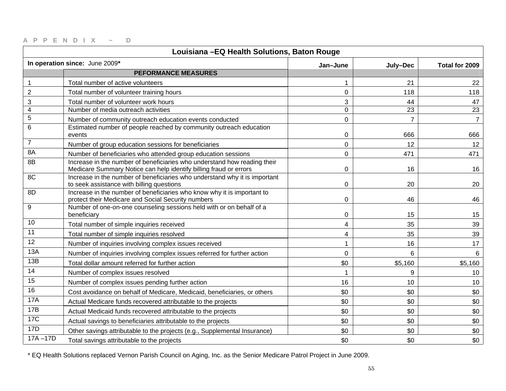| Louisiana - EQ Health Solutions, Baton Rouge |                                                                                                                                               |                |                |                |
|----------------------------------------------|-----------------------------------------------------------------------------------------------------------------------------------------------|----------------|----------------|----------------|
|                                              | In operation since: June 2009*                                                                                                                | Jan-June       | July-Dec       | Total for 2009 |
|                                              | <b>PEFORMANCE MEASURES</b>                                                                                                                    |                |                |                |
| 1                                            | Total number of active volunteers                                                                                                             |                | 21             | 22             |
| $\overline{2}$                               | Total number of volunteer training hours                                                                                                      | $\mathbf 0$    | 118            | 118            |
| 3                                            | Total number of volunteer work hours                                                                                                          | 3              | 44             | 47             |
| $\overline{4}$                               | Number of media outreach activities                                                                                                           | $\mathbf 0$    | 23             | 23             |
| $\mathbf 5$                                  | Number of community outreach education events conducted                                                                                       | $\mathbf 0$    | $\overline{7}$ | $\overline{7}$ |
| $6\phantom{1}6$                              | Estimated number of people reached by community outreach education<br>events                                                                  | 0              | 666            | 666            |
| $\overline{7}$                               | Number of group education sessions for beneficiaries                                                                                          | 0              | 12             | 12             |
| 8A                                           | Number of beneficiaries who attended group education sessions                                                                                 | $\mathbf 0$    | 471            | 471            |
| 8B                                           | Increase in the number of beneficiaries who understand how reading their<br>Medicare Summary Notice can help identify billing fraud or errors | $\mathbf 0$    | 16             | 16             |
| 8C                                           | Increase in the number of beneficiaries who understand why it is important<br>to seek assistance with billing questions                       | 0              | 20             | 20             |
| 8D                                           | Increase in the number of beneficiaries who know why it is important to<br>protect their Medicare and Social Security numbers                 | $\mathbf 0$    | 46             | 46             |
| 9                                            | Number of one-on-one counseling sessions held with or on behalf of a<br>beneficiary                                                           | 0              | 15             | 15             |
| 10                                           | Total number of simple inquiries received                                                                                                     | 4              | 35             | 39             |
| 11                                           | Total number of simple inquiries resolved                                                                                                     | 4              | 35             | 39             |
| 12                                           | Number of inquiries involving complex issues received                                                                                         | 1              | 16             | 17             |
| 13A                                          | Number of inquiries involving complex issues referred for further action                                                                      | $\overline{0}$ | $6\phantom{1}$ | 6              |
| 13B                                          | Total dollar amount referred for further action                                                                                               | \$0            | \$5,160        | \$5,160        |
| 14                                           | Number of complex issues resolved                                                                                                             | $\mathbf{1}$   | 9              | 10             |
| 15                                           | Number of complex issues pending further action                                                                                               | 16             | 10             | 10             |
| 16                                           | Cost avoidance on behalf of Medicare, Medicaid, beneficiaries, or others                                                                      | \$0            | \$0            | \$0            |
| <b>17A</b>                                   | Actual Medicare funds recovered attributable to the projects                                                                                  | \$0            | \$0            | \$0            |
| 17B                                          | Actual Medicaid funds recovered attributable to the projects                                                                                  | \$0            | \$0            | \$0            |
| <b>17C</b>                                   | Actual savings to beneficiaries attributable to the projects                                                                                  | \$0            | \$0            | \$0            |
| 17D                                          | Other savings attributable to the projects (e.g., Supplemental Insurance)                                                                     | \$0            | \$0            | \$0            |
| $17A - 17D$                                  | Total savings attributable to the projects                                                                                                    | \$0            | \$0            | \$0            |

\* EQ Health Solutions replaced Vernon Parish Council on Aging, Inc. as the Senior Medicare Patrol Project in June 2009.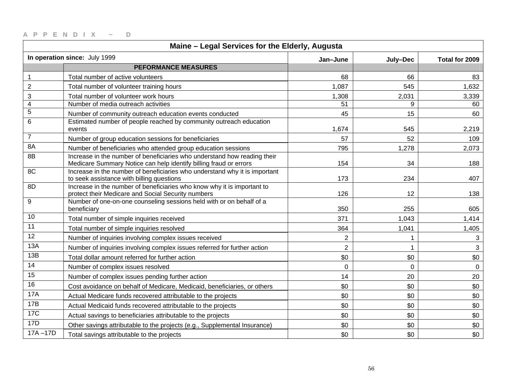| Maine - Legal Services for the Elderly, Augusta |                                                                                                                                               |                |                |                |
|-------------------------------------------------|-----------------------------------------------------------------------------------------------------------------------------------------------|----------------|----------------|----------------|
|                                                 | In operation since: July 1999                                                                                                                 | Jan-June       | July-Dec       | Total for 2009 |
|                                                 | <b>PEFORMANCE MEASURES</b>                                                                                                                    |                |                |                |
| $\mathbf 1$                                     | Total number of active volunteers                                                                                                             | 68             | 66             | 83             |
| $\overline{2}$                                  | Total number of volunteer training hours                                                                                                      | 1,087          | 545            | 1,632          |
| 3                                               | Total number of volunteer work hours                                                                                                          | 1,308          | 2,031          | 3,339          |
| 4                                               | Number of media outreach activities                                                                                                           | 51             | 9              | 60             |
| $\mathbf 5$                                     | Number of community outreach education events conducted                                                                                       | 45             | 15             | 60             |
| 6                                               | Estimated number of people reached by community outreach education<br>events                                                                  | 1,674          | 545            | 2,219          |
| 7                                               | Number of group education sessions for beneficiaries                                                                                          | 57             | 52             | 109            |
| 8A                                              | Number of beneficiaries who attended group education sessions                                                                                 | 795            | 1,278          | 2,073          |
| 8B                                              | Increase in the number of beneficiaries who understand how reading their<br>Medicare Summary Notice can help identify billing fraud or errors | 154            | 34             | 188            |
| 8C                                              | Increase in the number of beneficiaries who understand why it is important<br>to seek assistance with billing questions                       | 173            | 234            | 407            |
| 8D                                              | Increase in the number of beneficiaries who know why it is important to<br>protect their Medicare and Social Security numbers                 | 126            | 12             | 138            |
| 9                                               | Number of one-on-one counseling sessions held with or on behalf of a<br>beneficiary                                                           | 350            | 255            | 605            |
| 10                                              | Total number of simple inquiries received                                                                                                     | 371            | 1,043          | 1,414          |
| 11                                              | Total number of simple inquiries resolved                                                                                                     | 364            | 1,041          | 1,405          |
| 12                                              | Number of inquiries involving complex issues received                                                                                         | 2              |                | 3              |
| 13A                                             | Number of inquiries involving complex issues referred for further action                                                                      | $\overline{2}$ | 1              | 3              |
| 13B                                             | Total dollar amount referred for further action                                                                                               | \$0            | \$0            | $$0$$          |
| 14                                              | Number of complex issues resolved                                                                                                             | $\mathbf 0$    | $\overline{0}$ | $\mathbf 0$    |
| 15                                              | Number of complex issues pending further action                                                                                               | 14             | 20             | 20             |
| 16                                              | Cost avoidance on behalf of Medicare, Medicaid, beneficiaries, or others                                                                      | \$0            | \$0            | \$0            |
| <b>17A</b>                                      | Actual Medicare funds recovered attributable to the projects                                                                                  | \$0            | \$0            | \$0            |
| <b>17B</b>                                      | Actual Medicaid funds recovered attributable to the projects                                                                                  | \$0            | \$0            | \$0            |
| <b>17C</b>                                      | Actual savings to beneficiaries attributable to the projects                                                                                  | \$0            | \$0            | \$0            |
| 17D                                             | Other savings attributable to the projects (e.g., Supplemental Insurance)                                                                     | \$0            | \$0            | \$0            |
| $17A - 17D$                                     | Total savings attributable to the projects                                                                                                    | \$0            | \$0            | \$0            |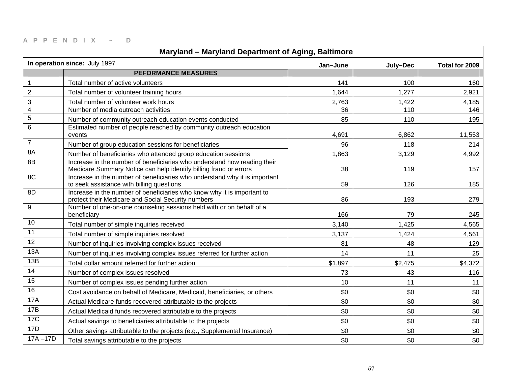| Maryland - Maryland Department of Aging, Baltimore |                                                                                                                                               |          |          |                |
|----------------------------------------------------|-----------------------------------------------------------------------------------------------------------------------------------------------|----------|----------|----------------|
|                                                    | In operation since: July 1997                                                                                                                 | Jan-June | July-Dec | Total for 2009 |
|                                                    | <b>PEFORMANCE MEASURES</b>                                                                                                                    |          |          |                |
| $\mathbf{1}$                                       | Total number of active volunteers                                                                                                             | 141      | 100      | 160            |
| $\overline{c}$                                     | Total number of volunteer training hours                                                                                                      | 1,644    | 1,277    | 2,921          |
| $\ensuremath{\mathsf{3}}$                          | Total number of volunteer work hours                                                                                                          | 2,763    | 1,422    | 4,185          |
| $\overline{4}$                                     | Number of media outreach activities                                                                                                           | 36       | 110      | 146            |
| $\mathbf 5$                                        | Number of community outreach education events conducted                                                                                       | 85       | 110      | 195            |
| $6\phantom{1}6$                                    | Estimated number of people reached by community outreach education<br>events                                                                  | 4,691    | 6,862    | 11,553         |
| $\overline{7}$                                     | Number of group education sessions for beneficiaries                                                                                          | 96       | 118      | 214            |
| 8A                                                 | Number of beneficiaries who attended group education sessions                                                                                 | 1,863    | 3,129    | 4,992          |
| 8B                                                 | Increase in the number of beneficiaries who understand how reading their<br>Medicare Summary Notice can help identify billing fraud or errors | 38       | 119      | 157            |
| 8C                                                 | Increase in the number of beneficiaries who understand why it is important<br>to seek assistance with billing questions                       | 59       | 126      | 185            |
| 8D                                                 | Increase in the number of beneficiaries who know why it is important to<br>protect their Medicare and Social Security numbers                 | 86       | 193      | 279            |
| 9                                                  | Number of one-on-one counseling sessions held with or on behalf of a<br>beneficiary                                                           | 166      | 79       | 245            |
| 10                                                 | Total number of simple inquiries received                                                                                                     | 3,140    | 1,425    | 4,565          |
| 11                                                 | Total number of simple inquiries resolved                                                                                                     | 3,137    | 1,424    | 4,561          |
| 12                                                 | Number of inquiries involving complex issues received                                                                                         | 81       | 48       | 129            |
| 13A                                                | Number of inquiries involving complex issues referred for further action                                                                      | 14       | 11       | 25             |
| 13B                                                | Total dollar amount referred for further action                                                                                               | \$1,897  | \$2,475  | \$4,372        |
| 14                                                 | Number of complex issues resolved                                                                                                             | 73       | 43       | 116            |
| 15                                                 | Number of complex issues pending further action                                                                                               | 10       | 11       | 11             |
| 16                                                 | Cost avoidance on behalf of Medicare, Medicaid, beneficiaries, or others                                                                      | \$0      | \$0      | \$0            |
| <b>17A</b>                                         | Actual Medicare funds recovered attributable to the projects                                                                                  | \$0      | \$0      | \$0            |
| 17B                                                | Actual Medicaid funds recovered attributable to the projects                                                                                  | \$0      | \$0      | \$0            |
| <b>17C</b>                                         | Actual savings to beneficiaries attributable to the projects                                                                                  | \$0      | \$0      | \$0            |
| 17D                                                | Other savings attributable to the projects (e.g., Supplemental Insurance)                                                                     | \$0      | \$0      | \$0            |
| $17A - 17D$                                        | Total savings attributable to the projects                                                                                                    | \$0      | \$0      | \$0            |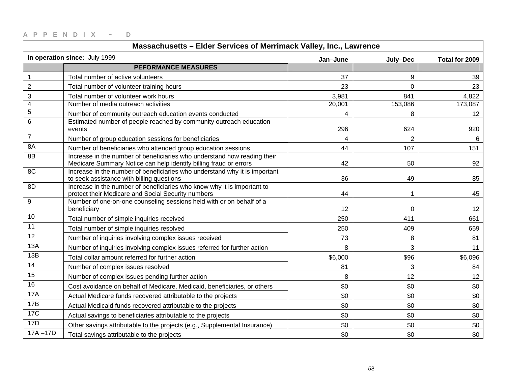| Massachusetts - Elder Services of Merrimack Valley, Inc., Lawrence |                                                                                                                                               |          |                |                |
|--------------------------------------------------------------------|-----------------------------------------------------------------------------------------------------------------------------------------------|----------|----------------|----------------|
|                                                                    | In operation since: July 1999                                                                                                                 | Jan-June | July-Dec       | Total for 2009 |
|                                                                    | <b>PEFORMANCE MEASURES</b>                                                                                                                    |          |                |                |
| 1                                                                  | Total number of active volunteers                                                                                                             | 37       | 9              | 39             |
| $\overline{2}$                                                     | Total number of volunteer training hours                                                                                                      | 23       | $\Omega$       | 23             |
| 3                                                                  | Total number of volunteer work hours                                                                                                          | 3,981    | 841            | 4,822          |
| 4                                                                  | Number of media outreach activities                                                                                                           | 20,001   | 153,086        | 173,087        |
| 5                                                                  | Number of community outreach education events conducted                                                                                       | 4        | 8              | 12             |
| 6                                                                  | Estimated number of people reached by community outreach education<br>events                                                                  | 296      | 624            | 920            |
| $\overline{7}$                                                     | Number of group education sessions for beneficiaries                                                                                          | 4        | $\overline{2}$ | 6              |
| 8A                                                                 | Number of beneficiaries who attended group education sessions                                                                                 | 44       | 107            | 151            |
| 8B                                                                 | Increase in the number of beneficiaries who understand how reading their<br>Medicare Summary Notice can help identify billing fraud or errors | 42       | 50             | 92             |
| 8C                                                                 | Increase in the number of beneficiaries who understand why it is important<br>to seek assistance with billing questions                       | 36       | 49             | 85             |
| 8D                                                                 | Increase in the number of beneficiaries who know why it is important to<br>protect their Medicare and Social Security numbers                 | 44       |                | 45             |
| 9                                                                  | Number of one-on-one counseling sessions held with or on behalf of a<br>beneficiary                                                           | 12       | 0              | 12             |
| 10                                                                 | Total number of simple inquiries received                                                                                                     | 250      | 411            | 661            |
| 11                                                                 | Total number of simple inquiries resolved                                                                                                     | 250      | 409            | 659            |
| 12                                                                 | Number of inquiries involving complex issues received                                                                                         | 73       | 8              | 81             |
| 13A                                                                | Number of inquiries involving complex issues referred for further action                                                                      | 8        | 3              | 11             |
| 13B                                                                | Total dollar amount referred for further action                                                                                               | \$6,000  | \$96           | \$6,096        |
| 14                                                                 | Number of complex issues resolved                                                                                                             | 81       | 3              | 84             |
| 15                                                                 | Number of complex issues pending further action                                                                                               | 8        | 12             | 12             |
| 16                                                                 | Cost avoidance on behalf of Medicare, Medicaid, beneficiaries, or others                                                                      | \$0      | \$0            | \$0            |
| <b>17A</b>                                                         | Actual Medicare funds recovered attributable to the projects                                                                                  | \$0      | \$0            | \$0            |
| 17B                                                                | Actual Medicaid funds recovered attributable to the projects                                                                                  | \$0      | \$0            | \$0            |
| <b>17C</b>                                                         | Actual savings to beneficiaries attributable to the projects                                                                                  | \$0      | \$0            | \$0            |
| 17D                                                                | Other savings attributable to the projects (e.g., Supplemental Insurance)                                                                     | \$0      | \$0            | \$0            |
| $17A - 17D$                                                        | Total savings attributable to the projects                                                                                                    | \$0      | \$0            | \$0            |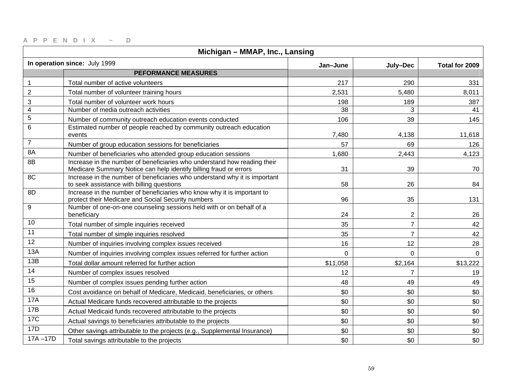| Michigan - MMAP, Inc., Lansing |                                                                                                                                               |             |                |                |
|--------------------------------|-----------------------------------------------------------------------------------------------------------------------------------------------|-------------|----------------|----------------|
|                                | In operation since: July 1999                                                                                                                 | Jan-June    | July-Dec       | Total for 2009 |
|                                | <b>PEFORMANCE MEASURES</b>                                                                                                                    |             |                |                |
| $\mathbf{1}$                   | Total number of active volunteers                                                                                                             | 217         | 290            | 331            |
| $\mathbf 2$                    | Total number of volunteer training hours                                                                                                      | 2,531       | 5,480          | 8,011          |
| 3                              | Total number of volunteer work hours                                                                                                          | 198         | 189            | 387            |
| $\overline{\mathbf{4}}$        | Number of media outreach activities                                                                                                           | 38          | 3              | 41             |
| $\mathbf 5$                    | Number of community outreach education events conducted                                                                                       | 106         | 39             | 145            |
| 6                              | Estimated number of people reached by community outreach education<br>events                                                                  | 7,480       | 4,138          | 11,618         |
| $\overline{7}$                 | Number of group education sessions for beneficiaries                                                                                          | 57          | 69             | 126            |
| 8A                             | Number of beneficiaries who attended group education sessions                                                                                 | 1,680       | 2,443          | 4,123          |
| 8B                             | Increase in the number of beneficiaries who understand how reading their<br>Medicare Summary Notice can help identify billing fraud or errors | 31          | 39             | 70             |
| 8C                             | Increase in the number of beneficiaries who understand why it is important<br>to seek assistance with billing questions                       | 58          | 26             | 84             |
| 8D                             | Increase in the number of beneficiaries who know why it is important to<br>protect their Medicare and Social Security numbers                 | 96          | 35             | 131            |
| 9                              | Number of one-on-one counseling sessions held with or on behalf of a<br>beneficiary                                                           | 24          | $\overline{2}$ | 26             |
| 10                             | Total number of simple inquiries received                                                                                                     | 35          | $\overline{7}$ | 42             |
| 11                             | Total number of simple inquiries resolved                                                                                                     | 35          | $\overline{7}$ | 42             |
| 12                             | Number of inquiries involving complex issues received                                                                                         | 16          | 12             | 28             |
| 13A                            | Number of inquiries involving complex issues referred for further action                                                                      | $\mathbf 0$ | $\overline{0}$ | $\mathbf 0$    |
| 13B                            | Total dollar amount referred for further action                                                                                               | \$11,058    | \$2,164        | \$13,222       |
| 14                             | Number of complex issues resolved                                                                                                             | 12          | $\overline{7}$ | 19             |
| 15                             | Number of complex issues pending further action                                                                                               | 48          | 49             | 49             |
| 16                             | Cost avoidance on behalf of Medicare, Medicaid, beneficiaries, or others                                                                      | \$0         | \$0            | \$0            |
| 17A                            | Actual Medicare funds recovered attributable to the projects                                                                                  | \$0         | \$0            | \$0            |
| 17B                            | Actual Medicaid funds recovered attributable to the projects                                                                                  | \$0         | \$0            | \$0            |
| <b>17C</b>                     | Actual savings to beneficiaries attributable to the projects                                                                                  | \$0         | \$0            | \$0            |
| 17D                            | Other savings attributable to the projects (e.g., Supplemental Insurance)                                                                     | \$0         | \$0            | \$0            |
| $17A - 17D$                    | Total savings attributable to the projects                                                                                                    | \$0         | \$0            | \$0            |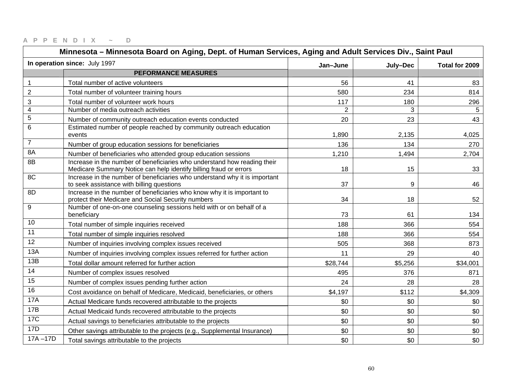| Minnesota - Minnesota Board on Aging, Dept. of Human Services, Aging and Adult Services Div., Saint Paul |                                                                                                                                               |                |          |                |
|----------------------------------------------------------------------------------------------------------|-----------------------------------------------------------------------------------------------------------------------------------------------|----------------|----------|----------------|
|                                                                                                          | In operation since: July 1997                                                                                                                 | Jan-June       | July-Dec | Total for 2009 |
|                                                                                                          | <b>PEFORMANCE MEASURES</b>                                                                                                                    |                |          |                |
| $\mathbf{1}$                                                                                             | Total number of active volunteers                                                                                                             | 56             | 41       | 83             |
| $\overline{2}$                                                                                           | Total number of volunteer training hours                                                                                                      | 580            | 234      | 814            |
| 3                                                                                                        | Total number of volunteer work hours                                                                                                          | 117            | 180      | 296            |
| $\overline{4}$                                                                                           | Number of media outreach activities                                                                                                           | $\overline{2}$ | 3        | 5              |
| $\mathbf 5$                                                                                              | Number of community outreach education events conducted                                                                                       | 20             | 23       | 43             |
| $6\phantom{1}6$                                                                                          | Estimated number of people reached by community outreach education<br>events                                                                  | 1,890          | 2,135    | 4,025          |
| $\overline{7}$                                                                                           | Number of group education sessions for beneficiaries                                                                                          | 136            | 134      | 270            |
| 8A                                                                                                       | Number of beneficiaries who attended group education sessions                                                                                 | 1,210          | 1,494    | 2,704          |
| 8B                                                                                                       | Increase in the number of beneficiaries who understand how reading their<br>Medicare Summary Notice can help identify billing fraud or errors | 18             | 15       | 33             |
| 8C                                                                                                       | Increase in the number of beneficiaries who understand why it is important<br>to seek assistance with billing questions                       | 37             | 9        | 46             |
| 8D                                                                                                       | Increase in the number of beneficiaries who know why it is important to<br>protect their Medicare and Social Security numbers                 | 34             | 18       | 52             |
| 9                                                                                                        | Number of one-on-one counseling sessions held with or on behalf of a<br>beneficiary                                                           | 73             | 61       | 134            |
| 10                                                                                                       | Total number of simple inquiries received                                                                                                     | 188            | 366      | 554            |
| 11                                                                                                       | Total number of simple inquiries resolved                                                                                                     | 188            | 366      | 554            |
| 12                                                                                                       | Number of inquiries involving complex issues received                                                                                         | 505            | 368      | 873            |
| 13A                                                                                                      | Number of inquiries involving complex issues referred for further action                                                                      | 11             | 29       | 40             |
| 13B                                                                                                      | Total dollar amount referred for further action                                                                                               | \$28,744       | \$5,256  | \$34,001       |
| 14                                                                                                       | Number of complex issues resolved                                                                                                             | 495            | 376      | 871            |
| $\overline{15}$                                                                                          | Number of complex issues pending further action                                                                                               | 24             | 28       | 28             |
| 16                                                                                                       | Cost avoidance on behalf of Medicare, Medicaid, beneficiaries, or others                                                                      | \$4,197        | \$112    | \$4,309        |
| <b>17A</b>                                                                                               | Actual Medicare funds recovered attributable to the projects                                                                                  | \$0            | \$0      | \$0            |
| 17B                                                                                                      | Actual Medicaid funds recovered attributable to the projects                                                                                  | \$0            | \$0      | \$0            |
| <b>17C</b>                                                                                               | Actual savings to beneficiaries attributable to the projects                                                                                  | \$0            | \$0      | \$0            |
| 17D                                                                                                      | Other savings attributable to the projects (e.g., Supplemental Insurance)                                                                     | \$0            | \$0      | \$0            |
| $17A - 17D$                                                                                              | Total savings attributable to the projects                                                                                                    | \$0            | \$0      | \$0            |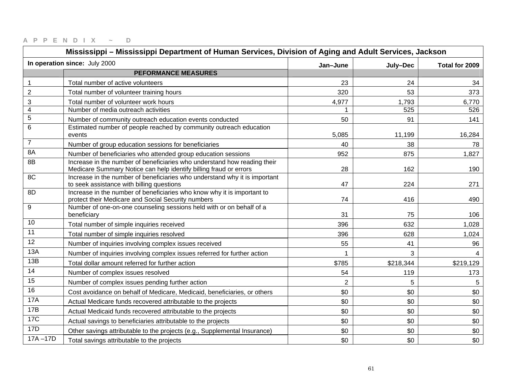| Mississippi – Mississippi Department of Human Services, Division of Aging and Adult Services, Jackson |                                                                                                                                               |                |           |                          |
|-------------------------------------------------------------------------------------------------------|-----------------------------------------------------------------------------------------------------------------------------------------------|----------------|-----------|--------------------------|
|                                                                                                       | In operation since: July 2000                                                                                                                 | Jan-June       | July-Dec  | Total for 2009           |
|                                                                                                       | <b>PEFORMANCE MEASURES</b>                                                                                                                    |                |           |                          |
| $\mathbf{1}$                                                                                          | Total number of active volunteers                                                                                                             | 23             | 24        | 34                       |
| $\overline{2}$                                                                                        | Total number of volunteer training hours                                                                                                      | 320            | 53        | 373                      |
| 3                                                                                                     | Total number of volunteer work hours                                                                                                          | 4,977          | 1,793     | 6,770                    |
| 4                                                                                                     | Number of media outreach activities                                                                                                           | $\mathbf 1$    | 525       | 526                      |
| 5                                                                                                     | Number of community outreach education events conducted                                                                                       | 50             | 91        | 141                      |
| 6                                                                                                     | Estimated number of people reached by community outreach education<br>events                                                                  | 5,085          | 11,199    | 16,284                   |
| $\overline{7}$                                                                                        | Number of group education sessions for beneficiaries                                                                                          | 40             | 38        | 78                       |
| 8A                                                                                                    | Number of beneficiaries who attended group education sessions                                                                                 | 952            | 875       | 1,827                    |
| 8B                                                                                                    | Increase in the number of beneficiaries who understand how reading their<br>Medicare Summary Notice can help identify billing fraud or errors | 28             | 162       | 190                      |
| 8C                                                                                                    | Increase in the number of beneficiaries who understand why it is important<br>to seek assistance with billing questions                       | 47             | 224       | 271                      |
| 8D                                                                                                    | Increase in the number of beneficiaries who know why it is important to<br>protect their Medicare and Social Security numbers                 | 74             | 416       | 490                      |
| 9                                                                                                     | Number of one-on-one counseling sessions held with or on behalf of a<br>beneficiary                                                           | 31             | 75        | 106                      |
| 10                                                                                                    | Total number of simple inquiries received                                                                                                     | 396            | 632       | 1,028                    |
| 11                                                                                                    | Total number of simple inquiries resolved                                                                                                     | 396            | 628       | 1,024                    |
| $\overline{12}$                                                                                       | Number of inquiries involving complex issues received                                                                                         | 55             | 41        | 96                       |
| 13A                                                                                                   | Number of inquiries involving complex issues referred for further action                                                                      | $\mathbf{1}$   | 3         | $\overline{\mathcal{A}}$ |
| 13B                                                                                                   | Total dollar amount referred for further action                                                                                               | \$785          | \$218,344 | \$219,129                |
| 14                                                                                                    | Number of complex issues resolved                                                                                                             | 54             | 119       | 173                      |
| 15                                                                                                    | Number of complex issues pending further action                                                                                               | $\overline{2}$ | 5         | 5                        |
| 16                                                                                                    | Cost avoidance on behalf of Medicare, Medicaid, beneficiaries, or others                                                                      | \$0            | \$0       | \$0                      |
| 17A                                                                                                   | Actual Medicare funds recovered attributable to the projects                                                                                  | \$0            | \$0       | \$0                      |
| 17B                                                                                                   | Actual Medicaid funds recovered attributable to the projects                                                                                  | \$0            | \$0       | \$0                      |
| 17C                                                                                                   | Actual savings to beneficiaries attributable to the projects                                                                                  | \$0            | \$0       | \$0                      |
| 17D                                                                                                   | Other savings attributable to the projects (e.g., Supplemental Insurance)                                                                     | \$0            | \$0       | \$0                      |
| $17A - 17D$                                                                                           | Total savings attributable to the projects                                                                                                    | \$0            | \$0       | \$0                      |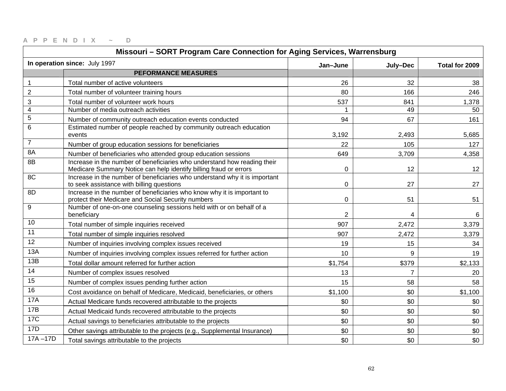|                         | Missouri - SORT Program Care Connection for Aging Services, Warrensburg                                                                       |                |                |                |
|-------------------------|-----------------------------------------------------------------------------------------------------------------------------------------------|----------------|----------------|----------------|
|                         | In operation since: July 1997                                                                                                                 | Jan-June       | July-Dec       | Total for 2009 |
|                         | <b>PEFORMANCE MEASURES</b>                                                                                                                    |                |                |                |
| 1                       | Total number of active volunteers                                                                                                             | 26             | 32             | 38             |
| $\overline{2}$          | Total number of volunteer training hours                                                                                                      | 80             | 166            | 246            |
| 3                       | Total number of volunteer work hours                                                                                                          | 537            | 841            | 1,378          |
| $\overline{\mathbf{4}}$ | Number of media outreach activities                                                                                                           |                | 49             | 50             |
| $\overline{5}$          | Number of community outreach education events conducted                                                                                       | 94             | 67             | 161            |
| 6                       | Estimated number of people reached by community outreach education<br>events                                                                  | 3,192          | 2,493          | 5,685          |
| $\overline{7}$          | Number of group education sessions for beneficiaries                                                                                          | 22             | 105            | 127            |
| 8A                      | Number of beneficiaries who attended group education sessions                                                                                 | 649            | 3,709          | 4,358          |
| 8B                      | Increase in the number of beneficiaries who understand how reading their<br>Medicare Summary Notice can help identify billing fraud or errors | $\mathbf 0$    | 12             | 12             |
| 8C                      | Increase in the number of beneficiaries who understand why it is important<br>to seek assistance with billing questions                       | $\mathbf 0$    | 27             | 27             |
| 8D                      | Increase in the number of beneficiaries who know why it is important to<br>protect their Medicare and Social Security numbers                 | 0              | 51             | 51             |
| 9                       | Number of one-on-one counseling sessions held with or on behalf of a<br>beneficiary                                                           | $\overline{2}$ | 4              | 6              |
| 10                      | Total number of simple inquiries received                                                                                                     | 907            | 2,472          | 3,379          |
| 11                      | Total number of simple inquiries resolved                                                                                                     | 907            | 2,472          | 3,379          |
| 12                      | Number of inquiries involving complex issues received                                                                                         | 19             | 15             | 34             |
| 13A                     | Number of inquiries involving complex issues referred for further action                                                                      | 10             | 9              | 19             |
| 13B                     | Total dollar amount referred for further action                                                                                               | \$1,754        | \$379          | \$2,133        |
| 14                      | Number of complex issues resolved                                                                                                             | 13             | $\overline{7}$ | 20             |
| 15                      | Number of complex issues pending further action                                                                                               | 15             | 58             | 58             |
| 16                      | Cost avoidance on behalf of Medicare, Medicaid, beneficiaries, or others                                                                      | \$1,100        | \$0            | \$1,100        |
| <b>17A</b>              | Actual Medicare funds recovered attributable to the projects                                                                                  | \$0            | \$0            | \$0            |
| 17B                     | Actual Medicaid funds recovered attributable to the projects                                                                                  | \$0            | \$0            | \$0            |
| <b>17C</b>              | Actual savings to beneficiaries attributable to the projects                                                                                  | \$0            | \$0            | \$0            |
| 17D                     | Other savings attributable to the projects (e.g., Supplemental Insurance)                                                                     | \$0            | \$0            | \$0            |
| $17A - 17D$             | Total savings attributable to the projects                                                                                                    | \$0            | \$0            | \$0            |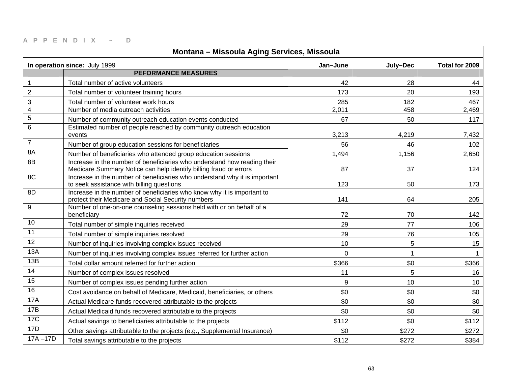| Montana - Missoula Aging Services, Missoula |                                                                                                                                               |             |          |                |
|---------------------------------------------|-----------------------------------------------------------------------------------------------------------------------------------------------|-------------|----------|----------------|
|                                             | In operation since: July 1999                                                                                                                 | Jan-June    | July-Dec | Total for 2009 |
|                                             | <b>PEFORMANCE MEASURES</b>                                                                                                                    |             |          |                |
| 1                                           | Total number of active volunteers                                                                                                             | 42          | 28       | 44             |
| $\overline{2}$                              | Total number of volunteer training hours                                                                                                      | 173         | 20       | 193            |
| 3                                           | Total number of volunteer work hours                                                                                                          | 285         | 182      | 467            |
| $\overline{4}$                              | Number of media outreach activities                                                                                                           | 2,011       | 458      | 2,469          |
| $\overline{5}$                              | Number of community outreach education events conducted                                                                                       | 67          | 50       | 117            |
| 6                                           | Estimated number of people reached by community outreach education<br>events                                                                  | 3,213       | 4,219    | 7,432          |
| $\overline{7}$                              | Number of group education sessions for beneficiaries                                                                                          | 56          | 46       | 102            |
| 8A                                          | Number of beneficiaries who attended group education sessions                                                                                 | 1,494       | 1,156    | 2,650          |
| 8B                                          | Increase in the number of beneficiaries who understand how reading their<br>Medicare Summary Notice can help identify billing fraud or errors | 87          | 37       | 124            |
| 8C                                          | Increase in the number of beneficiaries who understand why it is important<br>to seek assistance with billing questions                       | 123         | 50       | 173            |
| 8D                                          | Increase in the number of beneficiaries who know why it is important to<br>protect their Medicare and Social Security numbers                 | 141         | 64       | 205            |
| 9                                           | Number of one-on-one counseling sessions held with or on behalf of a<br>beneficiary                                                           | 72          | 70       | 142            |
| 10                                          | Total number of simple inquiries received                                                                                                     | 29          | 77       | 106            |
| 11                                          | Total number of simple inquiries resolved                                                                                                     | 29          | 76       | 105            |
| 12                                          | Number of inquiries involving complex issues received                                                                                         | 10          | 5        | 15             |
| 13A                                         | Number of inquiries involving complex issues referred for further action                                                                      | $\mathbf 0$ |          | $\mathbf{1}$   |
| 13B                                         | Total dollar amount referred for further action                                                                                               | \$366       | \$0      | \$366          |
| 14                                          | Number of complex issues resolved                                                                                                             | 11          | 5        | 16             |
| $\overline{15}$                             | Number of complex issues pending further action                                                                                               | 9           | 10       | 10             |
| 16                                          | Cost avoidance on behalf of Medicare, Medicaid, beneficiaries, or others                                                                      | \$0         | \$0      | \$0            |
| <b>17A</b>                                  | Actual Medicare funds recovered attributable to the projects                                                                                  | \$0         | \$0      | \$0            |
| 17B                                         | Actual Medicaid funds recovered attributable to the projects                                                                                  | \$0         | \$0      | \$0            |
| <b>17C</b>                                  | Actual savings to beneficiaries attributable to the projects                                                                                  | \$112       | \$0      | \$112          |
| 17D                                         | Other savings attributable to the projects (e.g., Supplemental Insurance)                                                                     | \$0         | \$272    | \$272          |
| $17A - 17D$                                 | Total savings attributable to the projects                                                                                                    | \$112       | \$272    | \$384          |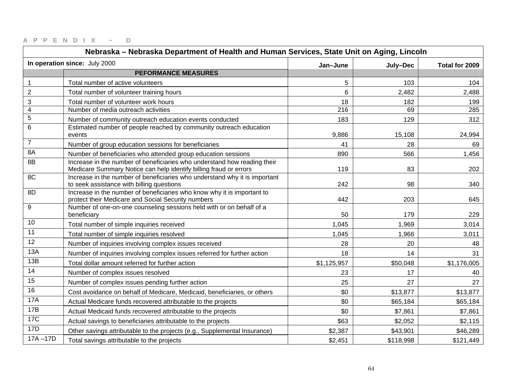| Nebraska – Nebraska Department of Health and Human Services, State Unit on Aging, Lincoln |                                                                                                                                               |             |           |                |
|-------------------------------------------------------------------------------------------|-----------------------------------------------------------------------------------------------------------------------------------------------|-------------|-----------|----------------|
|                                                                                           | In operation since: July 2000                                                                                                                 | Jan-June    | July-Dec  | Total for 2009 |
|                                                                                           | <b>PEFORMANCE MEASURES</b>                                                                                                                    |             |           |                |
| $\mathbf{1}$                                                                              | Total number of active volunteers                                                                                                             | 5           | 103       | 104            |
| $\overline{2}$                                                                            | Total number of volunteer training hours                                                                                                      | 6           | 2,482     | 2,488          |
| 3                                                                                         | Total number of volunteer work hours                                                                                                          | 18          | 182       | 199            |
| $\overline{\mathbf{4}}$                                                                   | Number of media outreach activities                                                                                                           | 216         | 69        | 285            |
| $\mathbf 5$                                                                               | Number of community outreach education events conducted                                                                                       | 183         | 129       | 312            |
| 6                                                                                         | Estimated number of people reached by community outreach education<br>events                                                                  | 9,886       | 15,108    | 24,994         |
| $\overline{7}$                                                                            | Number of group education sessions for beneficiaries                                                                                          | 41          | 28        | 69             |
| 8A                                                                                        | Number of beneficiaries who attended group education sessions                                                                                 | 890         | 566       | 1,456          |
| 8B                                                                                        | Increase in the number of beneficiaries who understand how reading their<br>Medicare Summary Notice can help identify billing fraud or errors | 119         | 83        | 202            |
| 8C                                                                                        | Increase in the number of beneficiaries who understand why it is important<br>to seek assistance with billing questions                       | 242         | 98        | 340            |
| 8D                                                                                        | Increase in the number of beneficiaries who know why it is important to<br>protect their Medicare and Social Security numbers                 | 442         | 203       | 645            |
| 9                                                                                         | Number of one-on-one counseling sessions held with or on behalf of a<br>beneficiary                                                           | 50          | 179       | 229            |
| 10                                                                                        | Total number of simple inquiries received                                                                                                     | 1,045       | 1,969     | 3,014          |
| 11                                                                                        | Total number of simple inquiries resolved                                                                                                     | 1,045       | 1,966     | 3,011          |
| 12                                                                                        | Number of inquiries involving complex issues received                                                                                         | 28          | 20        | 48             |
| 13A                                                                                       | Number of inquiries involving complex issues referred for further action                                                                      | 18          | 14        | 31             |
| 13B                                                                                       | Total dollar amount referred for further action                                                                                               | \$1,125,957 | \$50,048  | \$1,176,005    |
| 14                                                                                        | Number of complex issues resolved                                                                                                             | 23          | 17        | 40             |
| 15                                                                                        | Number of complex issues pending further action                                                                                               | 25          | 27        | 27             |
| 16                                                                                        | Cost avoidance on behalf of Medicare, Medicaid, beneficiaries, or others                                                                      | \$0         | \$13,877  | \$13,877       |
| 17A                                                                                       | Actual Medicare funds recovered attributable to the projects                                                                                  | \$0         | \$65,184  | \$65,184       |
| 17B                                                                                       | Actual Medicaid funds recovered attributable to the projects                                                                                  | \$0         | \$7,861   | \$7,861        |
| <b>17C</b>                                                                                | Actual savings to beneficiaries attributable to the projects                                                                                  | \$63        | \$2,052   | \$2,115        |
| 17D                                                                                       | Other savings attributable to the projects (e.g., Supplemental Insurance)                                                                     | \$2,387     | \$43,901  | \$46,289       |
| $17A - 17D$                                                                               | Total savings attributable to the projects                                                                                                    | \$2,451     | \$118,998 | \$121,449      |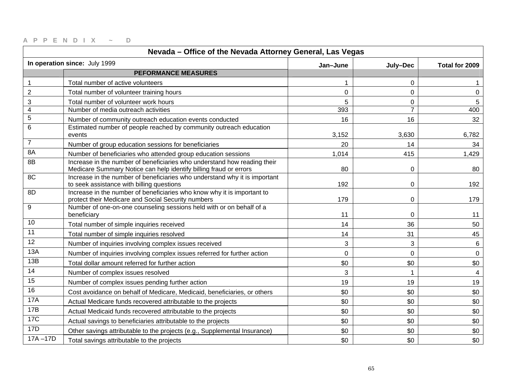| Nevada - Office of the Nevada Attorney General, Las Vegas |                                                                                                                                               |                |                |                 |
|-----------------------------------------------------------|-----------------------------------------------------------------------------------------------------------------------------------------------|----------------|----------------|-----------------|
|                                                           | In operation since: July 1999                                                                                                                 | Jan-June       | July-Dec       | Total for 2009  |
|                                                           | <b>PEFORMANCE MEASURES</b>                                                                                                                    |                |                |                 |
| 1                                                         | Total number of active volunteers                                                                                                             | 1              | 0              |                 |
| $\mathbf 2$                                               | Total number of volunteer training hours                                                                                                      | 0              | $\overline{0}$ | 0               |
| 3                                                         | Total number of volunteer work hours                                                                                                          | 5              | $\mathbf 0$    | 5               |
| 4                                                         | Number of media outreach activities                                                                                                           | 393            | $\overline{7}$ | 400             |
| $\mathbf 5$                                               | Number of community outreach education events conducted                                                                                       | 16             | 16             | 32              |
| 6                                                         | Estimated number of people reached by community outreach education<br>events                                                                  | 3,152          | 3,630          | 6,782           |
| $\overline{7}$                                            | Number of group education sessions for beneficiaries                                                                                          | 20             | 14             | 34              |
| 8A                                                        | Number of beneficiaries who attended group education sessions                                                                                 | 1,014          | 415            | 1,429           |
| 8B                                                        | Increase in the number of beneficiaries who understand how reading their<br>Medicare Summary Notice can help identify billing fraud or errors | 80             | $\mathbf 0$    | 80              |
| 8C                                                        | Increase in the number of beneficiaries who understand why it is important<br>to seek assistance with billing questions                       | 192            | 0              | 192             |
| 8D                                                        | Increase in the number of beneficiaries who know why it is important to<br>protect their Medicare and Social Security numbers                 | 179            | 0              | 179             |
| 9                                                         | Number of one-on-one counseling sessions held with or on behalf of a<br>beneficiary                                                           | 11             | $\Omega$       | 11              |
| 10                                                        | Total number of simple inquiries received                                                                                                     | 14             | 36             | 50              |
| 11                                                        | Total number of simple inquiries resolved                                                                                                     | 14             | 31             | 45              |
| $\overline{12}$                                           | Number of inquiries involving complex issues received                                                                                         | 3              | 3              | $6\phantom{.}6$ |
| 13A                                                       | Number of inquiries involving complex issues referred for further action                                                                      | $\overline{0}$ | $\mathbf 0$    | $\mathbf 0$     |
| 13B                                                       | Total dollar amount referred for further action                                                                                               | \$0            | \$0            | \$0             |
| 14                                                        | Number of complex issues resolved                                                                                                             | 3              | $\mathbf 1$    | $\overline{4}$  |
| 15                                                        | Number of complex issues pending further action                                                                                               | 19             | 19             | 19              |
| 16                                                        | Cost avoidance on behalf of Medicare, Medicaid, beneficiaries, or others                                                                      | \$0            | \$0            | \$0             |
| <b>17A</b>                                                | Actual Medicare funds recovered attributable to the projects                                                                                  | \$0            | \$0            | \$0             |
| 17B                                                       | Actual Medicaid funds recovered attributable to the projects                                                                                  | \$0            | \$0            | \$0             |
| <b>17C</b>                                                | Actual savings to beneficiaries attributable to the projects                                                                                  | \$0            | \$0            | \$0             |
| 17D                                                       | Other savings attributable to the projects (e.g., Supplemental Insurance)                                                                     | \$0            | \$0            | \$0             |
| $17A - 17D$                                               | Total savings attributable to the projects                                                                                                    | \$0            | \$0            | \$0             |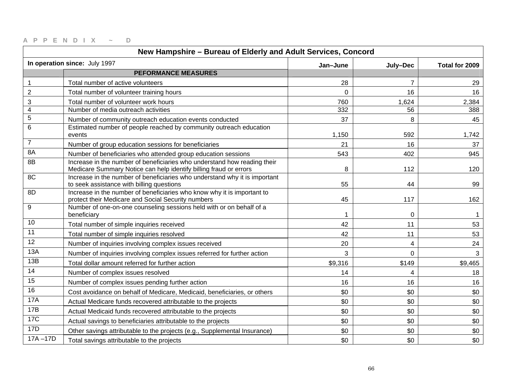| New Hampshire - Bureau of Elderly and Adult Services, Concord |                                                                                                                                               |          |                |                |
|---------------------------------------------------------------|-----------------------------------------------------------------------------------------------------------------------------------------------|----------|----------------|----------------|
|                                                               | In operation since: July 1997                                                                                                                 | Jan-June | July-Dec       | Total for 2009 |
|                                                               | <b>PEFORMANCE MEASURES</b>                                                                                                                    |          |                |                |
| 1                                                             | Total number of active volunteers                                                                                                             | 28       | $\overline{7}$ | 29             |
| $\mathbf 2$                                                   | Total number of volunteer training hours                                                                                                      | $\Omega$ | 16             | 16             |
| 3                                                             | Total number of volunteer work hours                                                                                                          | 760      | 1,624          | 2,384          |
| $\overline{\mathbf{4}}$                                       | Number of media outreach activities                                                                                                           | 332      | 56             | 388            |
| $\mathbf 5$                                                   | Number of community outreach education events conducted                                                                                       | 37       | 8              | 45             |
| 6                                                             | Estimated number of people reached by community outreach education<br>events                                                                  | 1,150    | 592            | 1,742          |
| $\overline{7}$                                                | Number of group education sessions for beneficiaries                                                                                          | 21       | 16             | 37             |
| 8A                                                            | Number of beneficiaries who attended group education sessions                                                                                 | 543      | 402            | 945            |
| 8B                                                            | Increase in the number of beneficiaries who understand how reading their<br>Medicare Summary Notice can help identify billing fraud or errors | 8        | 112            | 120            |
| 8C                                                            | Increase in the number of beneficiaries who understand why it is important<br>to seek assistance with billing questions                       | 55       | 44             | 99             |
| 8D                                                            | Increase in the number of beneficiaries who know why it is important to<br>protect their Medicare and Social Security numbers                 | 45       | 117            | 162            |
| 9                                                             | Number of one-on-one counseling sessions held with or on behalf of a<br>beneficiary                                                           | 1        | $\mathbf 0$    |                |
| 10                                                            | Total number of simple inquiries received                                                                                                     | 42       | 11             | 53             |
| 11                                                            | Total number of simple inquiries resolved                                                                                                     | 42       | 11             | 53             |
| $\overline{12}$                                               | Number of inquiries involving complex issues received                                                                                         | 20       | 4              | 24             |
| 13A                                                           | Number of inquiries involving complex issues referred for further action                                                                      | 3        | $\overline{0}$ | 3              |
| 13B                                                           | Total dollar amount referred for further action                                                                                               | \$9,316  | \$149          | \$9,465        |
| 14                                                            | Number of complex issues resolved                                                                                                             | 14       | 4              | 18             |
| 15                                                            | Number of complex issues pending further action                                                                                               | 16       | 16             | 16             |
| 16                                                            | Cost avoidance on behalf of Medicare, Medicaid, beneficiaries, or others                                                                      | \$0      | \$0            | \$0            |
| <b>17A</b>                                                    | Actual Medicare funds recovered attributable to the projects                                                                                  | \$0      | \$0            | \$0            |
| 17B                                                           | Actual Medicaid funds recovered attributable to the projects                                                                                  | \$0      | \$0            | \$0            |
| <b>17C</b>                                                    | Actual savings to beneficiaries attributable to the projects                                                                                  | \$0      | \$0            | \$0            |
| 17D                                                           | Other savings attributable to the projects (e.g., Supplemental Insurance)                                                                     | \$0      | \$0            | \$0            |
| $17A - 17D$                                                   | Total savings attributable to the projects                                                                                                    | \$0      | \$0            | \$0            |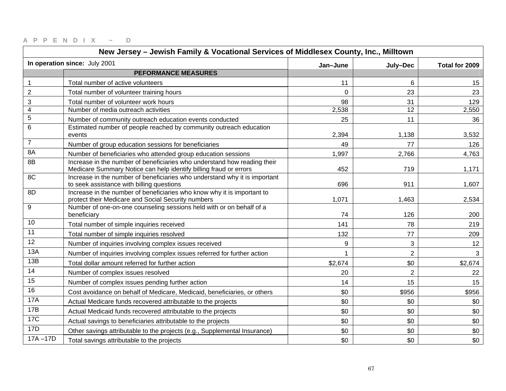| New Jersey - Jewish Family & Vocational Services of Middlesex County, Inc., Milltown |                                                                                                                                               |          |                 |                |
|--------------------------------------------------------------------------------------|-----------------------------------------------------------------------------------------------------------------------------------------------|----------|-----------------|----------------|
|                                                                                      | In operation since: July 2001                                                                                                                 | Jan-June | July-Dec        | Total for 2009 |
|                                                                                      | <b>PEFORMANCE MEASURES</b>                                                                                                                    |          |                 |                |
| $\mathbf{1}$                                                                         | Total number of active volunteers                                                                                                             | 11       | 6               | 15             |
| $\overline{2}$                                                                       | Total number of volunteer training hours                                                                                                      | 0        | 23              | 23             |
| 3                                                                                    | Total number of volunteer work hours                                                                                                          | 98       | 31              | 129            |
| $\overline{4}$                                                                       | Number of media outreach activities                                                                                                           | 2,538    | $\overline{12}$ | 2,550          |
| $\mathbf 5$                                                                          | Number of community outreach education events conducted                                                                                       | 25       | 11              | 36             |
| $\,6\,$                                                                              | Estimated number of people reached by community outreach education<br>events                                                                  | 2,394    | 1,138           | 3,532          |
| $\overline{7}$                                                                       | Number of group education sessions for beneficiaries                                                                                          | 49       | 77              | 126            |
| 8A                                                                                   | Number of beneficiaries who attended group education sessions                                                                                 | 1,997    | 2,766           | 4,763          |
| 8B                                                                                   | Increase in the number of beneficiaries who understand how reading their<br>Medicare Summary Notice can help identify billing fraud or errors | 452      | 719             | 1,171          |
| 8C                                                                                   | Increase in the number of beneficiaries who understand why it is important<br>to seek assistance with billing questions                       | 696      | 911             | 1,607          |
| 8D                                                                                   | Increase in the number of beneficiaries who know why it is important to<br>protect their Medicare and Social Security numbers                 | 1,071    | 1,463           | 2,534          |
| 9                                                                                    | Number of one-on-one counseling sessions held with or on behalf of a<br>beneficiary                                                           | 74       | 126             | 200            |
| 10                                                                                   | Total number of simple inquiries received                                                                                                     | 141      | 78              | 219            |
| 11                                                                                   | Total number of simple inquiries resolved                                                                                                     | 132      | 77              | 209            |
| 12                                                                                   | Number of inquiries involving complex issues received                                                                                         | 9        | 3               | 12             |
| 13A                                                                                  | Number of inquiries involving complex issues referred for further action                                                                      | 1        | $\overline{2}$  | 3              |
| 13B                                                                                  | Total dollar amount referred for further action                                                                                               | \$2,674  | \$0             | \$2,674        |
| 14                                                                                   | Number of complex issues resolved                                                                                                             | 20       | $\overline{2}$  | 22             |
| 15                                                                                   | Number of complex issues pending further action                                                                                               | 14       | 15              | 15             |
| 16                                                                                   | Cost avoidance on behalf of Medicare, Medicaid, beneficiaries, or others                                                                      | \$0      | \$956           | \$956          |
| <b>17A</b>                                                                           | Actual Medicare funds recovered attributable to the projects                                                                                  | \$0      | \$0             | \$0            |
| 17B                                                                                  | Actual Medicaid funds recovered attributable to the projects                                                                                  | \$0      | \$0             | \$0            |
| <b>17C</b>                                                                           | Actual savings to beneficiaries attributable to the projects                                                                                  | \$0      | \$0             | \$0            |
| 17D                                                                                  | Other savings attributable to the projects (e.g., Supplemental Insurance)                                                                     | \$0      | \$0             | \$0            |
| $17A - 17D$                                                                          | Total savings attributable to the projects                                                                                                    | \$0      | \$0             | \$0            |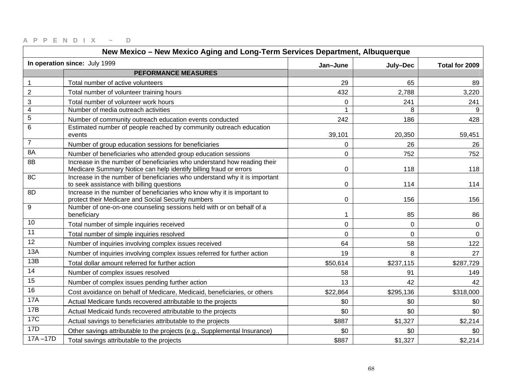| New Mexico - New Mexico Aging and Long-Term Services Department, Albuquerque |                                                                                                                                               |             |                |                |
|------------------------------------------------------------------------------|-----------------------------------------------------------------------------------------------------------------------------------------------|-------------|----------------|----------------|
|                                                                              | In operation since: July 1999                                                                                                                 | Jan-June    | July-Dec       | Total for 2009 |
|                                                                              | <b>PEFORMANCE MEASURES</b>                                                                                                                    |             |                |                |
| $\mathbf{1}$                                                                 | Total number of active volunteers                                                                                                             | 29          | 65             | 89             |
| $\overline{2}$                                                               | Total number of volunteer training hours                                                                                                      | 432         | 2,788          | 3,220          |
| 3                                                                            | Total number of volunteer work hours                                                                                                          | $\Omega$    | 241            | 241            |
| $\overline{4}$                                                               | Number of media outreach activities                                                                                                           |             | 8              |                |
| $\mathbf 5$                                                                  | Number of community outreach education events conducted                                                                                       | 242         | 186            | 428            |
| $\,6\,$                                                                      | Estimated number of people reached by community outreach education<br>events                                                                  | 39,101      | 20,350         | 59,451         |
| $\overline{7}$                                                               | Number of group education sessions for beneficiaries                                                                                          | 0           | 26             | 26             |
| 8A                                                                           | Number of beneficiaries who attended group education sessions                                                                                 | $\mathbf 0$ | 752            | 752            |
| 8B                                                                           | Increase in the number of beneficiaries who understand how reading their<br>Medicare Summary Notice can help identify billing fraud or errors | $\Omega$    | 118            | 118            |
| 8C                                                                           | Increase in the number of beneficiaries who understand why it is important<br>to seek assistance with billing questions                       | 0           | 114            | 114            |
| 8D                                                                           | Increase in the number of beneficiaries who know why it is important to<br>protect their Medicare and Social Security numbers                 | $\mathbf 0$ | 156            | 156            |
| 9                                                                            | Number of one-on-one counseling sessions held with or on behalf of a<br>beneficiary                                                           | 1           | 85             | 86             |
| 10                                                                           | Total number of simple inquiries received                                                                                                     | 0           | $\mathbf 0$    | 0              |
| 11                                                                           | Total number of simple inquiries resolved                                                                                                     | $\Omega$    | $\overline{0}$ | $\mathbf{0}$   |
| 12                                                                           | Number of inquiries involving complex issues received                                                                                         | 64          | 58             | 122            |
| 13A                                                                          | Number of inquiries involving complex issues referred for further action                                                                      | 19          | 8              | 27             |
| 13B                                                                          | Total dollar amount referred for further action                                                                                               | \$50,614    | \$237,115      | \$287,729      |
| 14                                                                           | Number of complex issues resolved                                                                                                             | 58          | 91             | 149            |
| 15                                                                           | Number of complex issues pending further action                                                                                               | 13          | 42             | 42             |
| 16                                                                           | Cost avoidance on behalf of Medicare, Medicaid, beneficiaries, or others                                                                      | \$22,864    | \$295,136      | \$318,000      |
| <b>17A</b>                                                                   | Actual Medicare funds recovered attributable to the projects                                                                                  | \$0         | \$0            | \$0            |
| 17B                                                                          | Actual Medicaid funds recovered attributable to the projects                                                                                  | \$0         | \$0            | \$0            |
| <b>17C</b>                                                                   | Actual savings to beneficiaries attributable to the projects                                                                                  | \$887       | \$1,327        | \$2,214        |
| 17D                                                                          | Other savings attributable to the projects (e.g., Supplemental Insurance)                                                                     | \$0         | \$0            | \$0            |
| $17A - 17D$                                                                  | Total savings attributable to the projects                                                                                                    | \$887       | \$1,327        | \$2,214        |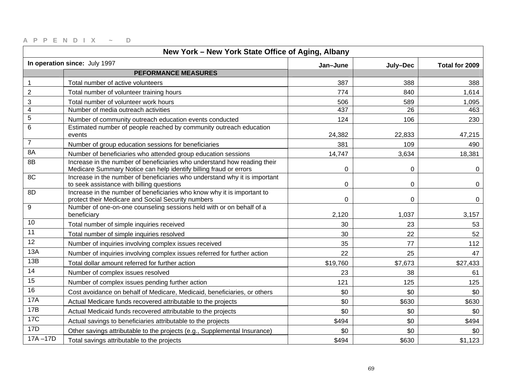| New York - New York State Office of Aging, Albany |                                                                                                                                               |             |             |                |
|---------------------------------------------------|-----------------------------------------------------------------------------------------------------------------------------------------------|-------------|-------------|----------------|
|                                                   | In operation since: July 1997                                                                                                                 | Jan-June    | July-Dec    | Total for 2009 |
|                                                   | <b>PEFORMANCE MEASURES</b>                                                                                                                    |             |             |                |
| $\mathbf{1}$                                      | Total number of active volunteers                                                                                                             | 387         | 388         | 388            |
| $\boldsymbol{2}$                                  | Total number of volunteer training hours                                                                                                      | 774         | 840         | 1,614          |
| 3                                                 | Total number of volunteer work hours                                                                                                          | 506         | 589         | 1,095          |
| $\overline{\mathbf{4}}$                           | Number of media outreach activities                                                                                                           | 437         | 26          | 463            |
| $\mathbf 5$                                       | Number of community outreach education events conducted                                                                                       | 124         | 106         | 230            |
| 6                                                 | Estimated number of people reached by community outreach education<br>events                                                                  | 24,382      | 22,833      | 47,215         |
| $\overline{7}$                                    | Number of group education sessions for beneficiaries                                                                                          | 381         | 109         | 490            |
| 8A                                                | Number of beneficiaries who attended group education sessions                                                                                 | 14,747      | 3,634       | 18,381         |
| 8B                                                | Increase in the number of beneficiaries who understand how reading their<br>Medicare Summary Notice can help identify billing fraud or errors | $\mathbf 0$ | $\mathbf 0$ | 0              |
| 8C                                                | Increase in the number of beneficiaries who understand why it is important<br>to seek assistance with billing questions                       | 0           | 0           | 0              |
| 8D                                                | Increase in the number of beneficiaries who know why it is important to<br>protect their Medicare and Social Security numbers                 | 0           | 0           | 0              |
| 9                                                 | Number of one-on-one counseling sessions held with or on behalf of a<br>beneficiary                                                           | 2,120       | 1,037       | 3,157          |
| 10                                                | Total number of simple inquiries received                                                                                                     | 30          | 23          | 53             |
| 11                                                | Total number of simple inquiries resolved                                                                                                     | 30          | 22          | 52             |
| 12                                                | Number of inquiries involving complex issues received                                                                                         | 35          | 77          | 112            |
| 13A                                               | Number of inquiries involving complex issues referred for further action                                                                      | 22          | 25          | 47             |
| 13B                                               | Total dollar amount referred for further action                                                                                               | \$19,760    | \$7,673     | \$27,433       |
| 14                                                | Number of complex issues resolved                                                                                                             | 23          | 38          | 61             |
| 15                                                | Number of complex issues pending further action                                                                                               | 121         | 125         | 125            |
| 16                                                | Cost avoidance on behalf of Medicare, Medicaid, beneficiaries, or others                                                                      | \$0         | \$0         | \$0            |
| 17A                                               | Actual Medicare funds recovered attributable to the projects                                                                                  | \$0         | \$630       | \$630          |
| 17B                                               | Actual Medicaid funds recovered attributable to the projects                                                                                  | \$0         | \$0         | \$0            |
| <b>17C</b>                                        | Actual savings to beneficiaries attributable to the projects                                                                                  | \$494       | \$0         | \$494          |
| 17D                                               | Other savings attributable to the projects (e.g., Supplemental Insurance)                                                                     | \$0         | \$0         | \$0            |
| $17A - 17D$                                       | Total savings attributable to the projects                                                                                                    | \$494       | \$630       | \$1,123        |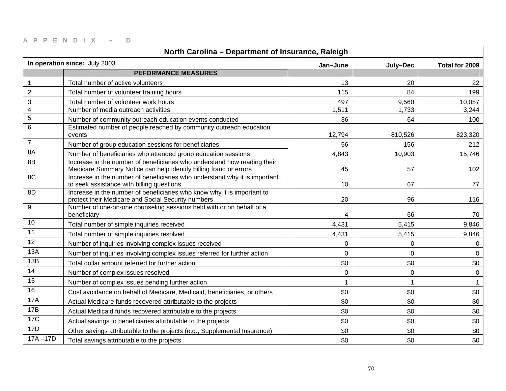| North Carolina - Department of Insurance, Raleigh |                                                                                                                                               |             |             |                |
|---------------------------------------------------|-----------------------------------------------------------------------------------------------------------------------------------------------|-------------|-------------|----------------|
|                                                   | In operation since: July 2003                                                                                                                 | Jan-June    | July-Dec    | Total for 2009 |
|                                                   | <b>PEFORMANCE MEASURES</b>                                                                                                                    |             |             |                |
| $\mathbf{1}$                                      | Total number of active volunteers                                                                                                             | 13          | 20          | 22             |
| $\overline{c}$                                    | Total number of volunteer training hours                                                                                                      | 115         | 84          | 199            |
| $\ensuremath{\mathsf{3}}$                         | Total number of volunteer work hours                                                                                                          | 497         | 9,560       | 10,057         |
| $\overline{4}$                                    | Number of media outreach activities                                                                                                           | 1,511       | 1,733       | 3,244          |
| $\mathbf 5$                                       | Number of community outreach education events conducted                                                                                       | 36          | 64          | 100            |
| 6                                                 | Estimated number of people reached by community outreach education<br>events                                                                  | 12,794      | 810,526     | 823,320        |
| $\overline{7}$                                    | Number of group education sessions for beneficiaries                                                                                          | 56          | 156         | 212            |
| 8A                                                | Number of beneficiaries who attended group education sessions                                                                                 | 4,843       | 10,903      | 15,746         |
| 8B                                                | Increase in the number of beneficiaries who understand how reading their<br>Medicare Summary Notice can help identify billing fraud or errors | 45          | 57          | 102            |
| 8C                                                | Increase in the number of beneficiaries who understand why it is important<br>to seek assistance with billing questions                       | 10          | 67          | 77             |
| 8D                                                | Increase in the number of beneficiaries who know why it is important to<br>protect their Medicare and Social Security numbers                 | 20          | 96          | 116            |
| 9                                                 | Number of one-on-one counseling sessions held with or on behalf of a<br>beneficiary                                                           | 4           | 66          | 70             |
| 10                                                | Total number of simple inquiries received                                                                                                     | 4,431       | 5,415       | 9,846          |
| 11                                                | Total number of simple inquiries resolved                                                                                                     | 4,431       | 5,415       | 9,846          |
| 12                                                | Number of inquiries involving complex issues received                                                                                         | 0           | 0           | $\mathbf 0$    |
| 13A                                               | Number of inquiries involving complex issues referred for further action                                                                      | 0           | $\Omega$    | $\mathbf 0$    |
| 13B                                               | Total dollar amount referred for further action                                                                                               | \$0         | \$0         | \$0            |
| 14                                                | Number of complex issues resolved                                                                                                             | $\mathbf 0$ | $\mathbf 0$ | 0              |
| 15                                                | Number of complex issues pending further action                                                                                               | 1           |             |                |
| 16                                                | Cost avoidance on behalf of Medicare, Medicaid, beneficiaries, or others                                                                      | \$0         | \$0         | \$0            |
| <b>17A</b>                                        | Actual Medicare funds recovered attributable to the projects                                                                                  | \$0         | \$0         | \$0            |
| 17B                                               | Actual Medicaid funds recovered attributable to the projects                                                                                  | \$0         | \$0         | \$0            |
| <b>17C</b>                                        | Actual savings to beneficiaries attributable to the projects                                                                                  | \$0         | \$0         | \$0            |
| 17D                                               | Other savings attributable to the projects (e.g., Supplemental Insurance)                                                                     | \$0         | \$0         | \$0            |
| $17A - 17D$                                       | Total savings attributable to the projects                                                                                                    | \$0         | \$0         | \$0            |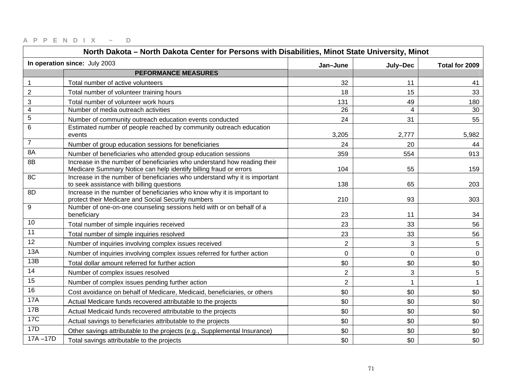| North Dakota - North Dakota Center for Persons with Disabilities, Minot State University, Minot |                                                                                                                                               |                |                |                |
|-------------------------------------------------------------------------------------------------|-----------------------------------------------------------------------------------------------------------------------------------------------|----------------|----------------|----------------|
|                                                                                                 | In operation since: July 2003                                                                                                                 | Jan-June       | July-Dec       | Total for 2009 |
|                                                                                                 | <b>PEFORMANCE MEASURES</b>                                                                                                                    |                |                |                |
| $\mathbf 1$                                                                                     | Total number of active volunteers                                                                                                             | 32             | 11             | 41             |
| $\overline{2}$                                                                                  | Total number of volunteer training hours                                                                                                      | 18             | 15             | 33             |
| 3                                                                                               | Total number of volunteer work hours                                                                                                          | 131            | 49             | 180            |
| $\overline{4}$                                                                                  | Number of media outreach activities                                                                                                           | 26             | $\overline{4}$ | 30             |
| $\mathbf 5$                                                                                     | Number of community outreach education events conducted                                                                                       | 24             | 31             | 55             |
| $6\phantom{1}6$                                                                                 | Estimated number of people reached by community outreach education<br>events                                                                  | 3,205          | 2,777          | 5,982          |
| $\overline{7}$                                                                                  | Number of group education sessions for beneficiaries                                                                                          | 24             | 20             | 44             |
| 8A                                                                                              | Number of beneficiaries who attended group education sessions                                                                                 | 359            | 554            | 913            |
| 8B                                                                                              | Increase in the number of beneficiaries who understand how reading their<br>Medicare Summary Notice can help identify billing fraud or errors | 104            | 55             | 159            |
| 8C                                                                                              | Increase in the number of beneficiaries who understand why it is important<br>to seek assistance with billing questions                       | 138            | 65             | 203            |
| 8D                                                                                              | Increase in the number of beneficiaries who know why it is important to<br>protect their Medicare and Social Security numbers                 | 210            | 93             | 303            |
| 9                                                                                               | Number of one-on-one counseling sessions held with or on behalf of a<br>beneficiary                                                           | 23             | 11             | 34             |
| 10                                                                                              | Total number of simple inquiries received                                                                                                     | 23             | 33             | 56             |
| 11                                                                                              | Total number of simple inquiries resolved                                                                                                     | 23             | 33             | 56             |
| 12                                                                                              | Number of inquiries involving complex issues received                                                                                         | $\overline{2}$ | 3              | $\sqrt{5}$     |
| 13A                                                                                             | Number of inquiries involving complex issues referred for further action                                                                      | 0              | 0              | $\mathbf 0$    |
| 13B                                                                                             | Total dollar amount referred for further action                                                                                               | \$0            | \$0            | \$0            |
| 14                                                                                              | Number of complex issues resolved                                                                                                             | $\overline{2}$ | 3              | 5              |
| 15                                                                                              | Number of complex issues pending further action                                                                                               | $\overline{2}$ |                |                |
| 16                                                                                              | Cost avoidance on behalf of Medicare, Medicaid, beneficiaries, or others                                                                      | \$0            | \$0            | \$0            |
| <b>17A</b>                                                                                      | Actual Medicare funds recovered attributable to the projects                                                                                  | \$0            | \$0            | \$0            |
| <b>17B</b>                                                                                      | Actual Medicaid funds recovered attributable to the projects                                                                                  | \$0            | \$0            | \$0            |
| <b>17C</b>                                                                                      | Actual savings to beneficiaries attributable to the projects                                                                                  | \$0            | \$0            | \$0            |
| 17D                                                                                             | Other savings attributable to the projects (e.g., Supplemental Insurance)                                                                     | \$0            | \$0            | \$0            |
| $17A - 17D$                                                                                     | Total savings attributable to the projects                                                                                                    | \$0            | \$0            | \$0            |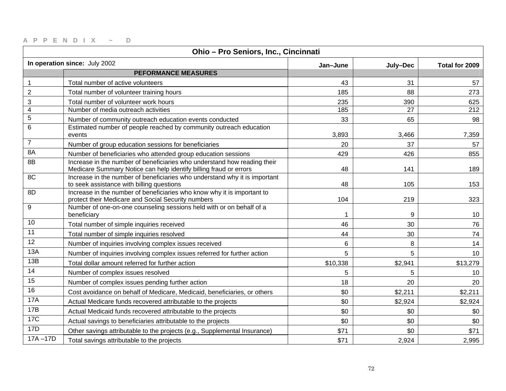| Ohio - Pro Seniors, Inc., Cincinnati |                                                                                                                                               |          |                 |                |
|--------------------------------------|-----------------------------------------------------------------------------------------------------------------------------------------------|----------|-----------------|----------------|
|                                      | In operation since: July 2002                                                                                                                 | Jan-June | July-Dec        | Total for 2009 |
|                                      | <b>PEFORMANCE MEASURES</b>                                                                                                                    |          |                 |                |
| $\mathbf 1$                          | Total number of active volunteers                                                                                                             | 43       | 31              | 57             |
| $\overline{2}$                       | Total number of volunteer training hours                                                                                                      | 185      | 88              | 273            |
| 3                                    | Total number of volunteer work hours                                                                                                          | 235      | 390             | 625            |
| $\overline{\mathbf{4}}$              | Number of media outreach activities                                                                                                           | 185      | $\overline{27}$ | 212            |
| $\mathbf 5$                          | Number of community outreach education events conducted                                                                                       | 33       | 65              | 98             |
| 6                                    | Estimated number of people reached by community outreach education<br>events                                                                  | 3,893    | 3,466           | 7,359          |
| $\overline{7}$                       | Number of group education sessions for beneficiaries                                                                                          | 20       | 37              | 57             |
| 8A                                   | Number of beneficiaries who attended group education sessions                                                                                 | 429      | 426             | 855            |
| 8B                                   | Increase in the number of beneficiaries who understand how reading their<br>Medicare Summary Notice can help identify billing fraud or errors | 48       | 141             | 189            |
| 8C                                   | Increase in the number of beneficiaries who understand why it is important<br>to seek assistance with billing questions                       | 48       | 105             | 153            |
| 8D                                   | Increase in the number of beneficiaries who know why it is important to<br>protect their Medicare and Social Security numbers                 | 104      | 219             | 323            |
| 9                                    | Number of one-on-one counseling sessions held with or on behalf of a<br>beneficiary                                                           |          | 9               | 10             |
| 10                                   | Total number of simple inquiries received                                                                                                     | 46       | 30              | 76             |
| 11                                   | Total number of simple inquiries resolved                                                                                                     | 44       | 30              | 74             |
| 12                                   | Number of inquiries involving complex issues received                                                                                         | 6        | 8               | 14             |
| 13A                                  | Number of inquiries involving complex issues referred for further action                                                                      | 5        | 5               | 10             |
| 13B                                  | Total dollar amount referred for further action                                                                                               | \$10,338 | \$2,941         | \$13,279       |
| 14                                   | Number of complex issues resolved                                                                                                             | 5        | 5               | 10             |
| 15                                   | Number of complex issues pending further action                                                                                               | 18       | 20              | 20             |
| 16                                   | Cost avoidance on behalf of Medicare, Medicaid, beneficiaries, or others                                                                      | \$0      | \$2,211         | \$2,211        |
| <b>17A</b>                           | Actual Medicare funds recovered attributable to the projects                                                                                  | \$0      | \$2,924         | \$2,924        |
| 17B                                  | Actual Medicaid funds recovered attributable to the projects                                                                                  | \$0      | \$0             | \$0            |
| <b>17C</b>                           | Actual savings to beneficiaries attributable to the projects                                                                                  | \$0      | \$0             | \$0            |
| 17D                                  | Other savings attributable to the projects (e.g., Supplemental Insurance)                                                                     | \$71     | \$0             | \$71           |
| $17A - 17D$                          | Total savings attributable to the projects                                                                                                    | \$71     | 2,924           | 2,995          |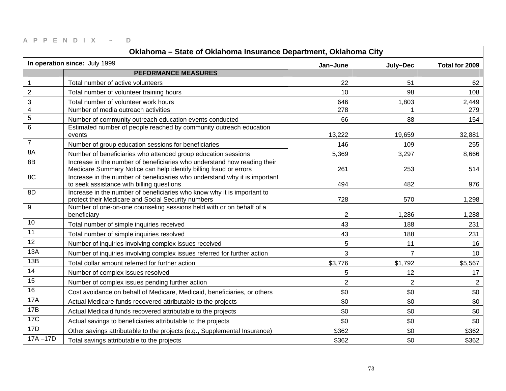| Oklahoma - State of Oklahoma Insurance Department, Oklahoma City |                                                                                                                                               |                |                |                |
|------------------------------------------------------------------|-----------------------------------------------------------------------------------------------------------------------------------------------|----------------|----------------|----------------|
|                                                                  | In operation since: July 1999                                                                                                                 | Jan-June       | July-Dec       | Total for 2009 |
|                                                                  | <b>PEFORMANCE MEASURES</b>                                                                                                                    |                |                |                |
| 1                                                                | Total number of active volunteers                                                                                                             | 22             | 51             | 62             |
| $\overline{2}$                                                   | Total number of volunteer training hours                                                                                                      | 10             | 98             | 108            |
| 3                                                                | Total number of volunteer work hours                                                                                                          | 646            | 1,803          | 2,449          |
| $\overline{4}$                                                   | Number of media outreach activities                                                                                                           | 278            |                | 279            |
| $\mathbf 5$                                                      | Number of community outreach education events conducted                                                                                       | 66             | 88             | 154            |
| 6                                                                | Estimated number of people reached by community outreach education<br>events                                                                  | 13,222         | 19,659         | 32,881         |
| $\overline{7}$                                                   | Number of group education sessions for beneficiaries                                                                                          | 146            | 109            | 255            |
| 8A                                                               | Number of beneficiaries who attended group education sessions                                                                                 | 5,369          | 3,297          | 8,666          |
| 8B                                                               | Increase in the number of beneficiaries who understand how reading their<br>Medicare Summary Notice can help identify billing fraud or errors | 261            | 253            | 514            |
| 8C                                                               | Increase in the number of beneficiaries who understand why it is important<br>to seek assistance with billing questions                       | 494            | 482            | 976            |
| 8D                                                               | Increase in the number of beneficiaries who know why it is important to<br>protect their Medicare and Social Security numbers                 | 728            | 570            | 1,298          |
| 9                                                                | Number of one-on-one counseling sessions held with or on behalf of a<br>beneficiary                                                           | $\mathbf{2}$   | 1,286          | 1,288          |
| 10                                                               | Total number of simple inquiries received                                                                                                     | 43             | 188            | 231            |
| 11                                                               | Total number of simple inquiries resolved                                                                                                     | 43             | 188            | 231            |
| 12                                                               | Number of inquiries involving complex issues received                                                                                         | 5              | 11             | 16             |
| 13A                                                              | Number of inquiries involving complex issues referred for further action                                                                      | 3              | $\overline{7}$ | 10             |
| 13B                                                              | Total dollar amount referred for further action                                                                                               | \$3,776        | \$1,792        | \$5,567        |
| 14                                                               | Number of complex issues resolved                                                                                                             | 5              | 12             | 17             |
| $\overline{15}$                                                  | Number of complex issues pending further action                                                                                               | $\overline{2}$ | $\overline{2}$ | $\overline{2}$ |
| 16                                                               | Cost avoidance on behalf of Medicare, Medicaid, beneficiaries, or others                                                                      | \$0            | \$0            | \$0            |
| <b>17A</b>                                                       | Actual Medicare funds recovered attributable to the projects                                                                                  | \$0            | \$0            | \$0            |
| 17B                                                              | Actual Medicaid funds recovered attributable to the projects                                                                                  | \$0            | \$0            | \$0            |
| 17C                                                              | Actual savings to beneficiaries attributable to the projects                                                                                  | \$0            | \$0            | \$0            |
| 17D                                                              | Other savings attributable to the projects (e.g., Supplemental Insurance)                                                                     | \$362          | \$0            | \$362          |
| $17A - 17D$                                                      | Total savings attributable to the projects                                                                                                    | \$362          | \$0            | \$362          |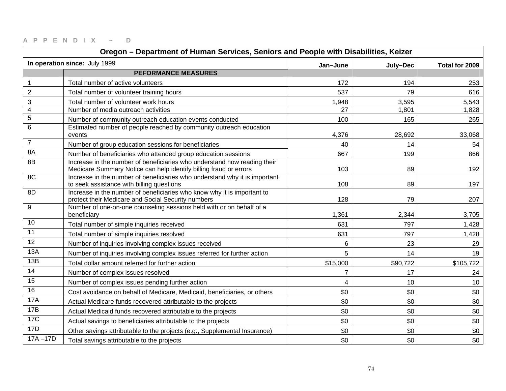| Oregon - Department of Human Services, Seniors and People with Disabilities, Keizer |                                                                                                                                               |                |          |                |
|-------------------------------------------------------------------------------------|-----------------------------------------------------------------------------------------------------------------------------------------------|----------------|----------|----------------|
|                                                                                     | In operation since: July 1999                                                                                                                 | Jan-June       | July-Dec | Total for 2009 |
|                                                                                     | <b>PEFORMANCE MEASURES</b>                                                                                                                    |                |          |                |
| $\mathbf{1}$                                                                        | Total number of active volunteers                                                                                                             | 172            | 194      | 253            |
| $\boldsymbol{2}$                                                                    | Total number of volunteer training hours                                                                                                      | 537            | 79       | 616            |
| 3                                                                                   | Total number of volunteer work hours                                                                                                          | 1,948          | 3,595    | 5,543          |
| $\overline{\mathbf{4}}$                                                             | Number of media outreach activities                                                                                                           | 27             | 1,801    | 1,828          |
| $\mathbf 5$                                                                         | Number of community outreach education events conducted                                                                                       | 100            | 165      | 265            |
| $\,6\,$                                                                             | Estimated number of people reached by community outreach education<br>events                                                                  | 4,376          | 28,692   | 33,068         |
| $\overline{7}$                                                                      | Number of group education sessions for beneficiaries                                                                                          | 40             | 14       | 54             |
| 8A                                                                                  | Number of beneficiaries who attended group education sessions                                                                                 | 667            | 199      | 866            |
| 8B                                                                                  | Increase in the number of beneficiaries who understand how reading their<br>Medicare Summary Notice can help identify billing fraud or errors | 103            | 89       | 192            |
| 8C                                                                                  | Increase in the number of beneficiaries who understand why it is important<br>to seek assistance with billing questions                       | 108            | 89       | 197            |
| 8D                                                                                  | Increase in the number of beneficiaries who know why it is important to<br>protect their Medicare and Social Security numbers                 | 128            | 79       | 207            |
| 9                                                                                   | Number of one-on-one counseling sessions held with or on behalf of a<br>beneficiary                                                           | 1,361          | 2,344    | 3,705          |
| 10                                                                                  | Total number of simple inquiries received                                                                                                     | 631            | 797      | 1,428          |
| 11                                                                                  | Total number of simple inquiries resolved                                                                                                     | 631            | 797      | 1,428          |
| 12                                                                                  | Number of inquiries involving complex issues received                                                                                         | 6              | 23       | 29             |
| 13A                                                                                 | Number of inquiries involving complex issues referred for further action                                                                      | 5              | 14       | 19             |
| 13B                                                                                 | Total dollar amount referred for further action                                                                                               | \$15,000       | \$90,722 | \$105,722      |
| 14                                                                                  | Number of complex issues resolved                                                                                                             | $\overline{7}$ | 17       | 24             |
| 15                                                                                  | Number of complex issues pending further action                                                                                               | $\overline{4}$ | 10       | 10             |
| 16                                                                                  | Cost avoidance on behalf of Medicare, Medicaid, beneficiaries, or others                                                                      | \$0            | \$0      | \$0            |
| <b>17A</b>                                                                          | Actual Medicare funds recovered attributable to the projects                                                                                  | \$0            | \$0      | \$0            |
| 17B                                                                                 | Actual Medicaid funds recovered attributable to the projects                                                                                  | \$0            | \$0      | \$0            |
| <b>17C</b>                                                                          | Actual savings to beneficiaries attributable to the projects                                                                                  | \$0            | \$0      | \$0            |
| 17D                                                                                 | Other savings attributable to the projects (e.g., Supplemental Insurance)                                                                     | \$0            | \$0      | \$0            |
| $17A - 17D$                                                                         | Total savings attributable to the projects                                                                                                    | \$0            | \$0      | \$0            |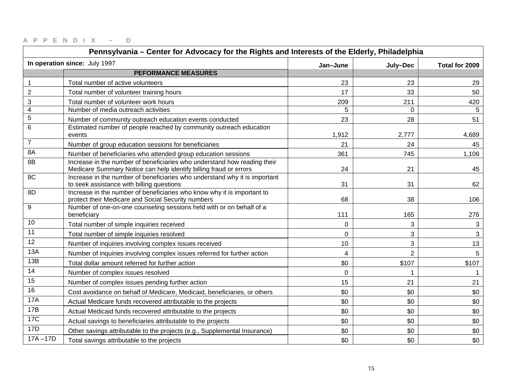| Pennsylvania - Center for Advocacy for the Rights and Interests of the Elderly, Philadelphia |                                                                                                                                               |                |                |                |
|----------------------------------------------------------------------------------------------|-----------------------------------------------------------------------------------------------------------------------------------------------|----------------|----------------|----------------|
|                                                                                              | In operation since: July 1997                                                                                                                 | Jan-June       | July-Dec       | Total for 2009 |
|                                                                                              | <b>PEFORMANCE MEASURES</b>                                                                                                                    |                |                |                |
| $\mathbf{1}$                                                                                 | Total number of active volunteers                                                                                                             | 23             | 23             | 29             |
| $\boldsymbol{2}$                                                                             | Total number of volunteer training hours                                                                                                      | 17             | 33             | 50             |
| 3                                                                                            | Total number of volunteer work hours                                                                                                          | 209            | 211            | 420            |
| $\overline{4}$                                                                               | Number of media outreach activities                                                                                                           | 5              | $\mathbf 0$    | 5              |
| 5                                                                                            | Number of community outreach education events conducted                                                                                       | 23             | 28             | 51             |
| 6                                                                                            | Estimated number of people reached by community outreach education<br>events                                                                  | 1,912          | 2,777          | 4,689          |
| $\overline{7}$                                                                               | Number of group education sessions for beneficiaries                                                                                          | 21             | 24             | 45             |
| 8A                                                                                           | Number of beneficiaries who attended group education sessions                                                                                 | 361            | 745            | 1,106          |
| 8B                                                                                           | Increase in the number of beneficiaries who understand how reading their<br>Medicare Summary Notice can help identify billing fraud or errors | 24             | 21             | 45             |
| 8C                                                                                           | Increase in the number of beneficiaries who understand why it is important<br>to seek assistance with billing questions                       | 31             | 31             | 62             |
| 8D                                                                                           | Increase in the number of beneficiaries who know why it is important to<br>protect their Medicare and Social Security numbers                 | 68             | 38             | 106            |
| 9                                                                                            | Number of one-on-one counseling sessions held with or on behalf of a<br>beneficiary                                                           | 111            | 165            | 276            |
| 10                                                                                           | Total number of simple inquiries received                                                                                                     | 0              | 3              | 3              |
| 11                                                                                           | Total number of simple inquiries resolved                                                                                                     | $\overline{0}$ | 3              | 3              |
| 12                                                                                           | Number of inquiries involving complex issues received                                                                                         | 10             | 3              | 13             |
| 13A                                                                                          | Number of inquiries involving complex issues referred for further action                                                                      | $\overline{4}$ | $\overline{2}$ | 5              |
| 13B                                                                                          | Total dollar amount referred for further action                                                                                               | \$0            | \$107          | \$107          |
| 14                                                                                           | Number of complex issues resolved                                                                                                             | $\mathbf 0$    |                |                |
| 15                                                                                           | Number of complex issues pending further action                                                                                               | 15             | 21             | 21             |
| 16                                                                                           | Cost avoidance on behalf of Medicare, Medicaid, beneficiaries, or others                                                                      | \$0            | \$0            | \$0            |
| 17A                                                                                          | Actual Medicare funds recovered attributable to the projects                                                                                  | \$0            | \$0            | \$0            |
| 17B                                                                                          | Actual Medicaid funds recovered attributable to the projects                                                                                  | \$0            | \$0            | \$0            |
| <b>17C</b>                                                                                   | Actual savings to beneficiaries attributable to the projects                                                                                  | \$0            | \$0            | \$0            |
| 17D                                                                                          | Other savings attributable to the projects (e.g., Supplemental Insurance)                                                                     | \$0            | \$0            | \$0            |
| $17A - 17D$                                                                                  | Total savings attributable to the projects                                                                                                    | \$0            | \$0            | \$0            |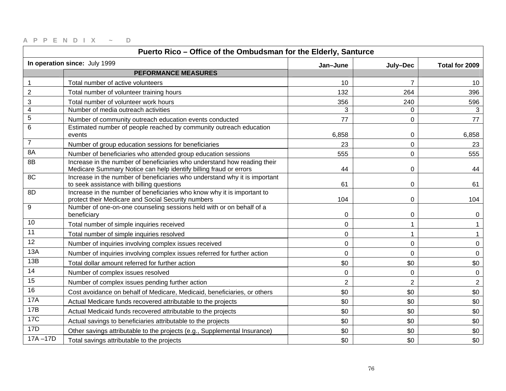| Puerto Rico - Office of the Ombudsman for the Elderly, Santurce |                                                                                                                                               |                |                |                |
|-----------------------------------------------------------------|-----------------------------------------------------------------------------------------------------------------------------------------------|----------------|----------------|----------------|
|                                                                 | In operation since: July 1999                                                                                                                 | Jan-June       | July-Dec       | Total for 2009 |
|                                                                 | <b>PEFORMANCE MEASURES</b>                                                                                                                    |                |                |                |
| 1                                                               | Total number of active volunteers                                                                                                             | 10             | $\overline{7}$ | 10             |
| $\mathbf 2$                                                     | Total number of volunteer training hours                                                                                                      | 132            | 264            | 396            |
| 3                                                               | Total number of volunteer work hours                                                                                                          | 356            | 240            | 596            |
| 4                                                               | Number of media outreach activities                                                                                                           | 3              | 0              | 3              |
| $\mathbf 5$                                                     | Number of community outreach education events conducted                                                                                       | 77             | 0              | 77             |
| 6                                                               | Estimated number of people reached by community outreach education<br>events                                                                  | 6,858          | 0              | 6,858          |
| $\overline{7}$                                                  | Number of group education sessions for beneficiaries                                                                                          | 23             | 0              | 23             |
| 8A                                                              | Number of beneficiaries who attended group education sessions                                                                                 | 555            | $\mathbf 0$    | 555            |
| 8B                                                              | Increase in the number of beneficiaries who understand how reading their<br>Medicare Summary Notice can help identify billing fraud or errors | 44             | $\mathbf 0$    | 44             |
| 8C                                                              | Increase in the number of beneficiaries who understand why it is important<br>to seek assistance with billing questions                       | 61             | 0              | 61             |
| 8D                                                              | Increase in the number of beneficiaries who know why it is important to<br>protect their Medicare and Social Security numbers                 | 104            | 0              | 104            |
| 9                                                               | Number of one-on-one counseling sessions held with or on behalf of a<br>beneficiary                                                           | 0              | 0              | 0              |
| 10                                                              | Total number of simple inquiries received                                                                                                     | 0              |                |                |
| 11                                                              | Total number of simple inquiries resolved                                                                                                     | $\mathbf 0$    |                |                |
| 12                                                              | Number of inquiries involving complex issues received                                                                                         | $\mathbf 0$    | 0              | 0              |
| 13A                                                             | Number of inquiries involving complex issues referred for further action                                                                      | $\mathbf 0$    | $\mathbf 0$    | $\mathbf 0$    |
| 13B                                                             | Total dollar amount referred for further action                                                                                               | \$0            | \$0            | \$0            |
| 14                                                              | Number of complex issues resolved                                                                                                             | $\mathsf 0$    | $\mathbf 0$    | $\mathbf 0$    |
| 15                                                              | Number of complex issues pending further action                                                                                               | $\overline{2}$ | $\overline{2}$ | $\overline{2}$ |
| 16                                                              | Cost avoidance on behalf of Medicare, Medicaid, beneficiaries, or others                                                                      | \$0            | \$0            | \$0            |
| <b>17A</b>                                                      | Actual Medicare funds recovered attributable to the projects                                                                                  | \$0            | \$0            | \$0            |
| 17B                                                             | Actual Medicaid funds recovered attributable to the projects                                                                                  | \$0            | \$0            | \$0            |
| <b>17C</b>                                                      | Actual savings to beneficiaries attributable to the projects                                                                                  | \$0            | \$0            | \$0            |
| 17D                                                             | Other savings attributable to the projects (e.g., Supplemental Insurance)                                                                     | \$0            | \$0            | \$0            |
| $17A - 17D$                                                     | Total savings attributable to the projects                                                                                                    | \$0            | \$0            | \$0            |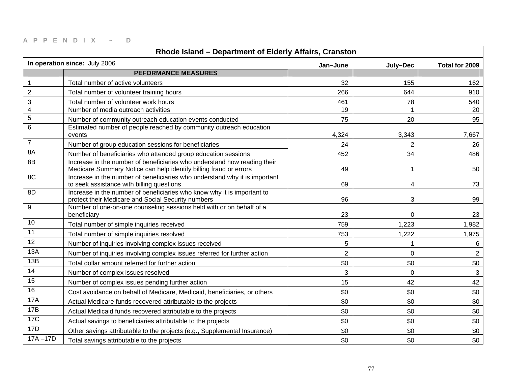| Rhode Island - Department of Elderly Affairs, Cranston |                                                                                                                                               |                |                |                |
|--------------------------------------------------------|-----------------------------------------------------------------------------------------------------------------------------------------------|----------------|----------------|----------------|
|                                                        | In operation since: July 2006                                                                                                                 | Jan-June       | July-Dec       | Total for 2009 |
|                                                        | <b>PEFORMANCE MEASURES</b>                                                                                                                    |                |                |                |
| $\mathbf{1}$                                           | Total number of active volunteers                                                                                                             | 32             | 155            | 162            |
| $\overline{c}$                                         | Total number of volunteer training hours                                                                                                      | 266            | 644            | 910            |
| $\ensuremath{\mathsf{3}}$                              | Total number of volunteer work hours                                                                                                          | 461            | 78             | 540            |
| $\overline{4}$                                         | Number of media outreach activities                                                                                                           | 19             |                | 20             |
| $\sqrt{5}$                                             | Number of community outreach education events conducted                                                                                       | 75             | 20             | 95             |
| $6\phantom{1}6$                                        | Estimated number of people reached by community outreach education<br>events                                                                  | 4,324          | 3,343          | 7,667          |
| $\overline{7}$                                         | Number of group education sessions for beneficiaries                                                                                          | 24             | $\overline{2}$ | 26             |
| 8A                                                     | Number of beneficiaries who attended group education sessions                                                                                 | 452            | 34             | 486            |
| 8B                                                     | Increase in the number of beneficiaries who understand how reading their<br>Medicare Summary Notice can help identify billing fraud or errors | 49             |                | 50             |
| 8C                                                     | Increase in the number of beneficiaries who understand why it is important<br>to seek assistance with billing questions                       | 69             | 4              | 73             |
| 8D                                                     | Increase in the number of beneficiaries who know why it is important to<br>protect their Medicare and Social Security numbers                 | 96             | 3              | 99             |
| 9                                                      | Number of one-on-one counseling sessions held with or on behalf of a<br>beneficiary                                                           | 23             | $\Omega$       | 23             |
| 10                                                     | Total number of simple inquiries received                                                                                                     | 759            | 1,223          | 1,982          |
| 11                                                     | Total number of simple inquiries resolved                                                                                                     | 753            | 1,222          | 1,975          |
| 12                                                     | Number of inquiries involving complex issues received                                                                                         | 5              | 1              | 6              |
| 13A                                                    | Number of inquiries involving complex issues referred for further action                                                                      | $\overline{2}$ | $\overline{0}$ | $\overline{2}$ |
| 13B                                                    | Total dollar amount referred for further action                                                                                               | \$0            | \$0            | \$0            |
| 14                                                     | Number of complex issues resolved                                                                                                             | 3              | $\mathbf 0$    | 3              |
| 15                                                     | Number of complex issues pending further action                                                                                               | 15             | 42             | 42             |
| 16                                                     | Cost avoidance on behalf of Medicare, Medicaid, beneficiaries, or others                                                                      | \$0            | \$0            | \$0            |
| <b>17A</b>                                             | Actual Medicare funds recovered attributable to the projects                                                                                  | \$0            | \$0            | \$0            |
| 17B                                                    | Actual Medicaid funds recovered attributable to the projects                                                                                  | \$0            | \$0            | \$0            |
| <b>17C</b>                                             | Actual savings to beneficiaries attributable to the projects                                                                                  | \$0            | \$0            | \$0            |
| 17D                                                    | Other savings attributable to the projects (e.g., Supplemental Insurance)                                                                     | \$0            | \$0            | \$0            |
| $17A - 17D$                                            | Total savings attributable to the projects                                                                                                    | \$0            | \$0            | \$0            |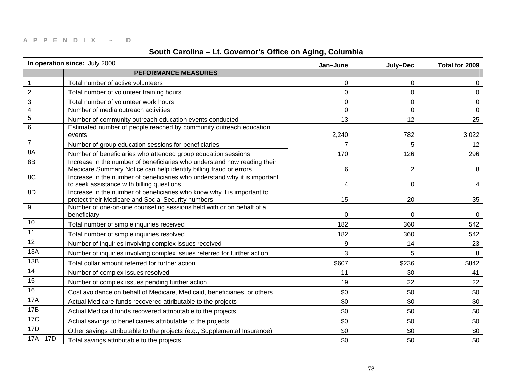| South Carolina - Lt. Governor's Office on Aging, Columbia |                                                                                                                                               |                |                |                |
|-----------------------------------------------------------|-----------------------------------------------------------------------------------------------------------------------------------------------|----------------|----------------|----------------|
|                                                           | In operation since: July 2000                                                                                                                 | Jan-June       | July-Dec       | Total for 2009 |
|                                                           | <b>PEFORMANCE MEASURES</b>                                                                                                                    |                |                |                |
| 1                                                         | Total number of active volunteers                                                                                                             | $\Omega$       | $\Omega$       | $\Omega$       |
| $\overline{2}$                                            | Total number of volunteer training hours                                                                                                      | $\mathbf 0$    | $\mathbf 0$    | 0              |
| 3                                                         | Total number of volunteer work hours                                                                                                          | $\mathbf 0$    | $\mathbf 0$    | 0              |
| $\overline{4}$                                            | Number of media outreach activities                                                                                                           | $\Omega$       | $\overline{0}$ | $\mathbf 0$    |
| $\mathbf 5$                                               | Number of community outreach education events conducted                                                                                       | 13             | 12             | 25             |
| 6                                                         | Estimated number of people reached by community outreach education<br>events                                                                  | 2,240          | 782            | 3,022          |
| $\overline{7}$                                            | Number of group education sessions for beneficiaries                                                                                          | $\overline{7}$ | 5              | 12             |
| 8A                                                        | Number of beneficiaries who attended group education sessions                                                                                 | 170            | 126            | 296            |
| 8B                                                        | Increase in the number of beneficiaries who understand how reading their<br>Medicare Summary Notice can help identify billing fraud or errors | $6\phantom{1}$ | $\overline{2}$ | 8              |
| 8C                                                        | Increase in the number of beneficiaries who understand why it is important<br>to seek assistance with billing questions                       | 4              | 0              | 4              |
| 8D                                                        | Increase in the number of beneficiaries who know why it is important to<br>protect their Medicare and Social Security numbers                 | 15             | 20             | 35             |
| 9                                                         | Number of one-on-one counseling sessions held with or on behalf of a<br>beneficiary                                                           | 0              | 0              | 0              |
| 10                                                        | Total number of simple inquiries received                                                                                                     | 182            | 360            | 542            |
| 11                                                        | Total number of simple inquiries resolved                                                                                                     | 182            | 360            | 542            |
| 12                                                        | Number of inquiries involving complex issues received                                                                                         | 9              | 14             | 23             |
| 13A                                                       | Number of inquiries involving complex issues referred for further action                                                                      | 3              | 5              | 8              |
| 13B                                                       | Total dollar amount referred for further action                                                                                               | \$607          | \$236          | \$842          |
| 14                                                        | Number of complex issues resolved                                                                                                             | 11             | 30             | 41             |
| $\overline{15}$                                           | Number of complex issues pending further action                                                                                               | 19             | 22             | 22             |
| 16                                                        | Cost avoidance on behalf of Medicare, Medicaid, beneficiaries, or others                                                                      | \$0            | \$0            | \$0            |
| <b>17A</b>                                                | Actual Medicare funds recovered attributable to the projects                                                                                  | \$0            | \$0            | \$0            |
| 17B                                                       | Actual Medicaid funds recovered attributable to the projects                                                                                  | \$0            | \$0            | \$0            |
| 17C                                                       | Actual savings to beneficiaries attributable to the projects                                                                                  | \$0            | \$0            | \$0            |
| <b>17D</b>                                                | Other savings attributable to the projects (e.g., Supplemental Insurance)                                                                     | \$0            | \$0            | \$0            |
| $17A - 17D$                                               | Total savings attributable to the projects                                                                                                    | \$0            | \$0            | \$0            |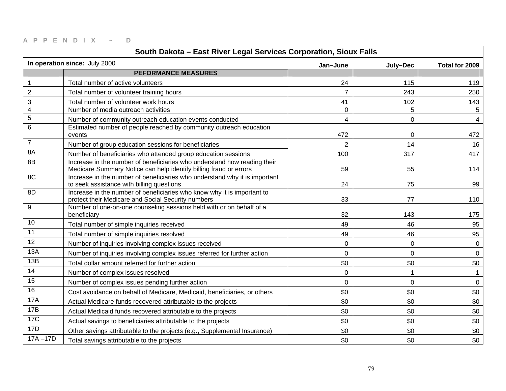| South Dakota - East River Legal Services Corporation, Sioux Falls |                                                                                                                                               |                |             |                |
|-------------------------------------------------------------------|-----------------------------------------------------------------------------------------------------------------------------------------------|----------------|-------------|----------------|
|                                                                   | In operation since: July 2000                                                                                                                 | Jan-June       | July-Dec    | Total for 2009 |
|                                                                   | <b>PEFORMANCE MEASURES</b>                                                                                                                    |                |             |                |
| 1                                                                 | Total number of active volunteers                                                                                                             | 24             | 115         | 119            |
| $\mathbf 2$                                                       | Total number of volunteer training hours                                                                                                      | $\overline{7}$ | 243         | 250            |
| 3                                                                 | Total number of volunteer work hours                                                                                                          | 41             | 102         | 143            |
| $\overline{\mathbf{4}}$                                           | Number of media outreach activities                                                                                                           | 0              | 5           | 5              |
| $\mathbf 5$                                                       | Number of community outreach education events conducted                                                                                       | 4              | $\mathbf 0$ | 4              |
| 6                                                                 | Estimated number of people reached by community outreach education<br>events                                                                  | 472            | 0           | 472            |
| $\overline{7}$                                                    | Number of group education sessions for beneficiaries                                                                                          | $\overline{2}$ | 14          | 16             |
| 8A                                                                | Number of beneficiaries who attended group education sessions                                                                                 | 100            | 317         | 417            |
| 8B                                                                | Increase in the number of beneficiaries who understand how reading their<br>Medicare Summary Notice can help identify billing fraud or errors | 59             | 55          | 114            |
| 8C                                                                | Increase in the number of beneficiaries who understand why it is important<br>to seek assistance with billing questions                       | 24             | 75          | 99             |
| 8D                                                                | Increase in the number of beneficiaries who know why it is important to<br>protect their Medicare and Social Security numbers                 | 33             | 77          | 110            |
| 9                                                                 | Number of one-on-one counseling sessions held with or on behalf of a<br>beneficiary                                                           | 32             | 143         | 175            |
| 10                                                                | Total number of simple inquiries received                                                                                                     | 49             | 46          | 95             |
| 11                                                                | Total number of simple inquiries resolved                                                                                                     | 49             | 46          | 95             |
| $\overline{12}$                                                   | Number of inquiries involving complex issues received                                                                                         | 0              | 0           | 0              |
| 13A                                                               | Number of inquiries involving complex issues referred for further action                                                                      | $\mathbf 0$    | $\mathbf 0$ | $\mathbf 0$    |
| 13B                                                               | Total dollar amount referred for further action                                                                                               | \$0            | \$0         | \$0            |
| 14                                                                | Number of complex issues resolved                                                                                                             | $\mathsf 0$    | 1           | $\mathbf{1}$   |
| 15                                                                | Number of complex issues pending further action                                                                                               | $\mathbf 0$    | $\mathbf 0$ | 0              |
| 16                                                                | Cost avoidance on behalf of Medicare, Medicaid, beneficiaries, or others                                                                      | \$0            | \$0         | \$0            |
| <b>17A</b>                                                        | Actual Medicare funds recovered attributable to the projects                                                                                  | \$0            | \$0         | \$0            |
| 17B                                                               | Actual Medicaid funds recovered attributable to the projects                                                                                  | \$0            | \$0         | \$0            |
| <b>17C</b>                                                        | Actual savings to beneficiaries attributable to the projects                                                                                  | \$0            | \$0         | \$0            |
| 17D                                                               | Other savings attributable to the projects (e.g., Supplemental Insurance)                                                                     | \$0            | \$0         | \$0            |
| $17A - 17D$                                                       | Total savings attributable to the projects                                                                                                    | \$0            | \$0         | \$0            |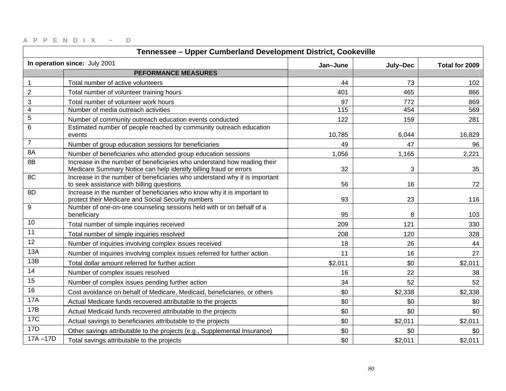| Tennessee - Upper Cumberland Development District, Cookeville |                                                                                                                                               |          |                |                |
|---------------------------------------------------------------|-----------------------------------------------------------------------------------------------------------------------------------------------|----------|----------------|----------------|
|                                                               | In operation since: July 2001                                                                                                                 | Jan-June | July-Dec       | Total for 2009 |
|                                                               | <b>PEFORMANCE MEASURES</b>                                                                                                                    |          |                |                |
| $\mathbf 1$                                                   | Total number of active volunteers                                                                                                             | 44       | 73             | 102            |
| $\overline{2}$                                                | Total number of volunteer training hours                                                                                                      | 401      | 465            | 866            |
| 3                                                             | Total number of volunteer work hours                                                                                                          | 97       | 772            | 869            |
| $\overline{\mathbf{4}}$                                       | Number of media outreach activities                                                                                                           | 115      | 454            | 569            |
| $\mathbf 5$                                                   | Number of community outreach education events conducted                                                                                       | 122      | 159            | 281            |
| 6                                                             | Estimated number of people reached by community outreach education<br>events                                                                  | 10,785   | 6,044          | 16,829         |
| $\overline{7}$                                                | Number of group education sessions for beneficiaries                                                                                          | 49       | 47             | 96             |
| 8A                                                            | Number of beneficiaries who attended group education sessions                                                                                 | 1,056    | 1,165          | 2,221          |
| 8B                                                            | Increase in the number of beneficiaries who understand how reading their<br>Medicare Summary Notice can help identify billing fraud or errors | 32       | $\mathfrak{Z}$ | 35             |
| 8C                                                            | Increase in the number of beneficiaries who understand why it is important<br>to seek assistance with billing questions                       | 56       | 16             | 72             |
| 8D                                                            | Increase in the number of beneficiaries who know why it is important to<br>protect their Medicare and Social Security numbers                 | 93       | 23             | 116            |
| 9                                                             | Number of one-on-one counseling sessions held with or on behalf of a<br>beneficiary                                                           | 95       | 8              | 103            |
| 10                                                            | Total number of simple inquiries received                                                                                                     | 209      | 121            | 330            |
| 11                                                            | Total number of simple inquiries resolved                                                                                                     | 208      | 120            | 328            |
| 12                                                            | Number of inquiries involving complex issues received                                                                                         | 18       | 26             | 44             |
| 13A                                                           | Number of inquiries involving complex issues referred for further action                                                                      | 11       | 16             | 27             |
| 13B                                                           | Total dollar amount referred for further action                                                                                               | \$2,011  | \$0            | \$2,011        |
| 14                                                            | Number of complex issues resolved                                                                                                             | 16       | 22             | 38             |
| $\overline{15}$                                               | Number of complex issues pending further action                                                                                               | 34       | 52             | 52             |
| 16                                                            | Cost avoidance on behalf of Medicare, Medicaid, beneficiaries, or others                                                                      | \$0      | \$2,338        | \$2,338        |
| <b>17A</b>                                                    | Actual Medicare funds recovered attributable to the projects                                                                                  | \$0      | \$0            | \$0            |
| 17B                                                           | Actual Medicaid funds recovered attributable to the projects                                                                                  | \$0      | \$0            | \$0            |
| 17C                                                           | Actual savings to beneficiaries attributable to the projects                                                                                  | \$0      | \$2,011        | \$2,011        |
| <b>17D</b>                                                    | Other savings attributable to the projects (e.g., Supplemental Insurance)                                                                     | \$0      | \$0            | \$0            |
| $17A - 17D$                                                   | Total savings attributable to the projects                                                                                                    | \$0      | \$2,011        | \$2,011        |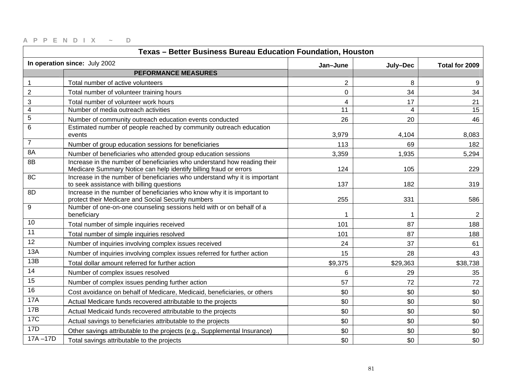| Texas - Better Business Bureau Education Foundation, Houston |                                                                                                                                               |                |                |                |
|--------------------------------------------------------------|-----------------------------------------------------------------------------------------------------------------------------------------------|----------------|----------------|----------------|
|                                                              | In operation since: July 2002                                                                                                                 | Jan-June       | July-Dec       | Total for 2009 |
|                                                              | <b>PEFORMANCE MEASURES</b>                                                                                                                    |                |                |                |
| 1                                                            | Total number of active volunteers                                                                                                             | $\overline{2}$ | 8              | 9              |
| $\overline{2}$                                               | Total number of volunteer training hours                                                                                                      | $\mathbf 0$    | 34             | 34             |
| 3                                                            | Total number of volunteer work hours                                                                                                          | 4              | 17             | 21             |
| $\overline{4}$                                               | Number of media outreach activities                                                                                                           | 11             | $\overline{4}$ | 15             |
| $\mathbf 5$                                                  | Number of community outreach education events conducted                                                                                       | 26             | 20             | 46             |
| 6                                                            | Estimated number of people reached by community outreach education<br>events                                                                  | 3,979          | 4,104          | 8,083          |
| $\overline{7}$                                               | Number of group education sessions for beneficiaries                                                                                          | 113            | 69             | 182            |
| 8A                                                           | Number of beneficiaries who attended group education sessions                                                                                 | 3,359          | 1,935          | 5,294          |
| 8B                                                           | Increase in the number of beneficiaries who understand how reading their<br>Medicare Summary Notice can help identify billing fraud or errors | 124            | 105            | 229            |
| 8C                                                           | Increase in the number of beneficiaries who understand why it is important<br>to seek assistance with billing questions                       | 137            | 182            | 319            |
| 8D                                                           | Increase in the number of beneficiaries who know why it is important to<br>protect their Medicare and Social Security numbers                 | 255            | 331            | 586            |
| 9                                                            | Number of one-on-one counseling sessions held with or on behalf of a<br>beneficiary                                                           |                |                | 2              |
| 10                                                           | Total number of simple inquiries received                                                                                                     | 101            | 87             | 188            |
| 11                                                           | Total number of simple inquiries resolved                                                                                                     | 101            | 87             | 188            |
| 12                                                           | Number of inquiries involving complex issues received                                                                                         | 24             | 37             | 61             |
| 13A                                                          | Number of inquiries involving complex issues referred for further action                                                                      | 15             | 28             | 43             |
| 13B                                                          | Total dollar amount referred for further action                                                                                               | \$9,375        | \$29,363       | \$38,738       |
| 14                                                           | Number of complex issues resolved                                                                                                             | 6              | 29             | 35             |
| $\overline{15}$                                              | Number of complex issues pending further action                                                                                               | 57             | 72             | 72             |
| 16                                                           | Cost avoidance on behalf of Medicare, Medicaid, beneficiaries, or others                                                                      | \$0            | \$0            | \$0            |
| <b>17A</b>                                                   | Actual Medicare funds recovered attributable to the projects                                                                                  | \$0            | \$0            | \$0            |
| 17B                                                          | Actual Medicaid funds recovered attributable to the projects                                                                                  | \$0            | \$0            | \$0            |
| 17C                                                          | Actual savings to beneficiaries attributable to the projects                                                                                  | \$0            | \$0            | \$0            |
| <b>17D</b>                                                   | Other savings attributable to the projects (e.g., Supplemental Insurance)                                                                     | \$0            | \$0            | \$0            |
| $17A - 17D$                                                  | Total savings attributable to the projects                                                                                                    | \$0            | \$0            | \$0            |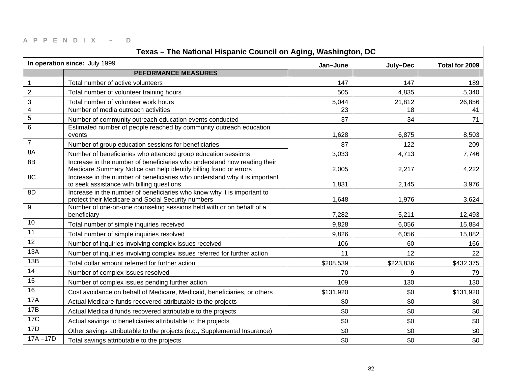| Texas - The National Hispanic Council on Aging, Washington, DC |                                                                                                                                               |           |           |                |
|----------------------------------------------------------------|-----------------------------------------------------------------------------------------------------------------------------------------------|-----------|-----------|----------------|
|                                                                | In operation since: July 1999                                                                                                                 | Jan-June  | July-Dec  | Total for 2009 |
|                                                                | <b>PEFORMANCE MEASURES</b>                                                                                                                    |           |           |                |
| $\mathbf{1}$                                                   | Total number of active volunteers                                                                                                             | 147       | 147       | 189            |
| $\overline{2}$                                                 | Total number of volunteer training hours                                                                                                      | 505       | 4,835     | 5,340          |
| 3                                                              | Total number of volunteer work hours                                                                                                          | 5,044     | 21,812    | 26,856         |
| $\overline{4}$                                                 | Number of media outreach activities                                                                                                           | 23        | 18        | 41             |
| 5                                                              | Number of community outreach education events conducted                                                                                       | 37        | 34        | 71             |
| 6                                                              | Estimated number of people reached by community outreach education<br>events                                                                  | 1,628     | 6,875     | 8,503          |
| $\overline{7}$                                                 | Number of group education sessions for beneficiaries                                                                                          | 87        | 122       | 209            |
| 8A                                                             | Number of beneficiaries who attended group education sessions                                                                                 | 3,033     | 4,713     | 7,746          |
| 8B                                                             | Increase in the number of beneficiaries who understand how reading their<br>Medicare Summary Notice can help identify billing fraud or errors | 2,005     | 2,217     | 4,222          |
| 8C                                                             | Increase in the number of beneficiaries who understand why it is important<br>to seek assistance with billing questions                       | 1,831     | 2,145     | 3,976          |
| 8D                                                             | Increase in the number of beneficiaries who know why it is important to<br>protect their Medicare and Social Security numbers                 | 1,648     | 1,976     | 3,624          |
| 9                                                              | Number of one-on-one counseling sessions held with or on behalf of a<br>beneficiary                                                           | 7,282     | 5,211     | 12,493         |
| 10                                                             | Total number of simple inquiries received                                                                                                     | 9,828     | 6,056     | 15,884         |
| 11                                                             | Total number of simple inquiries resolved                                                                                                     | 9,826     | 6,056     | 15,882         |
| 12                                                             | Number of inquiries involving complex issues received                                                                                         | 106       | 60        | 166            |
| 13A                                                            | Number of inquiries involving complex issues referred for further action                                                                      | 11        | 12        | 22             |
| 13B                                                            | Total dollar amount referred for further action                                                                                               | \$208,539 | \$223,836 | \$432,375      |
| 14                                                             | Number of complex issues resolved                                                                                                             | 70        | 9         | 79             |
| 15                                                             | Number of complex issues pending further action                                                                                               | 109       | 130       | 130            |
| 16                                                             | Cost avoidance on behalf of Medicare, Medicaid, beneficiaries, or others                                                                      | \$131,920 | \$0       | \$131,920      |
| 17A                                                            | Actual Medicare funds recovered attributable to the projects                                                                                  | \$0       | \$0       | \$0            |
| 17B                                                            | Actual Medicaid funds recovered attributable to the projects                                                                                  | \$0       | \$0       | \$0            |
| <b>17C</b>                                                     | Actual savings to beneficiaries attributable to the projects                                                                                  | \$0       | \$0       | \$0            |
| 17D                                                            | Other savings attributable to the projects (e.g., Supplemental Insurance)                                                                     | \$0       | \$0       | \$0            |
| $17A - 17D$                                                    | Total savings attributable to the projects                                                                                                    | \$0       | \$0       | \$0            |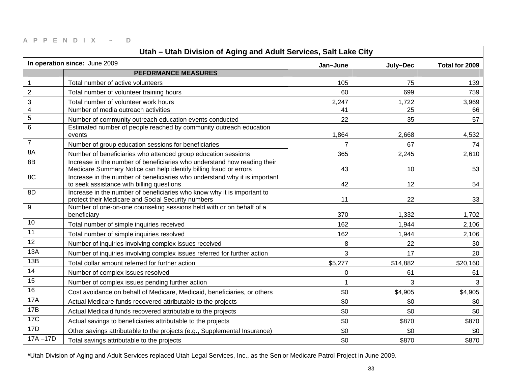| Utah - Utah Division of Aging and Adult Services, Salt Lake City |                                                                                                                                               |                |          |                |
|------------------------------------------------------------------|-----------------------------------------------------------------------------------------------------------------------------------------------|----------------|----------|----------------|
|                                                                  | In operation since: June 2009                                                                                                                 | Jan-June       | July-Dec | Total for 2009 |
|                                                                  | <b>PEFORMANCE MEASURES</b>                                                                                                                    |                |          |                |
| 1                                                                | Total number of active volunteers                                                                                                             | 105            | 75       | 139            |
| $\overline{2}$                                                   | Total number of volunteer training hours                                                                                                      | 60             | 699      | 759            |
| 3                                                                | Total number of volunteer work hours                                                                                                          | 2,247          | 1,722    | 3,969          |
| $\overline{4}$                                                   | Number of media outreach activities                                                                                                           | 41             | 25       | 66             |
| $\overline{5}$                                                   | Number of community outreach education events conducted                                                                                       | 22             | 35       | 57             |
| $\,6\,$                                                          | Estimated number of people reached by community outreach education<br>events                                                                  | 1,864          | 2,668    | 4,532          |
| $\overline{7}$                                                   | Number of group education sessions for beneficiaries                                                                                          | $\overline{7}$ | 67       | 74             |
| 8A                                                               | Number of beneficiaries who attended group education sessions                                                                                 | 365            | 2,245    | 2,610          |
| 8B                                                               | Increase in the number of beneficiaries who understand how reading their<br>Medicare Summary Notice can help identify billing fraud or errors | 43             | 10       | 53             |
| 8C                                                               | Increase in the number of beneficiaries who understand why it is important<br>to seek assistance with billing questions                       | 42             | 12       | 54             |
| 8D                                                               | Increase in the number of beneficiaries who know why it is important to<br>protect their Medicare and Social Security numbers                 | 11             | 22       | 33             |
| 9                                                                | Number of one-on-one counseling sessions held with or on behalf of a<br>beneficiary                                                           | 370            | 1,332    | 1,702          |
| 10                                                               | Total number of simple inquiries received                                                                                                     | 162            | 1,944    | 2,106          |
| 11                                                               | Total number of simple inquiries resolved                                                                                                     | 162            | 1,944    | 2,106          |
| 12                                                               | Number of inquiries involving complex issues received                                                                                         | 8              | 22       | 30             |
| 13A                                                              | Number of inquiries involving complex issues referred for further action                                                                      | 3              | 17       | 20             |
| 13B                                                              | Total dollar amount referred for further action                                                                                               | \$5,277        | \$14,882 | \$20,160       |
| 14                                                               | Number of complex issues resolved                                                                                                             | $\mathbf 0$    | 61       | 61             |
| 15                                                               | Number of complex issues pending further action                                                                                               |                | 3        | 3              |
| 16                                                               | Cost avoidance on behalf of Medicare, Medicaid, beneficiaries, or others                                                                      | \$0            | \$4,905  | \$4,905        |
| <b>17A</b>                                                       | Actual Medicare funds recovered attributable to the projects                                                                                  | \$0            | \$0      | \$0            |
| 17B                                                              | Actual Medicaid funds recovered attributable to the projects                                                                                  | \$0            | \$0      | \$0            |
| <b>17C</b>                                                       | Actual savings to beneficiaries attributable to the projects                                                                                  | \$0            | \$870    | \$870          |
| 17D                                                              | Other savings attributable to the projects (e.g., Supplemental Insurance)                                                                     | \$0            | \$0      | \$0            |
| $17A - 17D$                                                      | Total savings attributable to the projects                                                                                                    | \$0            | \$870    | \$870          |

**\***Utah Division of Aging and Adult Services replaced Utah Legal Services, Inc., as the Senior Medicare Patrol Project in June 2009.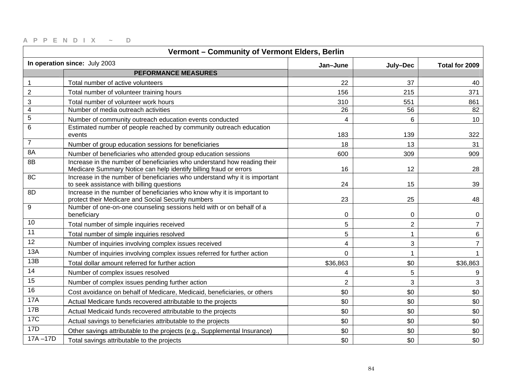| Vermont - Community of Vermont Elders, Berlin |                                                                                                                                               |                |                |                |
|-----------------------------------------------|-----------------------------------------------------------------------------------------------------------------------------------------------|----------------|----------------|----------------|
|                                               | In operation since: July 2003                                                                                                                 | Jan-June       | July-Dec       | Total for 2009 |
|                                               | <b>PEFORMANCE MEASURES</b>                                                                                                                    |                |                |                |
| $\mathbf{1}$                                  | Total number of active volunteers                                                                                                             | 22             | 37             | 40             |
| $\overline{c}$                                | Total number of volunteer training hours                                                                                                      | 156            | 215            | 371            |
| $\ensuremath{\mathsf{3}}$                     | Total number of volunteer work hours                                                                                                          | 310            | 551            | 861            |
| $\overline{4}$                                | Number of media outreach activities                                                                                                           | 26             | 56             | 82             |
| $\sqrt{5}$                                    | Number of community outreach education events conducted                                                                                       | 4              | 6              | 10             |
| 6                                             | Estimated number of people reached by community outreach education<br>events                                                                  | 183            | 139            | 322            |
| $\overline{7}$                                | Number of group education sessions for beneficiaries                                                                                          | 18             | 13             | 31             |
| 8A                                            | Number of beneficiaries who attended group education sessions                                                                                 | 600            | 309            | 909            |
| 8B                                            | Increase in the number of beneficiaries who understand how reading their<br>Medicare Summary Notice can help identify billing fraud or errors | 16             | 12             | 28             |
| 8C                                            | Increase in the number of beneficiaries who understand why it is important<br>to seek assistance with billing questions                       | 24             | 15             | 39             |
| 8D                                            | Increase in the number of beneficiaries who know why it is important to<br>protect their Medicare and Social Security numbers                 | 23             | 25             | 48             |
| 9                                             | Number of one-on-one counseling sessions held with or on behalf of a<br>beneficiary                                                           | $\mathbf 0$    | 0              | 0              |
| 10                                            | Total number of simple inquiries received                                                                                                     | 5              | $\overline{2}$ | $\overline{7}$ |
| 11                                            | Total number of simple inquiries resolved                                                                                                     | 5              | 1              | 6              |
| 12                                            | Number of inquiries involving complex issues received                                                                                         | 4              | $\mathfrak{S}$ | $\overline{7}$ |
| 13A                                           | Number of inquiries involving complex issues referred for further action                                                                      | $\mathbf 0$    | 1              |                |
| 13B                                           | Total dollar amount referred for further action                                                                                               | \$36,863       | \$0            | \$36,863       |
| 14                                            | Number of complex issues resolved                                                                                                             | 4              | 5              | 9              |
| 15                                            | Number of complex issues pending further action                                                                                               | $\overline{2}$ | 3              | 3              |
| 16                                            | Cost avoidance on behalf of Medicare, Medicaid, beneficiaries, or others                                                                      | \$0            | \$0            | \$0            |
| <b>17A</b>                                    | Actual Medicare funds recovered attributable to the projects                                                                                  | \$0            | \$0            | \$0            |
| 17B                                           | Actual Medicaid funds recovered attributable to the projects                                                                                  | \$0            | \$0            | \$0            |
| <b>17C</b>                                    | Actual savings to beneficiaries attributable to the projects                                                                                  | \$0            | \$0            | \$0            |
| 17D                                           | Other savings attributable to the projects (e.g., Supplemental Insurance)                                                                     | \$0            | \$0            | \$0            |
| $17A - 17D$                                   | Total savings attributable to the projects                                                                                                    | \$0            | \$0            | \$0            |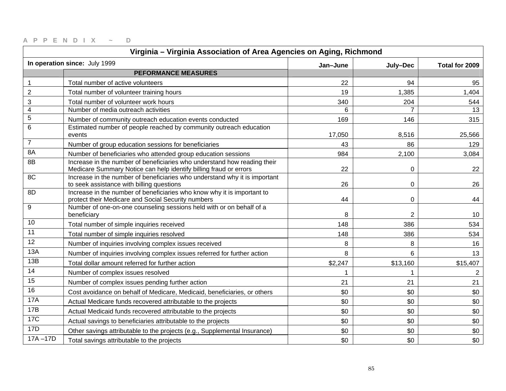| Virginia - Virginia Association of Area Agencies on Aging, Richmond |                                                                                                                                               |          |                |                |
|---------------------------------------------------------------------|-----------------------------------------------------------------------------------------------------------------------------------------------|----------|----------------|----------------|
| In operation since: July 1999                                       |                                                                                                                                               | Jan-June | July-Dec       | Total for 2009 |
|                                                                     | <b>PEFORMANCE MEASURES</b>                                                                                                                    |          |                |                |
| 1                                                                   | Total number of active volunteers                                                                                                             | 22       | 94             | 95             |
| $\mathbf 2$                                                         | Total number of volunteer training hours                                                                                                      | 19       | 1,385          | 1,404          |
| 3                                                                   | Total number of volunteer work hours                                                                                                          | 340      | 204            | 544            |
| 4                                                                   | Number of media outreach activities                                                                                                           | 6        |                | 13             |
| $\mathbf 5$                                                         | Number of community outreach education events conducted                                                                                       | 169      | 146            | 315            |
| 6                                                                   | Estimated number of people reached by community outreach education<br>events                                                                  | 17,050   | 8,516          | 25,566         |
| $\overline{7}$                                                      | Number of group education sessions for beneficiaries                                                                                          | 43       | 86             | 129            |
| 8A                                                                  | Number of beneficiaries who attended group education sessions                                                                                 | 984      | 2,100          | 3,084          |
| 8B                                                                  | Increase in the number of beneficiaries who understand how reading their<br>Medicare Summary Notice can help identify billing fraud or errors | 22       | $\mathbf 0$    | 22             |
| 8C                                                                  | Increase in the number of beneficiaries who understand why it is important<br>to seek assistance with billing questions                       | 26       | 0              | 26             |
| 8D                                                                  | Increase in the number of beneficiaries who know why it is important to<br>protect their Medicare and Social Security numbers                 | 44       | 0              | 44             |
| 9                                                                   | Number of one-on-one counseling sessions held with or on behalf of a<br>beneficiary                                                           | 8        | $\overline{2}$ | 10             |
| 10                                                                  | Total number of simple inquiries received                                                                                                     | 148      | 386            | 534            |
| 11                                                                  | Total number of simple inquiries resolved                                                                                                     | 148      | 386            | 534            |
| $\overline{12}$                                                     | Number of inquiries involving complex issues received                                                                                         | 8        | 8              | 16             |
| 13A                                                                 | Number of inquiries involving complex issues referred for further action                                                                      | 8        | 6              | 13             |
| 13B                                                                 | Total dollar amount referred for further action                                                                                               | \$2,247  | \$13,160       | \$15,407       |
| 14                                                                  | Number of complex issues resolved                                                                                                             | 1        |                | $\overline{2}$ |
| 15                                                                  | Number of complex issues pending further action                                                                                               | 21       | 21             | 21             |
| 16                                                                  | Cost avoidance on behalf of Medicare, Medicaid, beneficiaries, or others                                                                      | \$0      | \$0            | \$0            |
| <b>17A</b>                                                          | Actual Medicare funds recovered attributable to the projects                                                                                  | \$0      | \$0            | \$0            |
| 17B                                                                 | Actual Medicaid funds recovered attributable to the projects                                                                                  | \$0      | \$0            | \$0            |
| <b>17C</b>                                                          | Actual savings to beneficiaries attributable to the projects                                                                                  | \$0      | \$0            | \$0            |
| 17D                                                                 | Other savings attributable to the projects (e.g., Supplemental Insurance)                                                                     | \$0      | \$0            | \$0            |
| $17A - 17D$                                                         | Total savings attributable to the projects                                                                                                    | \$0      | \$0            | \$0            |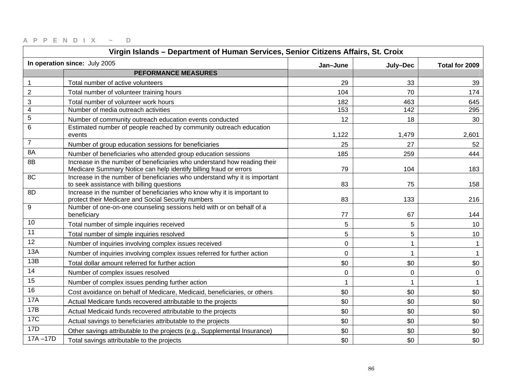| Virgin Islands - Department of Human Services, Senior Citizens Affairs, St. Croix |                                                                                                                                               |             |             |                |
|-----------------------------------------------------------------------------------|-----------------------------------------------------------------------------------------------------------------------------------------------|-------------|-------------|----------------|
| In operation since: July 2005                                                     |                                                                                                                                               | Jan-June    | July-Dec    | Total for 2009 |
|                                                                                   | <b>PEFORMANCE MEASURES</b>                                                                                                                    |             |             |                |
| $\mathbf{1}$                                                                      | Total number of active volunteers                                                                                                             | 29          | 33          | 39             |
| $\overline{c}$                                                                    | Total number of volunteer training hours                                                                                                      | 104         | 70          | 174            |
| $\ensuremath{\mathsf{3}}$                                                         | Total number of volunteer work hours                                                                                                          | 182         | 463         | 645            |
| $\overline{4}$                                                                    | Number of media outreach activities                                                                                                           | 153         | 142         | 295            |
| $\sqrt{5}$                                                                        | Number of community outreach education events conducted                                                                                       | 12          | 18          | 30             |
| 6                                                                                 | Estimated number of people reached by community outreach education<br>events                                                                  | 1,122       | 1,479       | 2,601          |
| $\overline{7}$                                                                    | Number of group education sessions for beneficiaries                                                                                          | 25          | 27          | 52             |
| 8A                                                                                | Number of beneficiaries who attended group education sessions                                                                                 | 185         | 259         | 444            |
| 8B                                                                                | Increase in the number of beneficiaries who understand how reading their<br>Medicare Summary Notice can help identify billing fraud or errors | 79          | 104         | 183            |
| 8C                                                                                | Increase in the number of beneficiaries who understand why it is important<br>to seek assistance with billing questions                       | 83          | 75          | 158            |
| 8D                                                                                | Increase in the number of beneficiaries who know why it is important to<br>protect their Medicare and Social Security numbers                 | 83          | 133         | 216            |
| 9                                                                                 | Number of one-on-one counseling sessions held with or on behalf of a<br>beneficiary                                                           | 77          | 67          | 144            |
| 10                                                                                | Total number of simple inquiries received                                                                                                     | 5           | 5           | 10             |
| 11                                                                                | Total number of simple inquiries resolved                                                                                                     | 5           | 5           | 10             |
| 12                                                                                | Number of inquiries involving complex issues received                                                                                         | $\mathbf 0$ | 1           | $\mathbf 1$    |
| 13A                                                                               | Number of inquiries involving complex issues referred for further action                                                                      | $\mathbf 0$ | 1           |                |
| 13B                                                                               | Total dollar amount referred for further action                                                                                               | \$0         | \$0         | \$0            |
| 14                                                                                | Number of complex issues resolved                                                                                                             | 0           | $\mathbf 0$ | $\mathbf 0$    |
| 15                                                                                | Number of complex issues pending further action                                                                                               |             |             |                |
| 16                                                                                | Cost avoidance on behalf of Medicare, Medicaid, beneficiaries, or others                                                                      | \$0         | \$0         | \$0            |
| <b>17A</b>                                                                        | Actual Medicare funds recovered attributable to the projects                                                                                  | \$0         | \$0         | \$0            |
| 17B                                                                               | Actual Medicaid funds recovered attributable to the projects                                                                                  | \$0         | \$0         | \$0            |
| <b>17C</b>                                                                        | Actual savings to beneficiaries attributable to the projects                                                                                  | \$0         | \$0         | \$0            |
| 17D                                                                               | Other savings attributable to the projects (e.g., Supplemental Insurance)                                                                     | \$0         | \$0         | \$0            |
| $17A - 17D$                                                                       | Total savings attributable to the projects                                                                                                    | \$0         | \$0         | \$0            |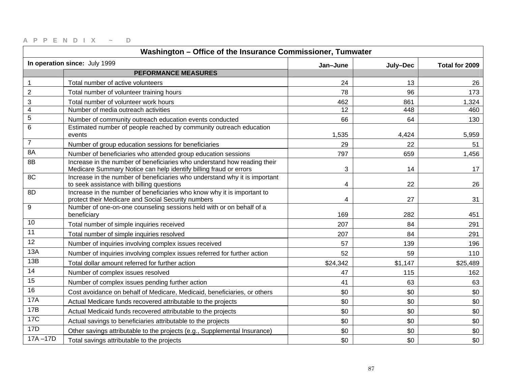| Washington - Office of the Insurance Commissioner, Tumwater |                                                                                                                                               |          |          |                |
|-------------------------------------------------------------|-----------------------------------------------------------------------------------------------------------------------------------------------|----------|----------|----------------|
| In operation since: July 1999                               |                                                                                                                                               | Jan-June | July-Dec | Total for 2009 |
|                                                             | <b>PEFORMANCE MEASURES</b>                                                                                                                    |          |          |                |
| $\mathbf 1$                                                 | Total number of active volunteers                                                                                                             | 24       | 13       | 26             |
| $\mathbf 2$                                                 | Total number of volunteer training hours                                                                                                      | 78       | 96       | 173            |
| 3                                                           | Total number of volunteer work hours                                                                                                          | 462      | 861      | 1,324          |
| $\overline{\mathbf{4}}$                                     | Number of media outreach activities                                                                                                           | 12       | 448      | 460            |
| $\mathbf 5$                                                 | Number of community outreach education events conducted                                                                                       | 66       | 64       | 130            |
| 6                                                           | Estimated number of people reached by community outreach education<br>events                                                                  | 1,535    | 4,424    | 5,959          |
| $\overline{7}$                                              | Number of group education sessions for beneficiaries                                                                                          | 29       | 22       | 51             |
| 8A                                                          | Number of beneficiaries who attended group education sessions                                                                                 | 797      | 659      | 1,456          |
| 8B                                                          | Increase in the number of beneficiaries who understand how reading their<br>Medicare Summary Notice can help identify billing fraud or errors | 3        | 14       | 17             |
| 8C                                                          | Increase in the number of beneficiaries who understand why it is important<br>to seek assistance with billing questions                       | 4        | 22       | 26             |
| 8D                                                          | Increase in the number of beneficiaries who know why it is important to<br>protect their Medicare and Social Security numbers                 | 4        | 27       | 31             |
| 9                                                           | Number of one-on-one counseling sessions held with or on behalf of a<br>beneficiary                                                           | 169      | 282      | 451            |
| 10                                                          | Total number of simple inquiries received                                                                                                     | 207      | 84       | 291            |
| 11                                                          | Total number of simple inquiries resolved                                                                                                     | 207      | 84       | 291            |
| $\overline{12}$                                             | Number of inquiries involving complex issues received                                                                                         | 57       | 139      | 196            |
| 13A                                                         | Number of inquiries involving complex issues referred for further action                                                                      | 52       | 59       | 110            |
| 13B                                                         | Total dollar amount referred for further action                                                                                               | \$24,342 | \$1,147  | \$25,489       |
| 14                                                          | Number of complex issues resolved                                                                                                             | 47       | 115      | 162            |
| 15                                                          | Number of complex issues pending further action                                                                                               | 41       | 63       | 63             |
| 16                                                          | Cost avoidance on behalf of Medicare, Medicaid, beneficiaries, or others                                                                      | \$0      | \$0      | \$0            |
| <b>17A</b>                                                  | Actual Medicare funds recovered attributable to the projects                                                                                  | \$0      | \$0      | \$0            |
| 17B                                                         | Actual Medicaid funds recovered attributable to the projects                                                                                  | \$0      | \$0      | \$0            |
| 17C                                                         | Actual savings to beneficiaries attributable to the projects                                                                                  | \$0      | \$0      | \$0            |
| 17D                                                         | Other savings attributable to the projects (e.g., Supplemental Insurance)                                                                     | \$0      | \$0      | \$0            |
| $17A - 17D$                                                 | Total savings attributable to the projects                                                                                                    | \$0      | \$0      | \$0            |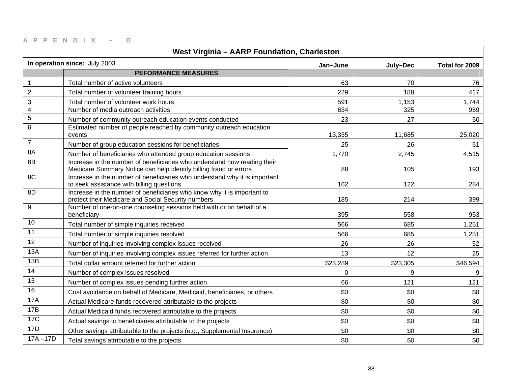| West Virginia - AARP Foundation, Charleston           |                                                                                                                                               |          |                |          |
|-------------------------------------------------------|-----------------------------------------------------------------------------------------------------------------------------------------------|----------|----------------|----------|
| In operation since: July 2003<br>Jan-June<br>July-Dec |                                                                                                                                               |          | Total for 2009 |          |
|                                                       | <b>PEFORMANCE MEASURES</b>                                                                                                                    |          |                |          |
| $\mathbf{1}$                                          | Total number of active volunteers                                                                                                             | 63       | 70             | 76       |
| $\overline{c}$                                        | Total number of volunteer training hours                                                                                                      | 229      | 188            | 417      |
| $\ensuremath{\mathsf{3}}$                             | Total number of volunteer work hours                                                                                                          | 591      | 1,153          | 1,744    |
| $\overline{4}$                                        | Number of media outreach activities                                                                                                           | 634      | 325            | 959      |
| $\mathbf 5$                                           | Number of community outreach education events conducted                                                                                       | 23       | 27             | 50       |
| $6\phantom{1}6$                                       | Estimated number of people reached by community outreach education<br>events                                                                  | 13,335   | 11,685         | 25,020   |
| $\overline{7}$                                        | Number of group education sessions for beneficiaries                                                                                          | 25       | 26             | 51       |
| 8A                                                    | Number of beneficiaries who attended group education sessions                                                                                 | 1,770    | 2,745          | 4,515    |
| 8B                                                    | Increase in the number of beneficiaries who understand how reading their<br>Medicare Summary Notice can help identify billing fraud or errors | 88       | 105            | 193      |
| 8C                                                    | Increase in the number of beneficiaries who understand why it is important<br>to seek assistance with billing questions                       | 162      | 122            | 284      |
| 8D                                                    | Increase in the number of beneficiaries who know why it is important to<br>protect their Medicare and Social Security numbers                 | 185      | 214            | 399      |
| 9                                                     | Number of one-on-one counseling sessions held with or on behalf of a<br>beneficiary                                                           | 395      | 558            | 953      |
| 10                                                    | Total number of simple inquiries received                                                                                                     | 566      | 685            | 1,251    |
| 11                                                    | Total number of simple inquiries resolved                                                                                                     | 566      | 685            | 1,251    |
| 12                                                    | Number of inquiries involving complex issues received                                                                                         | 26       | 26             | 52       |
| 13A                                                   | Number of inquiries involving complex issues referred for further action                                                                      | 13       | 12             | 25       |
| 13B                                                   | Total dollar amount referred for further action                                                                                               | \$23,289 | \$23,305       | \$46,594 |
| 14                                                    | Number of complex issues resolved                                                                                                             | $\Omega$ | 9              | 9        |
| 15                                                    | Number of complex issues pending further action                                                                                               | 66       | 121            | 121      |
| 16                                                    | Cost avoidance on behalf of Medicare, Medicaid, beneficiaries, or others                                                                      | \$0      | \$0            | \$0      |
| <b>17A</b>                                            | Actual Medicare funds recovered attributable to the projects                                                                                  | \$0      | \$0            | \$0      |
| 17B                                                   | Actual Medicaid funds recovered attributable to the projects                                                                                  | \$0      | \$0            | \$0      |
| <b>17C</b>                                            | Actual savings to beneficiaries attributable to the projects                                                                                  | \$0      | \$0            | \$0      |
| 17D                                                   | Other savings attributable to the projects (e.g., Supplemental Insurance)                                                                     | \$0      | \$0            | \$0      |
| $17A - 17D$                                           | Total savings attributable to the projects                                                                                                    | \$0      | \$0            | \$0      |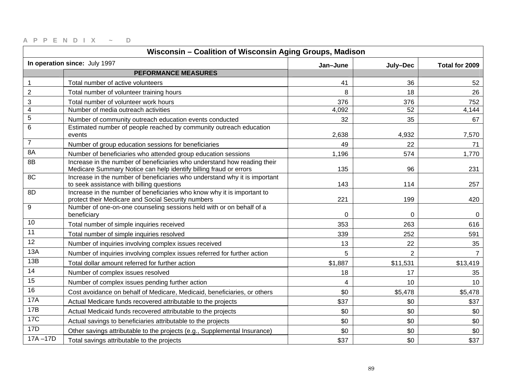| Wisconsin - Coalition of Wisconsin Aging Groups, Madison |                                                                                                                                               |          |                |                |
|----------------------------------------------------------|-----------------------------------------------------------------------------------------------------------------------------------------------|----------|----------------|----------------|
| In operation since: July 1997<br>Jan-June                |                                                                                                                                               | July-Dec | Total for 2009 |                |
|                                                          | <b>PEFORMANCE MEASURES</b>                                                                                                                    |          |                |                |
| $\mathbf{1}$                                             | Total number of active volunteers                                                                                                             | 41       | 36             | 52             |
| $\overline{2}$                                           | Total number of volunteer training hours                                                                                                      | 8        | 18             | 26             |
| $\ensuremath{\mathsf{3}}$                                | Total number of volunteer work hours                                                                                                          | 376      | 376            | 752            |
| $\overline{4}$                                           | Number of media outreach activities                                                                                                           | 4,092    | 52             | 4,144          |
| $\sqrt{5}$                                               | Number of community outreach education events conducted                                                                                       | 32       | 35             | 67             |
| $6\phantom{1}6$                                          | Estimated number of people reached by community outreach education<br>events                                                                  | 2,638    | 4,932          | 7,570          |
| $\overline{7}$                                           | Number of group education sessions for beneficiaries                                                                                          | 49       | 22             | 71             |
| 8A                                                       | Number of beneficiaries who attended group education sessions                                                                                 | 1,196    | 574            | 1,770          |
| 8B                                                       | Increase in the number of beneficiaries who understand how reading their<br>Medicare Summary Notice can help identify billing fraud or errors | 135      | 96             | 231            |
| 8C                                                       | Increase in the number of beneficiaries who understand why it is important<br>to seek assistance with billing questions                       | 143      | 114            | 257            |
| 8D                                                       | Increase in the number of beneficiaries who know why it is important to<br>protect their Medicare and Social Security numbers                 | 221      | 199            | 420            |
| 9                                                        | Number of one-on-one counseling sessions held with or on behalf of a<br>beneficiary                                                           | 0        | 0              | 0              |
| 10                                                       | Total number of simple inquiries received                                                                                                     | 353      | 263            | 616            |
| 11                                                       | Total number of simple inquiries resolved                                                                                                     | 339      | 252            | 591            |
| 12                                                       | Number of inquiries involving complex issues received                                                                                         | 13       | 22             | 35             |
| 13A                                                      | Number of inquiries involving complex issues referred for further action                                                                      | 5        | $\overline{2}$ | $\overline{7}$ |
| 13B                                                      | Total dollar amount referred for further action                                                                                               | \$1,887  | \$11,531       | \$13,419       |
| 14                                                       | Number of complex issues resolved                                                                                                             | 18       | 17             | 35             |
| 15                                                       | Number of complex issues pending further action                                                                                               | 4        | 10             | 10             |
| 16                                                       | Cost avoidance on behalf of Medicare, Medicaid, beneficiaries, or others                                                                      | \$0      | \$5,478        | \$5,478        |
| <b>17A</b>                                               | Actual Medicare funds recovered attributable to the projects                                                                                  | \$37     | \$0            | \$37           |
| 17B                                                      | Actual Medicaid funds recovered attributable to the projects                                                                                  | \$0      | \$0            | \$0            |
| <b>17C</b>                                               | Actual savings to beneficiaries attributable to the projects                                                                                  | \$0      | \$0            | \$0            |
| 17D                                                      | Other savings attributable to the projects (e.g., Supplemental Insurance)                                                                     | \$0      | \$0            | \$0            |
| $17A - 17D$                                              | Total savings attributable to the projects                                                                                                    | \$37     | \$0            | \$37           |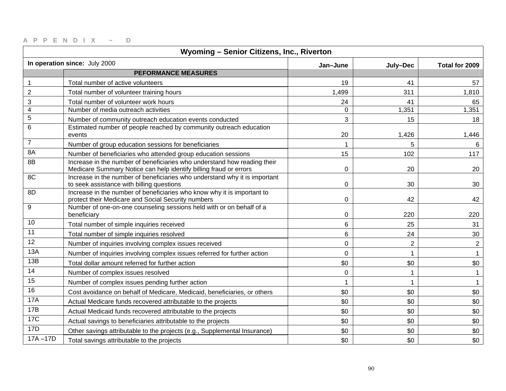| Wyoming - Senior Citizens, Inc., Riverton             |                                                                                                                                               |                |                |              |
|-------------------------------------------------------|-----------------------------------------------------------------------------------------------------------------------------------------------|----------------|----------------|--------------|
| In operation since: July 2000<br>Jan-June<br>July-Dec |                                                                                                                                               |                | Total for 2009 |              |
|                                                       | <b>PEFORMANCE MEASURES</b>                                                                                                                    |                |                |              |
| $\mathbf{1}$                                          | Total number of active volunteers                                                                                                             | 19             | 41             | 57           |
| $\overline{c}$                                        | Total number of volunteer training hours                                                                                                      | 1,499          | 311            | 1,810        |
| $\ensuremath{\mathsf{3}}$                             | Total number of volunteer work hours                                                                                                          | 24             | 41             | 65           |
| $\overline{4}$                                        | Number of media outreach activities                                                                                                           | $\mathbf 0$    | 1,351          | 1,351        |
| $\sqrt{5}$                                            | Number of community outreach education events conducted                                                                                       | 3              | 15             | 18           |
| 6                                                     | Estimated number of people reached by community outreach education<br>events                                                                  | 20             | 1,426          | 1,446        |
| $\overline{7}$                                        | Number of group education sessions for beneficiaries                                                                                          | $\mathbf 1$    | 5              | 6            |
| 8A                                                    | Number of beneficiaries who attended group education sessions                                                                                 | 15             | 102            | 117          |
| 8B                                                    | Increase in the number of beneficiaries who understand how reading their<br>Medicare Summary Notice can help identify billing fraud or errors | $\mathbf 0$    | 20             | 20           |
| 8C                                                    | Increase in the number of beneficiaries who understand why it is important<br>to seek assistance with billing questions                       | 0              | 30             | 30           |
| 8D                                                    | Increase in the number of beneficiaries who know why it is important to<br>protect their Medicare and Social Security numbers                 | $\mathbf 0$    | 42             | 42           |
| 9                                                     | Number of one-on-one counseling sessions held with or on behalf of a<br>beneficiary                                                           | 0              | 220            | 220          |
| 10                                                    | Total number of simple inquiries received                                                                                                     | 6              | 25             | 31           |
| 11                                                    | Total number of simple inquiries resolved                                                                                                     | $6\phantom{1}$ | 24             | 30           |
| 12                                                    | Number of inquiries involving complex issues received                                                                                         | $\pmb{0}$      | $\overline{2}$ | $\mathbf{2}$ |
| 13A                                                   | Number of inquiries involving complex issues referred for further action                                                                      | $\mathbf 0$    |                | $\mathbf{1}$ |
| 13B                                                   | Total dollar amount referred for further action                                                                                               | \$0            | \$0            | \$0          |
| 14                                                    | Number of complex issues resolved                                                                                                             | $\mathbf 0$    |                | $\mathbf{1}$ |
| 15                                                    | Number of complex issues pending further action                                                                                               |                |                | $\mathbf{1}$ |
| 16                                                    | Cost avoidance on behalf of Medicare, Medicaid, beneficiaries, or others                                                                      | \$0            | \$0            | \$0          |
| <b>17A</b>                                            | Actual Medicare funds recovered attributable to the projects                                                                                  | \$0            | \$0            | \$0          |
| 17B                                                   | Actual Medicaid funds recovered attributable to the projects                                                                                  | \$0            | \$0            | \$0          |
| <b>17C</b>                                            | Actual savings to beneficiaries attributable to the projects                                                                                  | \$0            | \$0            | \$0          |
| 17D                                                   | Other savings attributable to the projects (e.g., Supplemental Insurance)                                                                     | \$0            | \$0            | \$0          |
| $17A - 17D$                                           | Total savings attributable to the projects                                                                                                    | \$0            | \$0            | \$0          |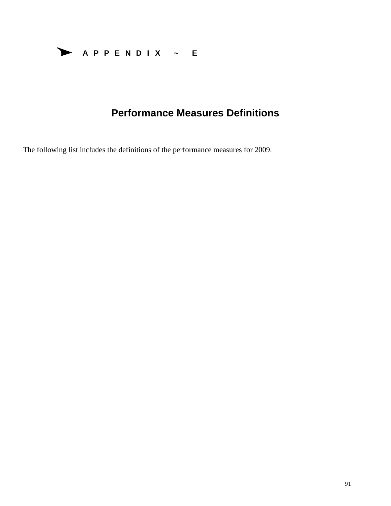

# **Performance Measures Definitions**

The following list includes the definitions of the performance measures for 2009.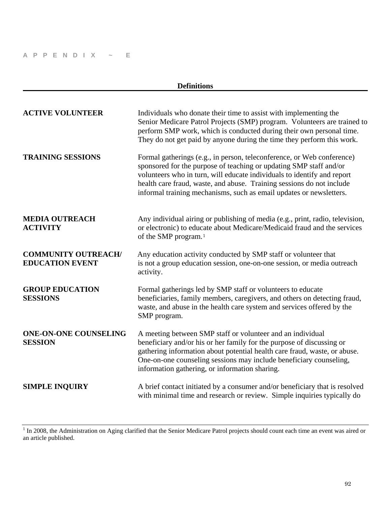| <b>Definitions</b>                                   |                                                                                                                                                                                                                                                                                                                                                                         |  |
|------------------------------------------------------|-------------------------------------------------------------------------------------------------------------------------------------------------------------------------------------------------------------------------------------------------------------------------------------------------------------------------------------------------------------------------|--|
| <b>ACTIVE VOLUNTEER</b>                              | Individuals who donate their time to assist with implementing the<br>Senior Medicare Patrol Projects (SMP) program. Volunteers are trained to<br>perform SMP work, which is conducted during their own personal time.<br>They do not get paid by anyone during the time they perform this work.                                                                         |  |
| <b>TRAINING SESSIONS</b>                             | Formal gatherings (e.g., in person, teleconference, or Web conference)<br>sponsored for the purpose of teaching or updating SMP staff and/or<br>volunteers who in turn, will educate individuals to identify and report<br>health care fraud, waste, and abuse. Training sessions do not include<br>informal training mechanisms, such as email updates or newsletters. |  |
| <b>MEDIA OUTREACH</b><br><b>ACTIVITY</b>             | Any individual airing or publishing of media (e.g., print, radio, television,<br>or electronic) to educate about Medicare/Medicaid fraud and the services<br>of the SMP program. <sup>1</sup>                                                                                                                                                                           |  |
| <b>COMMUNITY OUTREACH/</b><br><b>EDUCATION EVENT</b> | Any education activity conducted by SMP staff or volunteer that<br>is not a group education session, one-on-one session, or media outreach<br>activity.                                                                                                                                                                                                                 |  |
| <b>GROUP EDUCATION</b><br><b>SESSIONS</b>            | Formal gatherings led by SMP staff or volunteers to educate<br>beneficiaries, family members, caregivers, and others on detecting fraud,<br>waste, and abuse in the health care system and services offered by the<br>SMP program.                                                                                                                                      |  |
| <b>ONE-ON-ONE COUNSELING</b><br><b>SESSION</b>       | A meeting between SMP staff or volunteer and an individual<br>beneficiary and/or his or her family for the purpose of discussing or<br>gathering information about potential health care fraud, waste, or abuse.<br>One-on-one counseling sessions may include beneficiary counseling,<br>information gathering, or information sharing.                                |  |
| <b>SIMPLE INQUIRY</b>                                | A brief contact initiated by a consumer and/or beneficiary that is resolved<br>with minimal time and research or review. Simple inquiries typically do                                                                                                                                                                                                                  |  |

<span id="page-91-0"></span> $1$  In 2008, the Administration on Aging clarified that the Senior Medicare Patrol projects should count each time an event was aired or an article published.